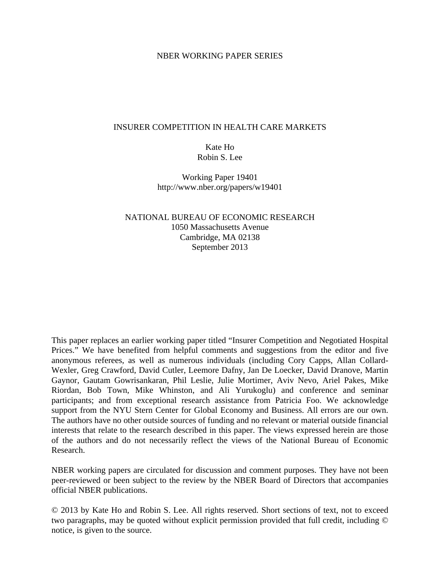## NBER WORKING PAPER SERIES

## INSURER COMPETITION IN HEALTH CARE MARKETS

# Kate Ho Robin S. Lee

Working Paper 19401 http://www.nber.org/papers/w19401

# NATIONAL BUREAU OF ECONOMIC RESEARCH 1050 Massachusetts Avenue Cambridge, MA 02138 September 2013

This paper replaces an earlier working paper titled "Insurer Competition and Negotiated Hospital Prices." We have benefited from helpful comments and suggestions from the editor and five anonymous referees, as well as numerous individuals (including Cory Capps, Allan Collard-Wexler, Greg Crawford, David Cutler, Leemore Dafny, Jan De Loecker, David Dranove, Martin Gaynor, Gautam Gowrisankaran, Phil Leslie, Julie Mortimer, Aviv Nevo, Ariel Pakes, Mike Riordan, Bob Town, Mike Whinston, and Ali Yurukoglu) and conference and seminar participants; and from exceptional research assistance from Patricia Foo. We acknowledge support from the NYU Stern Center for Global Economy and Business. All errors are our own. The authors have no other outside sources of funding and no relevant or material outside financial interests that relate to the research described in this paper. The views expressed herein are those of the authors and do not necessarily reflect the views of the National Bureau of Economic Research.

NBER working papers are circulated for discussion and comment purposes. They have not been peer-reviewed or been subject to the review by the NBER Board of Directors that accompanies official NBER publications.

© 2013 by Kate Ho and Robin S. Lee. All rights reserved. Short sections of text, not to exceed two paragraphs, may be quoted without explicit permission provided that full credit, including © notice, is given to the source.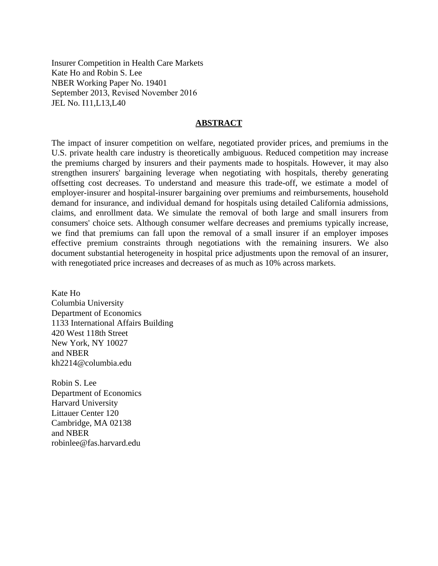Insurer Competition in Health Care Markets Kate Ho and Robin S. Lee NBER Working Paper No. 19401 September 2013, Revised November 2016 JEL No. I11,L13,L40

## **ABSTRACT**

The impact of insurer competition on welfare, negotiated provider prices, and premiums in the U.S. private health care industry is theoretically ambiguous. Reduced competition may increase the premiums charged by insurers and their payments made to hospitals. However, it may also strengthen insurers' bargaining leverage when negotiating with hospitals, thereby generating offsetting cost decreases. To understand and measure this trade-off, we estimate a model of employer-insurer and hospital-insurer bargaining over premiums and reimbursements, household demand for insurance, and individual demand for hospitals using detailed California admissions, claims, and enrollment data. We simulate the removal of both large and small insurers from consumers' choice sets. Although consumer welfare decreases and premiums typically increase, we find that premiums can fall upon the removal of a small insurer if an employer imposes effective premium constraints through negotiations with the remaining insurers. We also document substantial heterogeneity in hospital price adjustments upon the removal of an insurer, with renegotiated price increases and decreases of as much as 10% across markets.

Kate Ho Columbia University Department of Economics 1133 International Affairs Building 420 West 118th Street New York, NY 10027 and NBER kh2214@columbia.edu

Robin S. Lee Department of Economics Harvard University Littauer Center 120 Cambridge, MA 02138 and NBER robinlee@fas.harvard.edu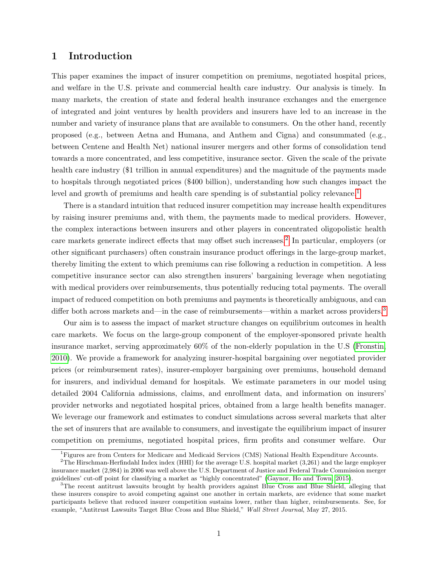## 1 Introduction

This paper examines the impact of insurer competition on premiums, negotiated hospital prices, and welfare in the U.S. private and commercial health care industry. Our analysis is timely. In many markets, the creation of state and federal health insurance exchanges and the emergence of integrated and joint ventures by health providers and insurers have led to an increase in the number and variety of insurance plans that are available to consumers. On the other hand, recently proposed (e.g., between Aetna and Humana, and Anthem and Cigna) and consummated (e.g., between Centene and Health Net) national insurer mergers and other forms of consolidation tend towards a more concentrated, and less competitive, insurance sector. Given the scale of the private health care industry (\$1 trillion in annual expenditures) and the magnitude of the payments made to hospitals through negotiated prices (\$400 billion), understanding how such changes impact the level and growth of premiums and health care spending is of substantial policy relevance.<sup>[1](#page-2-0)</sup>

There is a standard intuition that reduced insurer competition may increase health expenditures by raising insurer premiums and, with them, the payments made to medical providers. However, the complex interactions between insurers and other players in concentrated oligopolistic health care markets generate indirect effects that may offset such increases.[2](#page-2-1) In particular, employers (or other significant purchasers) often constrain insurance product offerings in the large-group market, thereby limiting the extent to which premiums can rise following a reduction in competition. A less competitive insurance sector can also strengthen insurers' bargaining leverage when negotiating with medical providers over reimbursements, thus potentially reducing total payments. The overall impact of reduced competition on both premiums and payments is theoretically ambiguous, and can differ both across markets and—in the case of reimbursements—within a market across providers.<sup>[3](#page-2-2)</sup>

Our aim is to assess the impact of market structure changes on equilibrium outcomes in health care markets. We focus on the large-group component of the employer-sponsored private health insurance market, serving approximately 60% of the non-elderly population in the U.S [\(Fronstin,](#page-40-0) [2010\)](#page-40-0). We provide a framework for analyzing insurer-hospital bargaining over negotiated provider prices (or reimbursement rates), insurer-employer bargaining over premiums, household demand for insurers, and individual demand for hospitals. We estimate parameters in our model using detailed 2004 California admissions, claims, and enrollment data, and information on insurers' provider networks and negotiated hospital prices, obtained from a large health benefits manager. We leverage our framework and estimates to conduct simulations across several markets that alter the set of insurers that are available to consumers, and investigate the equilibrium impact of insurer competition on premiums, negotiated hospital prices, firm profits and consumer welfare. Our

<span id="page-2-1"></span><span id="page-2-0"></span><sup>1</sup>Figures are from Centers for Medicare and Medicaid Services (CMS) National Health Expenditure Accounts.

<sup>2</sup>The Hirschman-Herfindahl Index index (HHI) for the average U.S. hospital market (3,261) and the large employer insurance market (2,984) in 2006 was well above the U.S. Department of Justice and Federal Trade Commission merger guidelines' cut-off point for classifying a market as "highly concentrated" [\(Gaynor, Ho and Town, 2015\)](#page-40-1).

<span id="page-2-2"></span><sup>3</sup>The recent antitrust lawsuits brought by health providers against Blue Cross and Blue Shield, alleging that these insurers conspire to avoid competing against one another in certain markets, are evidence that some market participants believe that reduced insurer competition sustains lower, rather than higher, reimbursements. See, for example, "Antitrust Lawsuits Target Blue Cross and Blue Shield," Wall Street Journal, May 27, 2015.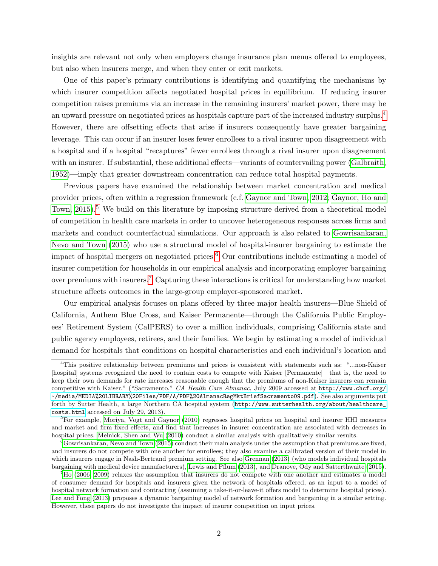insights are relevant not only when employers change insurance plan menus offered to employees, but also when insurers merge, and when they enter or exit markets.

One of this paper's primary contributions is identifying and quantifying the mechanisms by which insurer competition affects negotiated hospital prices in equilibrium. If reducing insurer competition raises premiums via an increase in the remaining insurers' market power, there may be an upward pressure on negotiated prices as hospitals capture part of the increased industry surplus.[4](#page-3-0) However, there are offsetting effects that arise if insurers consequently have greater bargaining leverage. This can occur if an insurer loses fewer enrollees to a rival insurer upon disagreement with a hospital and if a hospital "recaptures" fewer enrollees through a rival insurer upon disagreement with an insurer. If substantial, these additional effects—variants of countervailing power [\(Galbraith,](#page-40-2) [1952\)](#page-40-2)—imply that greater downstream concentration can reduce total hospital payments.

Previous papers have examined the relationship between market concentration and medical provider prices, often within a regression framework (c.f. [Gaynor and Town, 2012;](#page-40-3) [Gaynor, Ho and](#page-40-1) [Town, 2015\)](#page-40-1).<sup>[5](#page-3-1)</sup> We build on this literature by imposing structure derived from a theoretical model of competition in health care markets in order to uncover heterogeneous responses across firms and markets and conduct counterfactual simulations. Our approach is also related to [Gowrisankaran,](#page-40-4) [Nevo and Town](#page-40-4) [\(2015\)](#page-40-4) who use a structural model of hospital-insurer bargaining to estimate the impact of hospital mergers on negotiated prices.<sup>[6](#page-3-2)</sup> Our contributions include estimating a model of insurer competition for households in our empirical analysis and incorporating employer bargaining over premiums with insurers.<sup>[7](#page-3-3)</sup> Capturing these interactions is critical for understanding how market structure affects outcomes in the large-group employer-sponsored market.

Our empirical analysis focuses on plans offered by three major health insurers—Blue Shield of California, Anthem Blue Cross, and Kaiser Permanente—through the California Public Employees' Retirement System (CalPERS) to over a million individuals, comprising California state and public agency employees, retirees, and their families. We begin by estimating a model of individual demand for hospitals that conditions on hospital characteristics and each individual's location and

<span id="page-3-0"></span><sup>4</sup>This positive relationship between premiums and prices is consistent with statements such as: "...non-Kaiser [hospital] systems recognized the need to contain costs to compete with Kaiser [Permanente]—that is, the need to keep their own demands for rate increases reasonable enough that the premiums of non-Kaiser insurers can remain competitive with Kaiser." ("Sacramento," CA Health Care Almanac, July 2009 accessed at [http://www.chcf.org/](http://www.chcf.org/~/media/MEDIA%20LIBRARY%20Files/PDF/A/PDF%20AlmanacRegMktBriefSacramento09.pdf) [~/media/MEDIA%20LIBRARY%20Files/PDF/A/PDF%20AlmanacRegMktBriefSacramento09.pdf](http://www.chcf.org/~/media/MEDIA%20LIBRARY%20Files/PDF/A/PDF%20AlmanacRegMktBriefSacramento09.pdf)). See also arguments put forth by Sutter Health, a large Northern CA hospital system ([http://www.sutterhealth.org/about/healthcare\\_](http://www.sutterhealth.org/about/healthcare_costs.html) [costs.html](http://www.sutterhealth.org/about/healthcare_costs.html) accessed on July 29, 2013).

<span id="page-3-1"></span><sup>&</sup>lt;sup>5</sup>For example, [Moriya, Vogt and Gaynor](#page-41-0) [\(2010\)](#page-41-0) regresses hospital prices on hospital and insurer HHI measures and market and firm fixed effects, and find that increases in insurer concentration are associated with decreases in hospital prices. [Melnick, Shen and Wu](#page-41-1) [\(2010\)](#page-41-1) conduct a similar analysis with qualitatively similar results.

<span id="page-3-2"></span> $6Gowrisankaran$ , Nevo and Town [\(2015\)](#page-40-4) conduct their main analysis under the assumption that premiums are fixed, and insurers do not compete with one another for enrollees; they also examine a calibrated version of their model in which insurers engage in Nash-Bertrand premium setting. See also [Grennan](#page-40-5) [\(2013\)](#page-40-5) (who models individual hospitals bargaining with medical device manufacturers), [Lewis and Pflum](#page-41-2) [\(2013\)](#page-41-2), and [Dranove, Ody and Satterthwaite](#page-39-0) [\(2015\)](#page-39-0).

<span id="page-3-3"></span> $^{7}$ [Ho](#page-40-6) [\(2006,](#page-40-6) [2009\)](#page-40-7) relaxes the assumption that insurers do not compete with one another and estimates a model of consumer demand for hospitals and insurers given the network of hospitals offered, as an input to a model of hospital network formation and contracting (assuming a take-it-or-leave-it offers model to determine hospital prices). [Lee and Fong](#page-41-3) [\(2013\)](#page-41-3) proposes a dynamic bargaining model of network formation and bargaining in a similar setting. However, these papers do not investigate the impact of insurer competition on input prices.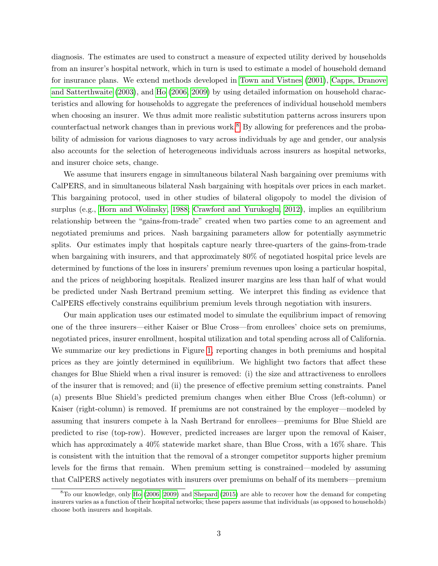diagnosis. The estimates are used to construct a measure of expected utility derived by households from an insurer's hospital network, which in turn is used to estimate a model of household demand for insurance plans. We extend methods developed in [Town and Vistnes](#page-41-4) [\(2001\)](#page-41-4), [Capps, Dranove](#page-39-1) [and Satterthwaite](#page-39-1) [\(2003\)](#page-39-1), and [Ho](#page-40-6) [\(2006,](#page-40-6) [2009\)](#page-40-7) by using detailed information on household characteristics and allowing for households to aggregate the preferences of individual household members when choosing an insurer. We thus admit more realistic substitution patterns across insurers upon counterfactual network changes than in previous work.[8](#page-4-0) By allowing for preferences and the probability of admission for various diagnoses to vary across individuals by age and gender, our analysis also accounts for the selection of heterogeneous individuals across insurers as hospital networks, and insurer choice sets, change.

We assume that insurers engage in simultaneous bilateral Nash bargaining over premiums with CalPERS, and in simultaneous bilateral Nash bargaining with hospitals over prices in each market. This bargaining protocol, used in other studies of bilateral oligopoly to model the division of surplus (e.g., [Horn and Wolinsky, 1988;](#page-41-5) [Crawford and Yurukoglu, 2012\)](#page-39-2), implies an equilibrium relationship between the "gains-from-trade" created when two parties come to an agreement and negotiated premiums and prices. Nash bargaining parameters allow for potentially asymmetric splits. Our estimates imply that hospitals capture nearly three-quarters of the gains-from-trade when bargaining with insurers, and that approximately 80% of negotiated hospital price levels are determined by functions of the loss in insurers' premium revenues upon losing a particular hospital, and the prices of neighboring hospitals. Realized insurer margins are less than half of what would be predicted under Nash Bertrand premium setting. We interpret this finding as evidence that CalPERS effectively constrains equilibrium premium levels through negotiation with insurers.

Our main application uses our estimated model to simulate the equilibrium impact of removing one of the three insurers—either Kaiser or Blue Cross—from enrollees' choice sets on premiums, negotiated prices, insurer enrollment, hospital utilization and total spending across all of California. We summarize our key predictions in Figure [1,](#page-5-0) reporting changes in both premiums and hospital prices as they are jointly determined in equilibrium. We highlight two factors that affect these changes for Blue Shield when a rival insurer is removed: (i) the size and attractiveness to enrollees of the insurer that is removed; and (ii) the presence of effective premium setting constraints. Panel (a) presents Blue Shield's predicted premium changes when either Blue Cross (left-column) or Kaiser (right-column) is removed. If premiums are not constrained by the employer—modeled by assuming that insurers compete à la Nash Bertrand for enrollees—premiums for Blue Shield are predicted to rise (top-row). However, predicted increases are larger upon the removal of Kaiser, which has approximately a  $40\%$  statewide market share, than Blue Cross, with a  $16\%$  share. This is consistent with the intuition that the removal of a stronger competitor supports higher premium levels for the firms that remain. When premium setting is constrained—modeled by assuming that CalPERS actively negotiates with insurers over premiums on behalf of its members—premium

<span id="page-4-0"></span> $8T_0$  our knowledge, only [Ho](#page-40-6) [\(2006,](#page-40-6) [2009\)](#page-40-7) and [Shepard](#page-41-6) [\(2015\)](#page-41-6) are able to recover how the demand for competing insurers varies as a function of their hospital networks; these papers assume that individuals (as opposed to households) choose both insurers and hospitals.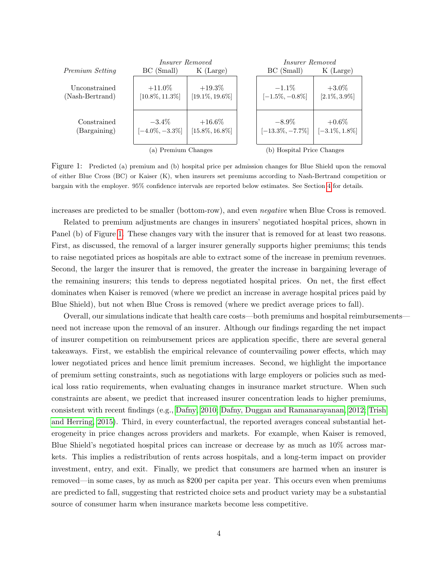<span id="page-5-0"></span>

|                                  | <i>Insurer Removed</i>          |                                 | <i>Insurer Removed</i>          |                               |
|----------------------------------|---------------------------------|---------------------------------|---------------------------------|-------------------------------|
| Premium Setting                  | BC (Small)                      | $K$ (Large)                     | BC (Small)                      | $K$ (Large)                   |
| Unconstrained<br>(Nash-Bertrand) | $+11.0\%$<br>$[10.8\%, 11.3\%]$ | $+19.3\%$<br>$[19.1\%, 19.6\%]$ | $-1.1\%$<br>$[-1.5\%, -0.8\%]$  | $+3.0\%$<br>$[2.1\%, 3.9\%]$  |
| Constrained<br>(Bargaining)      | $-3.4\%$<br>$[-4.0\%, -3.3\%]$  | $+16.6\%$<br>$[15.8\%, 16.8\%]$ | $-8.9\%$<br>$[-13.3\%, -7.7\%]$ | $+0.6\%$<br>$[-3.1\%, 1.8\%]$ |
|                                  | (a) Premium Changes             |                                 | (b) Hospital Price Changes      |                               |

Figure 1: Predicted (a) premium and (b) hospital price per admission changes for Blue Shield upon the removal of either Blue Cross (BC) or Kaiser (K), when insurers set premiums according to Nash-Bertrand competition or bargain with the employer. 95% confidence intervals are reported below estimates. See Section [4](#page-29-0) for details.

increases are predicted to be smaller (bottom-row), and even *negative* when Blue Cross is removed.

Related to premium adjustments are changes in insurers' negotiated hospital prices, shown in Panel (b) of Figure [1.](#page-5-0) These changes vary with the insurer that is removed for at least two reasons. First, as discussed, the removal of a larger insurer generally supports higher premiums; this tends to raise negotiated prices as hospitals are able to extract some of the increase in premium revenues. Second, the larger the insurer that is removed, the greater the increase in bargaining leverage of the remaining insurers; this tends to depress negotiated hospital prices. On net, the first effect dominates when Kaiser is removed (where we predict an increase in average hospital prices paid by Blue Shield), but not when Blue Cross is removed (where we predict average prices to fall).

Overall, our simulations indicate that health care costs—both premiums and hospital reimbursements need not increase upon the removal of an insurer. Although our findings regarding the net impact of insurer competition on reimbursement prices are application specific, there are several general takeaways. First, we establish the empirical relevance of countervailing power effects, which may lower negotiated prices and hence limit premium increases. Second, we highlight the importance of premium setting constraints, such as negotiations with large employers or policies such as medical loss ratio requirements, when evaluating changes in insurance market structure. When such constraints are absent, we predict that increased insurer concentration leads to higher premiums, consistent with recent findings (e.g., [Dafny, 2010;](#page-39-3) [Dafny, Duggan and Ramanarayanan, 2012;](#page-39-4) [Trish](#page-41-7) [and Herring, 2015\)](#page-41-7). Third, in every counterfactual, the reported averages conceal substantial heterogeneity in price changes across providers and markets. For example, when Kaiser is removed, Blue Shield's negotiated hospital prices can increase or decrease by as much as 10% across markets. This implies a redistribution of rents across hospitals, and a long-term impact on provider investment, entry, and exit. Finally, we predict that consumers are harmed when an insurer is removed—in some cases, by as much as \$200 per capita per year. This occurs even when premiums are predicted to fall, suggesting that restricted choice sets and product variety may be a substantial source of consumer harm when insurance markets become less competitive.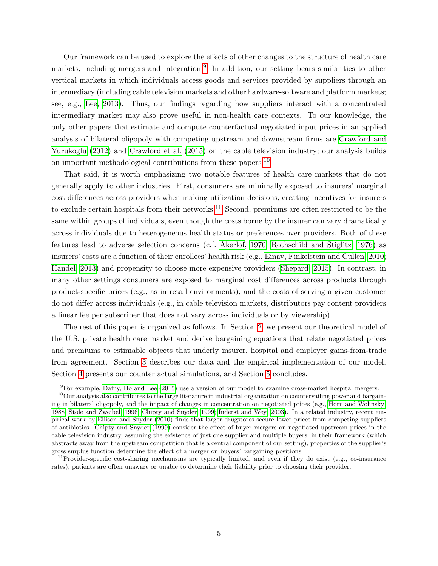Our framework can be used to explore the effects of other changes to the structure of health care markets, including mergers and integration.<sup>[9](#page-6-0)</sup> In addition, our setting bears similarities to other vertical markets in which individuals access goods and services provided by suppliers through an intermediary (including cable television markets and other hardware-software and platform markets; see, e.g., [Lee, 2013\)](#page-41-8). Thus, our findings regarding how suppliers interact with a concentrated intermediary market may also prove useful in non-health care contexts. To our knowledge, the only other papers that estimate and compute counterfactual negotiated input prices in an applied analysis of bilateral oligopoly with competing upstream and downstream firms are [Crawford and](#page-39-2) [Yurukoglu](#page-39-2) [\(2012\)](#page-39-2) and [Crawford et al.](#page-39-5) [\(2015\)](#page-39-5) on the cable television industry; our analysis builds on important methodological contributions from these papers.<sup>[10](#page-6-1)</sup>

That said, it is worth emphasizing two notable features of health care markets that do not generally apply to other industries. First, consumers are minimally exposed to insurers' marginal cost differences across providers when making utilization decisions, creating incentives for insurers to exclude certain hospitals from their networks.<sup>[11](#page-6-2)</sup> Second, premiums are often restricted to be the same within groups of individuals, even though the costs borne by the insurer can vary dramatically across individuals due to heterogeneous health status or preferences over providers. Both of these features lead to adverse selection concerns (c.f. [Akerlof, 1970;](#page-39-6) [Rothschild and Stiglitz, 1976\)](#page-41-9) as insurers' costs are a function of their enrollees' health risk (e.g., [Einav, Finkelstein and Cullen, 2010;](#page-40-8) [Handel, 2013\)](#page-40-9) and propensity to choose more expensive providers [\(Shepard, 2015\)](#page-41-6). In contrast, in many other settings consumers are exposed to marginal cost differences across products through product-specific prices (e.g., as in retail environments), and the costs of serving a given customer do not differ across individuals (e.g., in cable television markets, distributors pay content providers a linear fee per subscriber that does not vary across individuals or by viewership).

The rest of this paper is organized as follows. In Section [2,](#page-7-0) we present our theoretical model of the U.S. private health care market and derive bargaining equations that relate negotiated prices and premiums to estimable objects that underly insurer, hospital and employer gains-from-trade from agreement. Section [3](#page-14-0) describes our data and the empirical implementation of our model. Section [4](#page-29-0) presents our counterfactual simulations, and Section [5](#page-38-0) concludes.

<span id="page-6-1"></span><span id="page-6-0"></span> $9F$ or example, [Dafny, Ho and Lee](#page-39-7) [\(2015\)](#page-39-7) use a version of our model to examine cross-market hospital mergers.

 $10$ Our analysis also contributes to the large literature in industrial organization on countervailing power and bargaining in bilateral oligopoly, and the impact of changes in concentration on negotiated prices (e.g., [Horn and Wolinsky,](#page-41-5) [1988;](#page-41-5) [Stole and Zweibel, 1996;](#page-41-10) [Chipty and Snyder, 1999;](#page-39-8) [Inderst and Wey, 2003\)](#page-41-11). In a related industry, recent empirical work by [Ellison and Snyder](#page-40-10) [\(2010\)](#page-40-10) finds that larger drugstores secure lower prices from competing suppliers of antibiotics. [Chipty and Snyder](#page-39-8) [\(1999\)](#page-39-8) consider the effect of buyer mergers on negotiated upstream prices in the cable television industry, assuming the existence of just one supplier and multiple buyers; in their framework (which abstracts away from the upstream competition that is a central component of our setting), properties of the supplier's gross surplus function determine the effect of a merger on buyers' bargaining positions.

<span id="page-6-2"></span><sup>&</sup>lt;sup>11</sup>Provider-specific cost-sharing mechanisms are typically limited, and even if they do exist (e.g., co-insurance rates), patients are often unaware or unable to determine their liability prior to choosing their provider.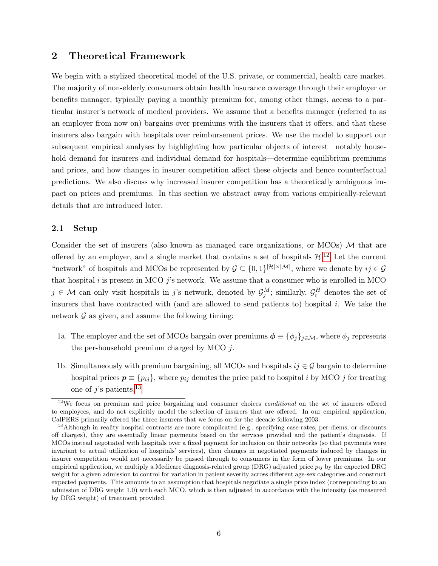## <span id="page-7-0"></span>2 Theoretical Framework

We begin with a stylized theoretical model of the U.S. private, or commercial, health care market. The majority of non-elderly consumers obtain health insurance coverage through their employer or benefits manager, typically paying a monthly premium for, among other things, access to a particular insurer's network of medical providers. We assume that a benefits manager (referred to as an employer from now on) bargains over premiums with the insurers that it offers, and that these insurers also bargain with hospitals over reimbursement prices. We use the model to support our subsequent empirical analyses by highlighting how particular objects of interest—notably household demand for insurers and individual demand for hospitals—determine equilibrium premiums and prices, and how changes in insurer competition affect these objects and hence counterfactual predictions. We also discuss why increased insurer competition has a theoretically ambiguous impact on prices and premiums. In this section we abstract away from various empirically-relevant details that are introduced later.

### 2.1 Setup

Consider the set of insurers (also known as managed care organizations, or  $MCOs$ )  $M$  that are offered by an employer, and a single market that contains a set of hospitals  $\mathcal{H}^{12}$  $\mathcal{H}^{12}$  $\mathcal{H}^{12}$ . Let the current "network" of hospitals and MCOs be represented by  $\mathcal{G} \subseteq \{0,1\}^{|\mathcal{H}| \times |\mathcal{M}|}$ , where we denote by  $ij \in \mathcal{G}$ that hospital  $i$  is present in MCO  $j$ 's network. We assume that a consumer who is enrolled in MCO  $j \in \mathcal{M}$  can only visit hospitals in j's network, denoted by  $\mathcal{G}_j^M$ ; similarly,  $\mathcal{G}_i^H$  denotes the set of insurers that have contracted with (and are allowed to send patients to) hospital  $i$ . We take the network  $\mathcal G$  as given, and assume the following timing:

- 1a. The employer and the set of MCOs bargain over premiums  $\phi \equiv {\{\phi_j\}}_{j \in \mathcal{M}}$ , where  $\phi_j$  represents the per-household premium charged by MCO  $i$ .
- 1b. Simultaneously with premium bargaining, all MCOs and hospitals  $ij \in \mathcal{G}$  bargain to determine hospital prices  $p \equiv \{p_{ij}\}\$ , where  $p_{ij}$  denotes the price paid to hospital i by MCO j for treating one of j's patients.<sup>[13](#page-7-2)</sup>

<span id="page-7-1"></span><sup>&</sup>lt;sup>12</sup>We focus on premium and price bargaining and consumer choices *conditional* on the set of insurers offered to employees, and do not explicitly model the selection of insurers that are offered. In our empirical application, CalPERS primarily offered the three insurers that we focus on for the decade following 2003.

<span id="page-7-2"></span> $13$ Although in reality hospital contracts are more complicated (e.g., specifying case-rates, per-diems, or discounts off charges), they are essentially linear payments based on the services provided and the patient's diagnosis. If MCOs instead negotiated with hospitals over a fixed payment for inclusion on their networks (so that payments were invariant to actual utilization of hospitals' services), then changes in negotiated payments induced by changes in insurer competition would not necessarily be passed through to consumers in the form of lower premiums. In our empirical application, we multiply a Medicare diagnosis-related group (DRG) adjusted price  $p_{ij}$  by the expected DRG weight for a given admission to control for variation in patient severity across different age-sex categories and construct expected payments. This amounts to an assumption that hospitals negotiate a single price index (corresponding to an admission of DRG weight 1.0) with each MCO, which is then adjusted in accordance with the intensity (as measured by DRG weight) of treatment provided.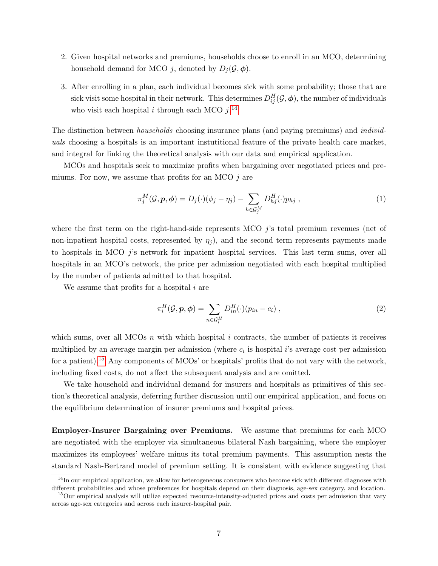- 2. Given hospital networks and premiums, households choose to enroll in an MCO, determining household demand for MCO j, denoted by  $D_i(\mathcal{G}, \phi)$ .
- 3. After enrolling in a plan, each individual becomes sick with some probability; those that are sick visit some hospital in their network. This determines  $D_{ij}^H(\mathcal{G},\boldsymbol{\phi})$ , the number of individuals who visit each hospital *i* through each MCO  $j$ .<sup>[14](#page-8-0)</sup>

The distinction between *households* choosing insurance plans (and paying premiums) and *individ*uals choosing a hospitals is an important instutitional feature of the private health care market, and integral for linking the theoretical analysis with our data and empirical application.

MCOs and hospitals seek to maximize profits when bargaining over negotiated prices and premiums. For now, we assume that profits for an MCO  $j$  are

<span id="page-8-2"></span>
$$
\pi_j^M(\mathcal{G}, \mathbf{p}, \phi) = D_j(\cdot)(\phi_j - \eta_j) - \sum_{h \in \mathcal{G}_j^M} D_{hj}^H(\cdot) p_{hj} , \qquad (1)
$$

where the first term on the right-hand-side represents MCO  $i$ 's total premium revenues (net of non-inpatient hospital costs, represented by  $\eta_i$ ), and the second term represents payments made to hospitals in MCO  $i$ 's network for inpatient hospital services. This last term sums, over all hospitals in an MCO's network, the price per admission negotiated with each hospital multiplied by the number of patients admitted to that hospital.

We assume that profits for a hospital  $i$  are

$$
\pi_i^H(\mathcal{G}, \mathbf{p}, \phi) = \sum_{n \in \mathcal{G}_i^H} D_{in}^H(\cdot)(p_{in} - c_i) , \qquad (2)
$$

which sums, over all MCOs  $n$  with which hospital  $i$  contracts, the number of patients it receives multiplied by an average margin per admission (where  $c_i$  is hospital i's average cost per admission for a patient).<sup>[15](#page-8-1)</sup> Any components of MCOs' or hospitals' profits that do not vary with the network, including fixed costs, do not affect the subsequent analysis and are omitted.

We take household and individual demand for insurers and hospitals as primitives of this section's theoretical analysis, deferring further discussion until our empirical application, and focus on the equilibrium determination of insurer premiums and hospital prices.

Employer-Insurer Bargaining over Premiums. We assume that premiums for each MCO are negotiated with the employer via simultaneous bilateral Nash bargaining, where the employer maximizes its employees' welfare minus its total premium payments. This assumption nests the standard Nash-Bertrand model of premium setting. It is consistent with evidence suggesting that

<span id="page-8-0"></span> $14$ In our empirical application, we allow for heterogeneous consumers who become sick with different diagnoses with different probabilities and whose preferences for hospitals depend on their diagnosis, age-sex category, and location.

<span id="page-8-1"></span><sup>&</sup>lt;sup>15</sup>Our empirical analysis will utilize expected resource-intensity-adjusted prices and costs per admission that vary across age-sex categories and across each insurer-hospital pair.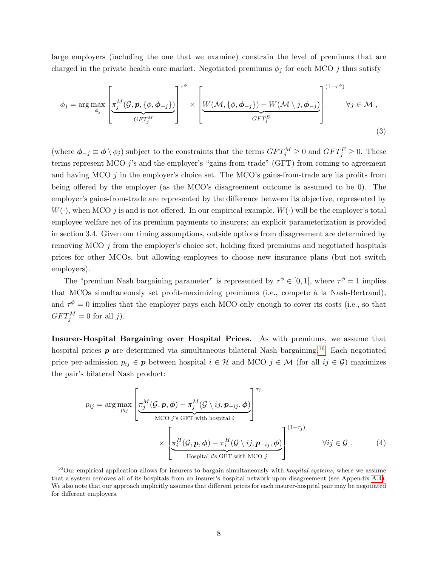large employers (including the one that we examine) constrain the level of premiums that are charged in the private health care market. Negotiated premiums  $\phi_j$  for each MCO j thus satisfy

<span id="page-9-1"></span>
$$
\phi_j = \arg \max_{\phi_j} \left[ \frac{\pi_j^M(\mathcal{G}, \mathbf{p}, \{\phi, \phi_{-j}\})}{GFT_j^M} \right]^{\tau^{\phi}} \times \left[ \underbrace{W(\mathcal{M}, \{\phi, \phi_{-j}\}) - W(\mathcal{M} \setminus j, \phi_{-j})}_{GFT_j^E} \right]^{(1-\tau^{\phi})} \forall j \in \mathcal{M},
$$
\n(3)

(where  $\phi_{-j} \equiv \phi \setminus \phi_j$ ) subject to the constraints that the terms  $GFT_j^M \geq 0$  and  $GFT_j^E \geq 0$ . These terms represent MCO  $j$ 's and the employer's "gains-from-trade" (GFT) from coming to agreement and having MCO  $j$  in the employer's choice set. The MCO's gains-from-trade are its profits from being offered by the employer (as the MCO's disagreement outcome is assumed to be 0). The employer's gains-from-trade are represented by the difference between its objective, represented by  $W(\cdot)$ , when MCO j is and is not offered. In our empirical example,  $W(\cdot)$  will be the employer's total employee welfare net of its premium payments to insurers; an explicit parameterization is provided in section 3.4. Given our timing assumptions, outside options from disagreement are determined by removing MCO j from the employer's choice set, holding fixed premiums and negotiated hospitals prices for other MCOs, but allowing employees to choose new insurance plans (but not switch employers).

The "premium Nash bargaining parameter" is represented by  $\tau^{\phi} \in [0,1]$ , where  $\tau^{\phi} = 1$  implies that MCOs simultaneously set profit-maximizing premiums (i.e., compete à la Nash-Bertrand), and  $\tau^{\phi} = 0$  implies that the employer pays each MCO only enough to cover its costs (i.e., so that  $GFT_j^M=0$  for all j).

Insurer-Hospital Bargaining over Hospital Prices. As with premiums, we assume that hospital prices  $p$  are determined via simultaneous bilateral Nash bargaining.<sup>[16](#page-9-0)</sup> Each negotiated price per-admission  $p_{ij} \in p$  between hospital  $i \in \mathcal{H}$  and MCO  $j \in \mathcal{M}$  (for all  $ij \in \mathcal{G}$ ) maximizes the pair's bilateral Nash product:

<span id="page-9-2"></span>
$$
p_{ij} = \arg \max_{p_{ij}} \left[ \frac{\pi_j^M(\mathcal{G}, \mathbf{p}, \boldsymbol{\phi}) - \pi_j^M(\mathcal{G} \setminus ij, \mathbf{p}_{-ij}, \boldsymbol{\phi})}{\text{MCO } j \text{'s GFT with hospital } i} \right]^{T_j}
$$
  
\$\times \left[ \frac{\pi\_i^H(\mathcal{G}, \mathbf{p}, \boldsymbol{\phi}) - \pi\_i^H(\mathcal{G} \setminus ij, \mathbf{p}\_{-ij}, \boldsymbol{\phi})}{\text{Hospital } i \text{'s GFT with MCO } j} \right]^{(1-\tau\_j)}\$ \forall ij \in \mathcal{G} . \tag{4}

<span id="page-9-0"></span> $16$ Our empirical application allows for insurers to bargain simultaneously with *hospital systems*, where we assume that a system removes all of its hospitals from an insurer's hospital network upon disagreement (see Appendix [A.4\)](#page-44-0). We also note that our approach implicitly assumes that different prices for each insurer-hospital pair may be negotiated for different employers.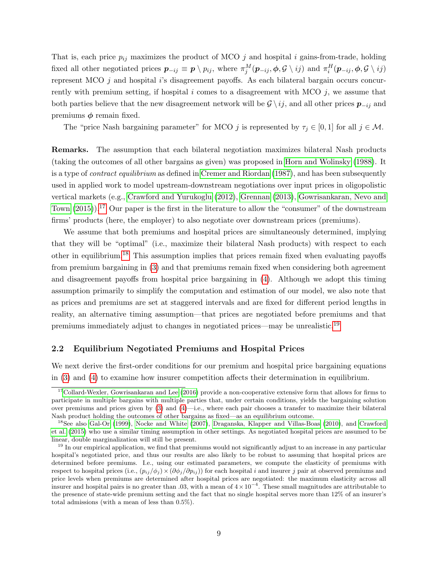That is, each price  $p_{ij}$  maximizes the product of MCO  $j$  and hospital  $i$  gains-from-trade, holding fixed all other negotiated prices  $p_{-ij} \equiv p \setminus p_{ij}$ , where  $\pi_j^M(p_{-ij}, \phi, \mathcal{G} \setminus ij)$  and  $\pi_i^H(p_{-ij}, \phi, \mathcal{G} \setminus ij)$ represent MCO  $j$  and hospital i's disagreement payoffs. As each bilateral bargain occurs concurrently with premium setting, if hospital i comes to a disagreement with MCO  $i$ , we assume that both parties believe that the new disagreement network will be  $\mathcal{G} \setminus ij$ , and all other prices  $p_{-ij}$  and premiums  $\phi$  remain fixed.

The "price Nash bargaining parameter" for MCO j is represented by  $\tau_j \in [0, 1]$  for all  $j \in \mathcal{M}$ .

Remarks. The assumption that each bilateral negotiation maximizes bilateral Nash products (taking the outcomes of all other bargains as given) was proposed in [Horn and Wolinsky](#page-41-5) [\(1988\)](#page-41-5). It is a type of contract equilibrium as defined in [Cremer and Riordan](#page-39-9) [\(1987\)](#page-39-9), and has been subsequently used in applied work to model upstream-downstream negotiations over input prices in oligopolistic vertical markets (e.g., [Crawford and Yurukoglu](#page-39-2) [\(2012\)](#page-39-2), [Grennan](#page-40-5) [\(2013\)](#page-40-5), [Gowrisankaran, Nevo and](#page-40-4) [Town](#page-40-4)  $(2015)$ .<sup>[17](#page-10-0)</sup> Our paper is the first in the literature to allow the "consumer" of the downstream firms' products (here, the employer) to also negotiate over downstream prices (premiums).

We assume that both premiums and hospital prices are simultaneously determined, implying that they will be "optimal" (i.e., maximize their bilateral Nash products) with respect to each other in equilibrium.[18](#page-10-1) This assumption implies that prices remain fixed when evaluating payoffs from premium bargaining in [\(3\)](#page-9-1) and that premiums remain fixed when considering both agreement and disagreement payoffs from hospital price bargaining in [\(4\)](#page-9-2). Although we adopt this timing assumption primarily to simplify the computation and estimation of our model, we also note that as prices and premiums are set at staggered intervals and are fixed for different period lengths in reality, an alternative timing assumption—that prices are negotiated before premiums and that premiums immediately adjust to changes in negotiated prices—may be unrealistic.[19](#page-10-2)

#### <span id="page-10-3"></span>2.2 Equilibrium Negotiated Premiums and Hospital Prices

We next derive the first-order conditions for our premium and hospital price bargaining equations in [\(3\)](#page-9-1) and [\(4\)](#page-9-2) to examine how insurer competition affects their determination in equilibrium.

<span id="page-10-0"></span><sup>&</sup>lt;sup>17</sup>[Collard-Wexler, Gowrisankaran and Lee](#page-39-10) [\(2016\)](#page-39-10) provide a non-cooperative extensive form that allows for firms to participate in multiple bargains with multiple parties that, under certain conditions, yields the bargaining solution over premiums and prices given by [\(3\)](#page-9-1) and [\(4\)](#page-9-2)—i.e., where each pair chooses a transfer to maximize their bilateral Nash product holding the outcomes of other bargains as fixed—as an equilibrium outcome.

<span id="page-10-1"></span><sup>18</sup>See also [Gal-Or](#page-40-11) [\(1999\)](#page-40-11), [Nocke and White](#page-41-12) [\(2007\)](#page-41-12), [Draganska, Klapper and Villas-Boas](#page-39-11) [\(2010\)](#page-39-11), and [Crawford](#page-39-5) [et al.](#page-39-5) [\(2015\)](#page-39-5) who use a similar timing assumption in other settings. As negotiated hospital prices are assumed to be linear, double marginalization will still be present.

<span id="page-10-2"></span><sup>&</sup>lt;sup>19</sup> In our empirical application, we find that premiums would not significantly adjust to an increase in any particular hospital's negotiated price, and thus our results are also likely to be robust to assuming that hospital prices are determined before premiums. I.e., using our estimated parameters, we compute the elasticity of premiums with respect to hospital prices (i.e.,  $(p_{ij}/\phi_j) \times (\partial \phi_j/\partial p_{ij})$ ) for each hospital i and insurer j pair at observed premiums and price levels when premiums are determined after hospital prices are negotiated: the maximum elasticity across all insurer and hospital pairs is no greater than .03, with a mean of  $4 \times 10^{-4}$ . These small magnitudes are attributable to the presence of state-wide premium setting and the fact that no single hospital serves more than 12% of an insurer's total admissions (with a mean of less than 0.5%).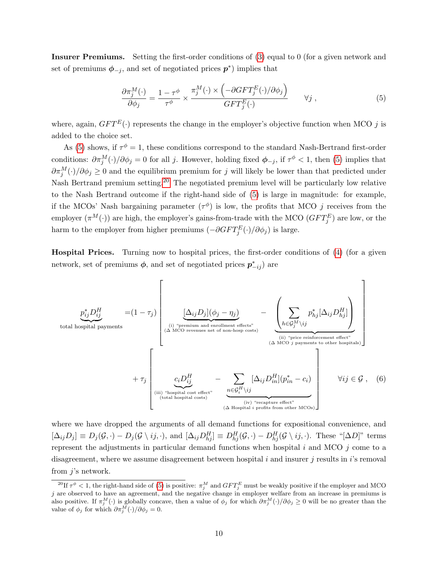Insurer Premiums. Setting the first-order conditions of [\(3\)](#page-9-1) equal to 0 (for a given network and set of premiums  $\phi_{-j}$ , and set of negotiated prices  $p^*$ ) implies that

<span id="page-11-0"></span>
$$
\frac{\partial \pi_j^M(\cdot)}{\partial \phi_j} = \frac{1 - \tau^{\phi}}{\tau^{\phi}} \times \frac{\pi_j^M(\cdot) \times \left( -\partial GFT_j^E(\cdot)/\partial \phi_j \right)}{GFT_j^E(\cdot)} \qquad \forall j ,
$$
\n
$$
(5)
$$

where, again,  $GFT^{E}(\cdot)$  represents the change in the employer's objective function when MCO j is added to the choice set.

As [\(5\)](#page-11-0) shows, if  $\tau^{\phi} = 1$ , these conditions correspond to the standard Nash-Bertrand first-order conditions:  $\partial \pi_j^M(\cdot)/\partial \phi_j = 0$  for all j. However, holding fixed  $\phi_{-j}$ , if  $\tau^{\phi} < 1$ , then [\(5\)](#page-11-0) implies that  $\partial \pi_j^M(\cdot)/\partial \phi_j \geq 0$  and the equilibrium premium for j will likely be lower than that predicted under Nash Bertrand premium setting.<sup>[20](#page-11-1)</sup> The negotiated premium level will be particularly low relative to the Nash Bertrand outcome if the right-hand side of [\(5\)](#page-11-0) is large in magnitude: for example, if the MCOs' Nash bargaining parameter  $(\tau^{\phi})$  is low, the profits that MCO j receives from the employer  $(\pi^M(\cdot))$  are high, the employer's gains-from-trade with the MCO  $(GFT_j^E)$  are low, or the harm to the employer from higher premiums  $(-\partial GFT^E_j(\cdot)/\partial \phi_j)$  is large.

Hospital Prices. Turning now to hospital prices, the first-order conditions of [\(4\)](#page-9-2) (for a given network, set of premiums  $\phi$ , and set of negotiated prices  $p_{-ij}^*$ ) are

<span id="page-11-2"></span>
$$
p_{ij}^{*}D_{ij}^{H}
$$
\ntotal hospital payments\n
$$
+ \tau_{j} \left[\begin{array}{c}\n\Delta_{ij}D_{j}](\phi_{j} - \eta_{j}) & -\n\Delta_{ij}D_{j}[\phi_{j} - \eta_{j} - \sum_{\text{(A MCO revenues net of non-hosp costs)}} p_{hj}^{*}[\Delta_{ij}D_{hj}^{H}] \\
\vdots \\
\Delta_{i}D_{i}D_{j}^{H}[\Delta_{ij}D_{hj}^{H}] & \Delta_{ij}D_{hj}^{H} \\
\vdots \\
\Delta_{i}D_{i}D_{j}^{H}[\Delta_{ij}D_{hj}^{H}] & \Delta_{ij}D_{j}D_{j}^{H}[\Delta_{ij}D_{hj}^{H}] \\
\vdots \\
\Delta_{i}D_{i}D_{j}^{H}[\Delta_{ij}D_{j}^{H}][p_{j}^{*} - c_{i}]\n\end{array}\right]
$$
\ntotal hospital position's population. The system of the DFT is a other hospital. The system of the DFT is a single number of nodes, and the system is not often possible to other hospital. The system of the DFT is a single number of nodes, and the system is not possible. The system of the DFT is a single number of nodes, the system is a single number of nodes, and the system is a single number of nodes. The system is a single number of nodes, the system is a single number of nodes, and the system is a single number of nodes. The system is a single number of nodes, and the system is a single number of nodes, and the system is a single number of nodes, and the system is a single number of nodes. The system is a single number of nodes, and the system is a single number of nodes, and the system is a single number of nodes. The system is a single number of nodes, and the system is a single number of nodes, and the system is a single number of nodes. The system is a single number of nodes, and the system is a single number of nodes, and the system is a single number of nodes, and the system is a single number of nodes. The system is a single number of nodes, and the system is a single number of nodes, and the system is a single number of nodes. The system is a single number of nodes, and the system is a single number of nodes, and the system is a single number of nodes, and the system is a single number of nodes, and the system is a single number of nodes. The system is a single number of nodes, and the system is a single number of nodes, and the system is a single number of nodes, and the system is a single number of nodes. The system is a single number of nodes, and the system is a single number of nodes, and the system is a single number of nodes, and the system is a single number of nodes. The system is a single number of nodes, and the system is a single number of nodes, and the system is a single number of nodes, and the system is a single number of nodes, and the system is a single number of nodes.

where we have dropped the arguments of all demand functions for expositional convenience, and  $[\Delta_{ij}D_j] \equiv D_j(\mathcal{G},\cdot) - D_j(\mathcal{G}\setminus ij,\cdot),$  and  $[\Delta_{ij}D_{hj}^H] \equiv D_{hj}^H(\mathcal{G},\cdot) - D_{hj}^H(\mathcal{G}\setminus ij,\cdot).$  These " $[\Delta D]$ " terms represent the adjustments in particular demand functions when hospital  $i$  and MCO  $j$  come to a disagreement, where we assume disagreement between hospital  $i$  and insurer  $j$  results in  $i$ 's removal from  $j$ 's network.

<span id="page-11-1"></span><sup>&</sup>lt;sup>20</sup>If  $\tau^{\phi}$  < 1, the right-hand side of [\(5\)](#page-11-0) is positive:  $\pi_j^M$  and  $GFT_j^E$  must be weakly positive if the employer and MCO j are observed to have an agreement, and the negative change in employer welfare from an increase in premiums is also positive. If  $\pi_j^M(\cdot)$  is globally concave, then a value of  $\phi_j$  for which  $\partial \pi_j^M(\cdot)/\partial \phi_j \geq 0$  will be no greater than the value of  $\phi_j$  for which  $\partial \pi_j^M(\cdot)/\partial \phi_j = 0$ .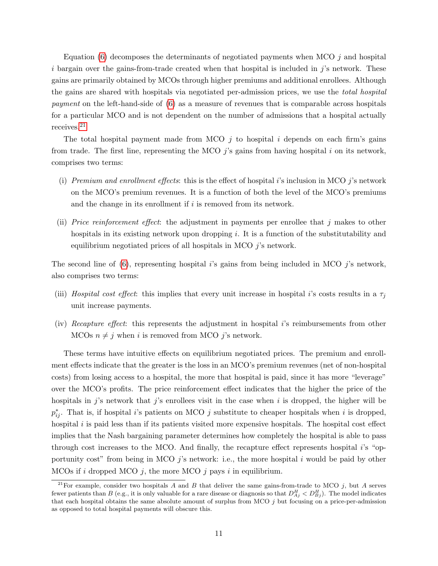Equation  $(6)$  decomposes the determinants of negotiated payments when MCO  $j$  and hospital i bargain over the gains-from-trade created when that hospital is included in  $j$ 's network. These gains are primarily obtained by MCOs through higher premiums and additional enrollees. Although the gains are shared with hospitals via negotiated per-admission prices, we use the total hospital payment on the left-hand-side of [\(6\)](#page-11-2) as a measure of revenues that is comparable across hospitals for a particular MCO and is not dependent on the number of admissions that a hospital actually receives.[21](#page-12-0)

The total hospital payment made from MCO  $i$  to hospital i depends on each firm's gains from trade. The first line, representing the MCO  $j$ 's gains from having hospital i on its network, comprises two terms:

- (i) Premium and enrollment effects: this is the effect of hospital i's inclusion in MCO  $j$ 's network on the MCO's premium revenues. It is a function of both the level of the MCO's premiums and the change in its enrollment if  $i$  is removed from its network.
- (ii) Price reinforcement effect: the adjustment in payments per enrollee that  $j$  makes to other hospitals in its existing network upon dropping i. It is a function of the substitutability and equilibrium negotiated prices of all hospitals in MCO j's network.

The second line of  $(6)$ , representing hospital i's gains from being included in MCO j's network, also comprises two terms:

- (iii) Hospital cost effect: this implies that every unit increase in hospital i's costs results in a  $\tau_j$ unit increase payments.
- (iv) Recapture effect: this represents the adjustment in hospital i's reimbursements from other MCOs  $n \neq j$  when i is removed from MCO j's network.

These terms have intuitive effects on equilibrium negotiated prices. The premium and enrollment effects indicate that the greater is the loss in an MCO's premium revenues (net of non-hospital costs) from losing access to a hospital, the more that hospital is paid, since it has more "leverage" over the MCO's profits. The price reinforcement effect indicates that the higher the price of the hospitals in  $j$ 's network that  $j$ 's enrollees visit in the case when i is dropped, the higher will be  $p_{ij}^*$ . That is, if hospital i's patients on MCO j substitute to cheaper hospitals when i is dropped, hospital  $i$  is paid less than if its patients visited more expensive hospitals. The hospital cost effect implies that the Nash bargaining parameter determines how completely the hospital is able to pass through cost increases to the MCO. And finally, the recapture effect represents hospital  $i$ 's "opportunity cost" from being in MCO  $j$ 's network: i.e., the more hospital  $i$  would be paid by other MCOs if i dropped MCO j, the more MCO j pays i in equilibrium.

<span id="page-12-0"></span><sup>&</sup>lt;sup>21</sup>For example, consider two hospitals A and B that deliver the same gains-from-trade to MCO j, but A serves fewer patients than B (e.g., it is only valuable for a rare disease or diagnosis so that  $D_{Aj}^H < D_{Bj}^H$ ). The model indicates that each hospital obtains the same absolute amount of surplus from MCO j but focusing on a price-per-admission as opposed to total hospital payments will obscure this.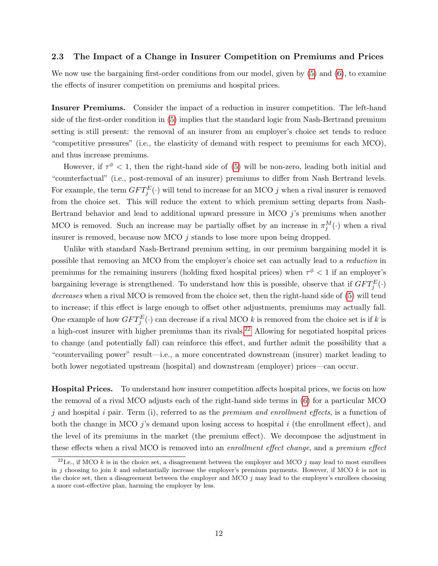## <span id="page-13-1"></span>2.3 The Impact of a Change in Insurer Competition on Premiums and Prices

We now use the bargaining first-order conditions from our model, given by  $(5)$  and  $(6)$ , to examine the effects of insurer competition on premiums and hospital prices.

Insurer Premiums. Consider the impact of a reduction in insurer competition. The left-hand side of the first-order condition in [\(5\)](#page-11-0) implies that the standard logic from Nash-Bertrand premium setting is still present: the removal of an insurer from an employer's choice set tends to reduce "competitive pressures" (i.e., the elasticity of demand with respect to premiums for each MCO), and thus increase premiums.

However, if  $\tau^{\phi} < 1$ , then the right-hand side of [\(5\)](#page-11-0) will be non-zero, leading both initial and "counterfactual" (i.e., post-removal of an insurer) premiums to differ from Nash Bertrand levels. For example, the term  $GFT_j^E(\cdot)$  will tend to increase for an MCO j when a rival insurer is removed from the choice set. This will reduce the extent to which premium setting departs from Nash-Bertrand behavior and lead to additional upward pressure in MCO  $j$ 's premiums when another MCO is removed. Such an increase may be partially offset by an increase in  $\pi_j^M(\cdot)$  when a rival insurer is removed, because now MCO  $j$  stands to lose more upon being dropped.

Unlike with standard Nash-Bertrand premium setting, in our premium bargaining model it is possible that removing an MCO from the employer's choice set can actually lead to a reduction in premiums for the remaining insurers (holding fixed hospital prices) when  $\tau^{\phi}$  < 1 if an employer's bargaining leverage is strengthened. To understand how this is possible, observe that if  $GFT_j^E(\cdot)$ decreases when a rival MCO is removed from the choice set, then the right-hand side of [\(5\)](#page-11-0) will tend to increase; if this effect is large enough to offset other adjustments, premiums may actually fall. One example of how  $GFT_{j}^{E}(\cdot)$  can decrease if a rival MCO k is removed from the choice set is if k is a high-cost insurer with higher premiums than its rivals.<sup>[22](#page-13-0)</sup> Allowing for negotiated hospital prices to change (and potentially fall) can reinforce this effect, and further admit the possibility that a "countervailing power" result—i.e., a more concentrated downstream (insurer) market leading to both lower negotiated upstream (hospital) and downstream (employer) prices—can occur.

Hospital Prices. To understand how insurer competition affects hospital prices, we focus on how the removal of a rival MCO adjusts each of the right-hand side terms in [\(6\)](#page-11-2) for a particular MCO j and hospital i pair. Term (i), referred to as the *premium and enrollment effects*, is a function of both the change in MCO *j*'s demand upon losing access to hospital  $i$  (the enrollment effect), and the level of its premiums in the market (the premium effect). We decompose the adjustment in these effects when a rival MCO is removed into an enrollment effect change, and a premium effect

<span id="page-13-0"></span><sup>&</sup>lt;sup>22</sup>I.e., if MCO k is in the choice set, a disagreement between the employer and MCO j may lead to most enrollees in j choosing to join k and substantially increase the employer's premium payments. However, if MCO k is not in the choice set, then a disagreement between the employer and MCO j may lead to the employer's enrollees choosing a more cost-effective plan, harming the employer by less.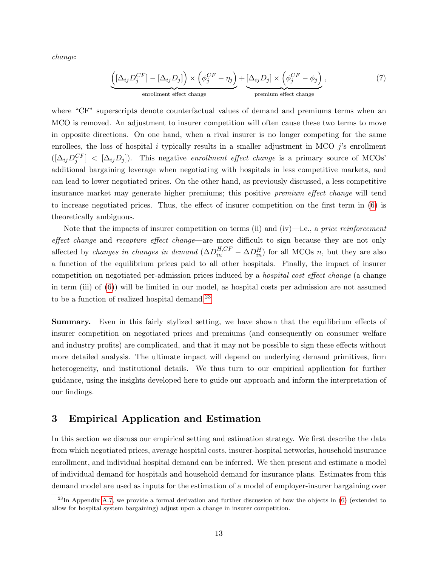change:

$$
\underbrace{\left( [\Delta_{ij} D_j^{CF}] - [\Delta_{ij} D_j] \right) \times \left( \phi_j^{CF} - \eta_j \right)}_{\text{enrollment effect change}} + \underbrace{[\Delta_{ij} D_j] \times \left( \phi_j^{CF} - \phi_j \right)}_{\text{premium effect change}},
$$
\n(7)

where "CF" superscripts denote counterfactual values of demand and premiums terms when an MCO is removed. An adjustment to insurer competition will often cause these two terms to move in opposite directions. On one hand, when a rival insurer is no longer competing for the same enrollees, the loss of hospital i typically results in a smaller adjustment in MCO  $j$ 's enrollment  $([\Delta_{ij}D_j^{CF}] \leq [\Delta_{ij}D_j]).$  This negative enrollment effect change is a primary source of MCOs' additional bargaining leverage when negotiating with hospitals in less competitive markets, and can lead to lower negotiated prices. On the other hand, as previously discussed, a less competitive insurance market may generate higher premiums; this positive premium effect change will tend to increase negotiated prices. Thus, the effect of insurer competition on the first term in [\(6\)](#page-11-2) is theoretically ambiguous.

Note that the impacts of insurer competition on terms (ii) and (iv)—i.e., a price reinforcement effect change and recapture effect change—are more difficult to sign because they are not only affected by *changes in changes in demand*  $(\Delta D_{in}^{H,CF} - \Delta D_{in}^H)$  for all MCOs *n*, but they are also a function of the equilibrium prices paid to all other hospitals. Finally, the impact of insurer competition on negotiated per-admission prices induced by a hospital cost effect change (a change in term (iii) of [\(6\)](#page-11-2)) will be limited in our model, as hospital costs per admission are not assumed to be a function of realized hospital demand.[23](#page-14-1)

Summary. Even in this fairly stylized setting, we have shown that the equilibrium effects of insurer competition on negotiated prices and premiums (and consequently on consumer welfare and industry profits) are complicated, and that it may not be possible to sign these effects without more detailed analysis. The ultimate impact will depend on underlying demand primitives, firm heterogeneity, and institutional details. We thus turn to our empirical application for further guidance, using the insights developed here to guide our approach and inform the interpretation of our findings.

# <span id="page-14-0"></span>3 Empirical Application and Estimation

In this section we discuss our empirical setting and estimation strategy. We first describe the data from which negotiated prices, average hospital costs, insurer-hospital networks, household insurance enrollment, and individual hospital demand can be inferred. We then present and estimate a model of individual demand for hospitals and household demand for insurance plans. Estimates from this demand model are used as inputs for the estimation of a model of employer-insurer bargaining over

<span id="page-14-1"></span> $^{23}$ In Appendix [A.7,](#page-48-0) we provide a formal derivation and further discussion of how the objects in [\(6\)](#page-11-2) (extended to allow for hospital system bargaining) adjust upon a change in insurer competition.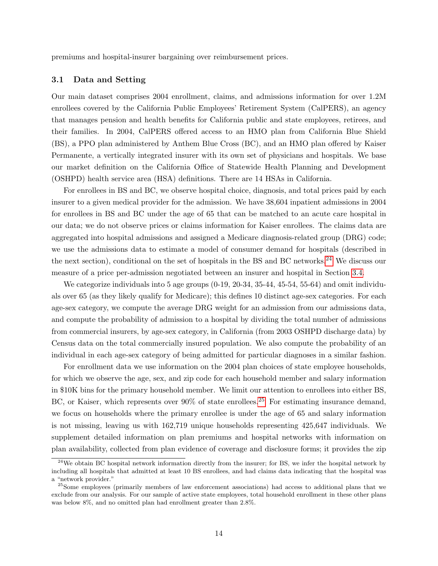premiums and hospital-insurer bargaining over reimbursement prices.

### 3.1 Data and Setting

Our main dataset comprises 2004 enrollment, claims, and admissions information for over 1.2M enrollees covered by the California Public Employees' Retirement System (CalPERS), an agency that manages pension and health benefits for California public and state employees, retirees, and their families. In 2004, CalPERS offered access to an HMO plan from California Blue Shield (BS), a PPO plan administered by Anthem Blue Cross (BC), and an HMO plan offered by Kaiser Permanente, a vertically integrated insurer with its own set of physicians and hospitals. We base our market definition on the California Office of Statewide Health Planning and Development (OSHPD) health service area (HSA) definitions. There are 14 HSAs in California.

For enrollees in BS and BC, we observe hospital choice, diagnosis, and total prices paid by each insurer to a given medical provider for the admission. We have 38,604 inpatient admissions in 2004 for enrollees in BS and BC under the age of 65 that can be matched to an acute care hospital in our data; we do not observe prices or claims information for Kaiser enrollees. The claims data are aggregated into hospital admissions and assigned a Medicare diagnosis-related group (DRG) code; we use the admissions data to estimate a model of consumer demand for hospitals (described in the next section), conditional on the set of hospitals in the BS and BC networks.<sup>[24](#page-15-0)</sup> We discuss our measure of a price per-admission negotiated between an insurer and hospital in Section [3.4.](#page-21-0)

We categorize individuals into 5 age groups  $(0-19, 20-34, 35-44, 45-54, 55-64)$  and omit individuals over 65 (as they likely qualify for Medicare); this defines 10 distinct age-sex categories. For each age-sex category, we compute the average DRG weight for an admission from our admissions data, and compute the probability of admission to a hospital by dividing the total number of admissions from commercial insurers, by age-sex category, in California (from 2003 OSHPD discharge data) by Census data on the total commercially insured population. We also compute the probability of an individual in each age-sex category of being admitted for particular diagnoses in a similar fashion.

For enrollment data we use information on the 2004 plan choices of state employee households, for which we observe the age, sex, and zip code for each household member and salary information in \$10K bins for the primary household member. We limit our attention to enrollees into either BS, BC, or Kaiser, which represents over 90% of state enrollees.<sup>[25](#page-15-1)</sup> For estimating insurance demand, we focus on households where the primary enrollee is under the age of 65 and salary information is not missing, leaving us with 162,719 unique households representing 425,647 individuals. We supplement detailed information on plan premiums and hospital networks with information on plan availability, collected from plan evidence of coverage and disclosure forms; it provides the zip

<span id="page-15-0"></span><sup>&</sup>lt;sup>24</sup>We obtain BC hospital network information directly from the insurer; for BS, we infer the hospital network by including all hospitals that admitted at least 10 BS enrollees, and had claims data indicating that the hospital was a "network provider."

<span id="page-15-1"></span><sup>&</sup>lt;sup>25</sup>Some employees (primarily members of law enforcement associations) had access to additional plans that we exclude from our analysis. For our sample of active state employees, total household enrollment in these other plans was below 8%, and no omitted plan had enrollment greater than 2.8%.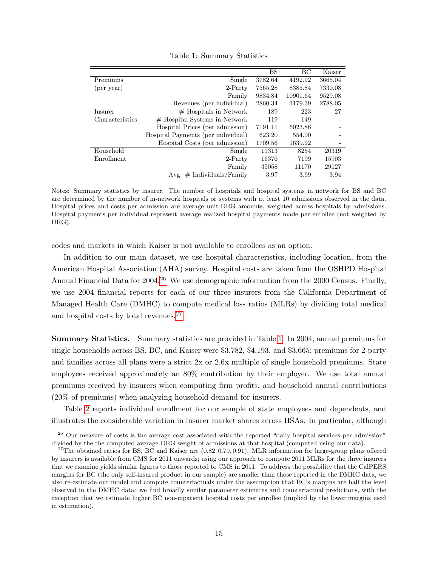<span id="page-16-2"></span>

|                 |                                    | <b>BS</b> | BC       | Kaiser  |
|-----------------|------------------------------------|-----------|----------|---------|
| Premiums        | Single                             | 3782.64   | 4192.92  | 3665.04 |
| (per year)      | $2-Partv$                          | 7565.28   | 8385.84  | 7330.08 |
|                 | Family                             | 9834.84   | 10901.64 | 9529.08 |
|                 | Revenues (per individual)          | 2860.34   | 3179.39  | 2788.05 |
| Insurer         | $#$ Hospitals in Network           | 189       | 223      | 27      |
| Characteristics | $#$ Hospital Systems in Network    | 119       | 149      |         |
|                 | Hospital Prices (per admission)    | 7191.11   | 6023.86  |         |
|                 | Hospital Payments (per individual) | 623.20    | 554.00   |         |
|                 | Hospital Costs (per admission)     | 1709.56   | 1639.92  |         |
| Household       | Single                             | 19313     | 8254     | 20319   |
| Enrollment      | $2-Partv$                          | 16376     | 7199     | 15903   |
|                 | Family                             | 35058     | 11170    | 29127   |
|                 | Avg. $\#$ Individuals/Family       | 3.97      | 3.99     | 3.94    |

Table 1: Summary Statistics

Notes: Summary statistics by insurer. The number of hospitals and hospital systems in network for BS and BC are determined by the number of in-network hospitals or systems with at least 10 admissions observed in the data. Hospital prices and costs per admission are average unit-DRG amounts, weighted across hospitals by admissions. Hospital payments per individual represent average realized hospital payments made per enrollee (not weighted by DRG).

codes and markets in which Kaiser is not available to enrollees as an option.

In addition to our main dataset, we use hospital characteristics, including location, from the American Hospital Association (AHA) survey. Hospital costs are taken from the OSHPD Hospital Annual Financial Data for  $2004<sup>26</sup>$  $2004<sup>26</sup>$  $2004<sup>26</sup>$  We use demographic information from the 2000 Census. Finally, we use 2004 financial reports for each of our three insurers from the California Department of Managed Health Care (DMHC) to compute medical loss ratios (MLRs) by dividing total medical and hospital costs by total revenues.[27](#page-16-1)

Summary Statistics. Summary statistics are provided in Table [1.](#page-16-2) In 2004, annual premiums for single households across BS, BC, and Kaiser were \$3,782, \$4,193, and \$3,665; premiums for 2-party and families across all plans were a strict 2x or 2.6x multiple of single household premiums. State employees received approximately an 80% contribution by their employer. We use total annual premiums received by insurers when computing firm profits, and household annual contributions (20% of premiums) when analyzing household demand for insurers.

Table [2](#page-17-0) reports individual enrollment for our sample of state employees and dependents, and illustrates the considerable variation in insurer market shares across HSAs. In particular, although

<span id="page-16-0"></span><sup>&</sup>lt;sup>26</sup> Our measure of costs is the average cost associated with the reported "daily hospital services per admission" divided by the the computed average DRG weight of admissions at that hospital (computed using our data).

<span id="page-16-1"></span><sup>&</sup>lt;sup>27</sup>The obtained ratios for BS, BC and Kaiser are  $(0.82, 0.79, 0.91)$ . MLR information for large-group plans offered by insurers is available from CMS for 2011 onwards; using our approach to compute 2011 MLRs for the three insurers that we examine yields similar figures to those reported to CMS in 2011. To address the possibility that the CalPERS margins for BC (the only self-insured product in our sample) are smaller than those reported in the DMHC data, we also re-estimate our model and compute counterfactuals under the assumption that BC's margins are half the level observed in the DMHC data: we find broadly similar parameter estimates and counterfactual predictions, with the exception that we estimate higher BC non-inpatient hospital costs per enrollee (implied by the lower margins used in estimation).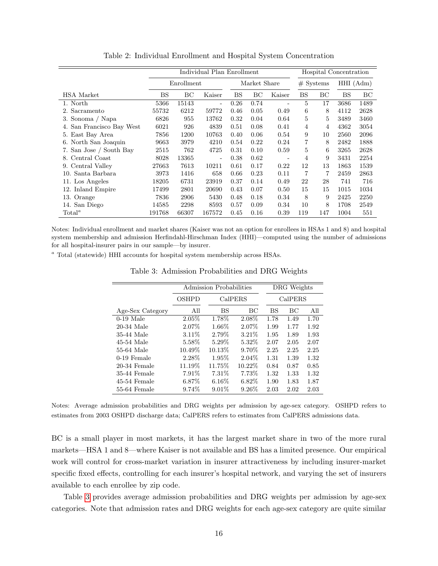<span id="page-17-0"></span>

|                              |             |            | Individual Plan Enrollment |      |              |                          |     |             | Hospital Concentration |             |
|------------------------------|-------------|------------|----------------------------|------|--------------|--------------------------|-----|-------------|------------------------|-------------|
|                              |             | Enrollment |                            |      | Market Share |                          |     | $#$ Systems |                        | $HHI$ (Adm) |
| <b>HSA</b> Market            | $_{\rm BS}$ | BC         | Kaiser                     | BS   | BC           | Kaiser                   | BS  | BС          | <b>BS</b>              | BC          |
| 1. North                     | 5366        | 15143      | ۰                          | 0.26 | 0.74         |                          | 5   | 17          | 3686                   | 1489        |
| 2. Sacramento                | 55732       | 6212       | 59772                      | 0.46 | 0.05         | 0.49                     | 6   | 8           | 4112                   | 2628        |
| 3. Sonoma / Napa             | 6826        | 955        | 13762                      | 0.32 | 0.04         | 0.64                     | 5   | 5           | 3489                   | 3460        |
| San Francisco Bay West<br>4. | 6021        | 926        | 4839                       | 0.51 | 0.08         | 0.41                     | 4   | 4           | 4362                   | 3054        |
| 5. East Bay Area             | 7856        | 1200       | 10763                      | 0.40 | 0.06         | 0.54                     | 9   | 10          | 2560                   | 2096        |
| North San Joaquin<br>6.      | 9663        | 3979       | 4210                       | 0.54 | 0.22         | 0.24                     | 7   | 8           | 2482                   | 1888        |
| 7. San Jose / South Bay      | 2515        | 762        | 4725                       | 0.31 | 0.10         | 0.59                     | 5   | 6           | 3265                   | 2628        |
| 8. Central Coast             | 8028        | 13365      | ۰                          | 0.38 | 0.62         | $\overline{\phantom{0}}$ | 4   | 9           | 3431                   | 2254        |
| 9. Central Valley            | 27663       | 7613       | 10211                      | 0.61 | 0.17         | 0.22                     | 12  | 13          | 1863                   | 1539        |
| 10. Santa Barbara            | 3973        | 1416       | 658                        | 0.66 | 0.23         | 0.11                     | 7   | 7           | 2459                   | 2863        |
| 11. Los Angeles              | 18205       | 6731       | 23919                      | 0.37 | 0.14         | 0.49                     | 22  | 28          | 741                    | 716         |
| 12. Inland Empire            | 17499       | 2801       | 20690                      | 0.43 | 0.07         | 0.50                     | 15  | 15          | 1015                   | 1034        |
| 13. Orange                   | 7836        | 2906       | 5430                       | 0.48 | 0.18         | 0.34                     | 8   | 9           | 2425                   | 2250        |
| 14. San Diego                | 14585       | 2298       | 8593                       | 0.57 | 0.09         | 0.34                     | 10  | 8           | 1708                   | 2549        |
| $\text{Total}^a$             | 191768      | 66307      | 167572                     | 0.45 | 0.16         | 0.39                     | 119 | 147         | 1004                   | 551         |

Table 2: Individual Enrollment and Hospital System Concentration

Notes: Individual enrollment and market shares (Kaiser was not an option for enrollees in HSAs 1 and 8) and hospital system membership and admission Herfindahl-Hirschman Index (HHI)—computed using the number of admissions for all hospital-insurer pairs in our sample—by insurer.

<span id="page-17-1"></span><sup>a</sup> Total (statewide) HHI accounts for hospital system membership across HSAs.

|                  |          | Admission Probabilities |          |         | DRG Weights |      |  |  |
|------------------|----------|-------------------------|----------|---------|-------------|------|--|--|
|                  | OSHPD    | CalPERS                 |          | CalPERS |             |      |  |  |
| Age-Sex Category | All      | BS                      | ВC       | BS      | ВC          | All  |  |  |
| $0-19$ Male      | 2.05%    | 1.78%                   | 2.08%    | 1.78    | 1.49        | 1.70 |  |  |
| 20-34 Male       | $2.07\%$ | $1.66\%$                | 2.07%    | 1.99    | 1.77        | 1.92 |  |  |
| 35-44 Male       | $3.11\%$ | 2.79%                   | $3.21\%$ | 1.95    | 1.89        | 1.93 |  |  |
| $45-54$ Male     | 5.58%    | $5.29\%$                | 5.32%    | 2.07    | 2.05        | 2.07 |  |  |
| 55-64 Male       | 10.49\%  | 10.13%                  | 9.70%    | 2.25    | 2.25        | 2.25 |  |  |
| 0-19 Female      | 2.28\%   | 1.95%                   | $2.04\%$ | 1.31    | 1.39        | 1.32 |  |  |
| $20-34$ Female   | 11.19%   | 11.75%                  | 10.22\%  | 0.84    | 0.87        | 0.85 |  |  |
| 35-44 Female     | 7.91\%   | 7.31\%                  | 7.73%    | 1.32    | 1.33        | 1.32 |  |  |
| 45-54 Female     | $6.87\%$ | $6.16\%$                | $6.82\%$ | 1.90    | 1.83        | 1.87 |  |  |
| 55-64 Female     | $9.74\%$ | $9.01\%$                | $9.26\%$ | 2.03    | 2.02        | 2.03 |  |  |

Table 3: Admission Probabilities and DRG Weights

Notes: Average admission probabilities and DRG weights per admission by age-sex category. OSHPD refers to estimates from 2003 OSHPD discharge data; CalPERS refers to estimates from CalPERS admissions data.

BC is a small player in most markets, it has the largest market share in two of the more rural markets—HSA 1 and 8—where Kaiser is not available and BS has a limited presence. Our empirical work will control for cross-market variation in insurer attractiveness by including insurer-market specific fixed effects, controlling for each insurer's hospital network, and varying the set of insurers available to each enrollee by zip code.

Table [3](#page-17-1) provides average admission probabilities and DRG weights per admission by age-sex categories. Note that admission rates and DRG weights for each age-sex category are quite similar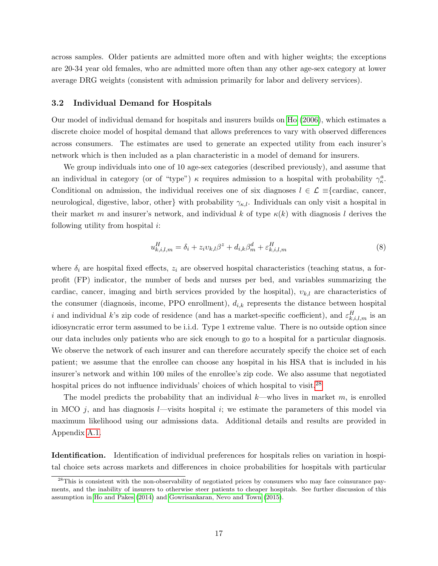across samples. Older patients are admitted more often and with higher weights; the exceptions are 20-34 year old females, who are admitted more often than any other age-sex category at lower average DRG weights (consistent with admission primarily for labor and delivery services).

#### <span id="page-18-2"></span>3.2 Individual Demand for Hospitals

Our model of individual demand for hospitals and insurers builds on [Ho](#page-40-6) [\(2006\)](#page-40-6), which estimates a discrete choice model of hospital demand that allows preferences to vary with observed differences across consumers. The estimates are used to generate an expected utility from each insurer's network which is then included as a plan characteristic in a model of demand for insurers.

We group individuals into one of 10 age-sex categories (described previously), and assume that an individual in category (or of "type")  $\kappa$  requires admission to a hospital with probability  $\gamma_{\kappa}^{a}$ . Conditional on admission, the individual receives one of six diagnoses  $l \in \mathcal{L}$  ≡{cardiac, cancer, neurological, digestive, labor, other} with probability  $\gamma_{\kappa,l}$ . Individuals can only visit a hospital in their market m and insurer's network, and individual k of type  $\kappa(k)$  with diagnosis l derives the following utility from hospital  $i$ :

<span id="page-18-1"></span>
$$
u_{k,i,l,m}^H = \delta_i + z_i v_{k,l} \beta^z + d_{i,k} \beta_m^d + \varepsilon_{k,i,l,m}^H
$$
\n
$$
(8)
$$

where  $\delta_i$  are hospital fixed effects,  $z_i$  are observed hospital characteristics (teaching status, a forprofit (FP) indicator, the number of beds and nurses per bed, and variables summarizing the cardiac, cancer, imaging and birth services provided by the hospital),  $v_{k,l}$  are characteristics of the consumer (diagnosis, income, PPO enrollment),  $d_{i,k}$  represents the distance between hospital i and individual k's zip code of residence (and has a market-specific coefficient), and  $\varepsilon_{k,i,l,m}^H$  is an idiosyncratic error term assumed to be i.i.d. Type 1 extreme value. There is no outside option since our data includes only patients who are sick enough to go to a hospital for a particular diagnosis. We observe the network of each insurer and can therefore accurately specify the choice set of each patient; we assume that the enrollee can choose any hospital in his HSA that is included in his insurer's network and within 100 miles of the enrollee's zip code. We also assume that negotiated hospital prices do not influence individuals' choices of which hospital to visit.<sup>[28](#page-18-0)</sup>

The model predicts the probability that an individual  $k$ —who lives in market m, is enrolled in MCO  $j$ , and has diagnosis *l*—visits hospital  $i$ ; we estimate the parameters of this model via maximum likelihood using our admissions data. Additional details and results are provided in Appendix [A.1.](#page-42-0)

Identification. Identification of individual preferences for hospitals relies on variation in hospital choice sets across markets and differences in choice probabilities for hospitals with particular

<span id="page-18-0"></span><sup>&</sup>lt;sup>28</sup>This is consistent with the non-observability of negotiated prices by consumers who may face coinsurance payments, and the inability of insurers to otherwise steer patients to cheaper hospitals. See further discussion of this assumption in [Ho and Pakes](#page-40-12) [\(2014\)](#page-40-12) and [Gowrisankaran, Nevo and Town](#page-40-4) [\(2015\)](#page-40-4).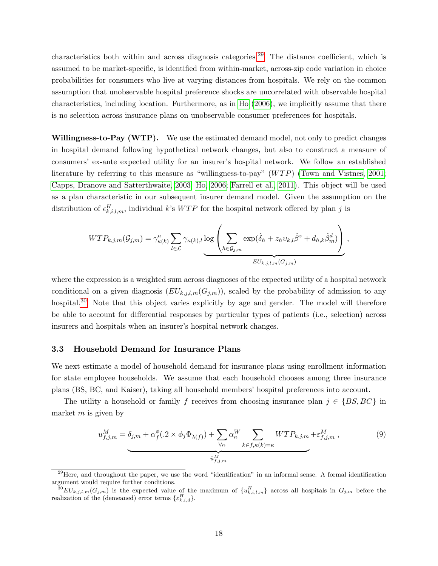characteristics both within and across diagnosis categories.[29](#page-19-0) The distance coefficient, which is assumed to be market-specific, is identified from within-market, across-zip code variation in choice probabilities for consumers who live at varying distances from hospitals. We rely on the common assumption that unobservable hospital preference shocks are uncorrelated with observable hospital characteristics, including location. Furthermore, as in [Ho](#page-40-6) [\(2006\)](#page-40-6), we implicitly assume that there is no selection across insurance plans on unobservable consumer preferences for hospitals.

Willingness-to-Pay (WTP). We use the estimated demand model, not only to predict changes in hospital demand following hypothetical network changes, but also to construct a measure of consumers' ex-ante expected utility for an insurer's hospital network. We follow an established literature by referring to this measure as "willingness-to-pay"  $(WTP)$  [\(Town and Vistnes, 2001;](#page-41-4) [Capps, Dranove and Satterthwaite, 2003;](#page-39-1) [Ho, 2006;](#page-40-6) [Farrell et al., 2011\)](#page-40-13). This object will be used as a plan characteristic in our subsequent insurer demand model. Given the assumption on the distribution of  $\epsilon_{k,i,l,m}^H$ , individual k's WTP for the hospital network offered by plan j is

$$
WTP_{k,j,m}(\mathcal{G}_{j,m}) = \gamma_{\kappa(k)}^a \sum_{l \in \mathcal{L}} \gamma_{\kappa(k),l} \log \left( \sum_{h \in \mathcal{G}_{j,m}} \exp(\hat{\delta}_h + z_h v_{k,l} \hat{\beta}^z + d_{h,k} \hat{\beta}_m^d) \right),
$$
  

$$
EU_{k,j,l,m}(G_{j,m})
$$

where the expression is a weighted sum across diagnoses of the expected utility of a hospital network conditional on a given diagnosis  $(EU_{k,j,l,m}(G_{j,m}))$ , scaled by the probability of admission to any hospital.<sup>[30](#page-19-1)</sup> Note that this object varies explicitly by age and gender. The model will therefore be able to account for differential responses by particular types of patients (i.e., selection) across insurers and hospitals when an insurer's hospital network changes.

### <span id="page-19-3"></span>3.3 Household Demand for Insurance Plans

We next estimate a model of household demand for insurance plans using enrollment information for state employee households. We assume that each household chooses among three insurance plans (BS, BC, and Kaiser), taking all household members' hospital preferences into account.

The utility a household or family f receives from choosing insurance plan  $j \in \{BS, BC\}$  in market  $m$  is given by

<span id="page-19-2"></span>
$$
u_{f,j,m}^M = \delta_{j,m} + \alpha_f^{\phi} (0.2 \times \phi_j \Phi_{\lambda(f)}) + \sum_{\forall \kappa} \alpha_{\kappa}^W \sum_{k \in f, \kappa(k) = \kappa} WTP_{k,j,m} + \varepsilon_{f,j,m}^M,
$$
\n
$$
(9)
$$

<span id="page-19-0"></span> $29$ Here, and throughout the paper, we use the word "identification" in an informal sense. A formal identification argument would require further conditions.

<span id="page-19-1"></span> ${}^{30}EU_{k,j,l,m}(G_{j,m})$  is the expected value of the maximum of  $\{u_{k,i,l,m}^H\}$  across all hospitals in  $G_{j,m}$  before the realization of the (demeaned) error terms  $\{\varepsilon_{k,i,d}^H\}.$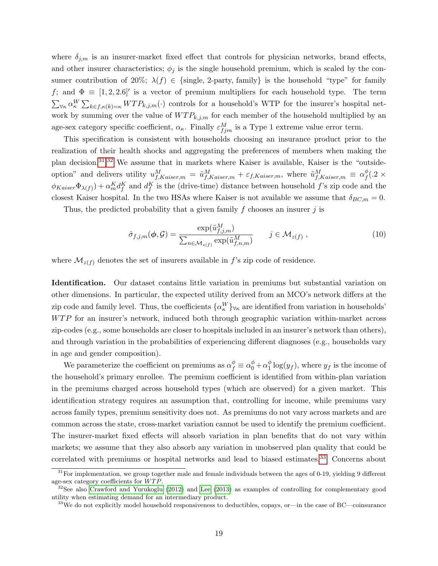where  $\delta_{j,m}$  is an insurer-market fixed effect that controls for physician networks, brand effects, and other insurer characteristics;  $\phi_j$  is the single household premium, which is scaled by the consumer contribution of 20%;  $\lambda(f) \in \{\text{single, 2-party, family}\}\$ is the household "type" for family f; and  $\Phi = [1, 2, 2.6]$  is a vector of premium multipliers for each household type. The term  $\sum_{\forall \kappa} \alpha_{\kappa}^W \sum_{k \in f, \kappa(k)=\kappa} WTP_{k,j,m}(\cdot)$  controls for a household's WTP for the insurer's hospital network by summing over the value of  $WTP_{k,j,m}$  for each member of the household multiplied by an age-sex category specific coefficient,  $\alpha_{\kappa}$ . Finally  $\varepsilon_{fjm}^{M}$  is a Type 1 extreme value error term.

This specification is consistent with households choosing an insurance product prior to the realization of their health shocks and aggregating the preferences of members when making the plan decision.[31](#page-20-0),[32](#page-20-1) We assume that in markets where Kaiser is available, Kaiser is the "outsideoption" and delivers utility  $u_{f,Kaiser,m}^M = \tilde{u}_{f,Kaiser,m}^M + \varepsilon_{f,Kaiser,m}$ , where  $\tilde{u}_{f,Kaiser,m}^M \equiv \alpha_f^{\phi}$  $^{\varphi}_{f}(.2\,\times$  $\phi_{Kaiser}\Phi_{\lambda(f)}) + \alpha_m^K d_f^K$  and  $d_f^K$  is the (drive-time) distance between household f's zip code and the closest Kaiser hospital. In the two HSAs where Kaiser is not available we assume that  $\delta_{BC,m} = 0$ .

Thus, the predicted probability that a given family f chooses an insurer  $i$  is

<span id="page-20-3"></span>
$$
\hat{\sigma}_{f,j,m}(\boldsymbol{\phi}, \mathcal{G}) = \frac{\exp(\tilde{u}_{f,j,m}^M)}{\sum_{n \in \mathcal{M}_{z(f)}} \exp(\tilde{u}_{f,n,m}^M)} \qquad j \in \mathcal{M}_{z(f)} ,
$$
\n(10)

where  $\mathcal{M}_{z(f)}$  denotes the set of insurers available in f's zip code of residence.

Identification. Our dataset contains little variation in premiums but substantial variation on other dimensions. In particular, the expected utility derived from an MCO's network differs at the zip code and family level. Thus, the coefficients  $\{\alpha_{\kappa}^W\}_{\forall\kappa}$  are identified from variation in households'  $WTP$  for an insurer's network, induced both through geographic variation within-market across zip-codes (e.g., some households are closer to hospitals included in an insurer's network than others), and through variation in the probabilities of experiencing different diagnoses (e.g., households vary in age and gender composition).

We parameterize the coefficient on premiums as  $\alpha_f^{\phi} \equiv \alpha_0^{\phi} + \alpha_1^{\phi}$  $\int_{1}^{\varphi} \log(y_f)$ , where  $y_f$  is the income of the household's primary enrollee. The premium coefficient is identified from within-plan variation in the premiums charged across household types (which are observed) for a given market. This identification strategy requires an assumption that, controlling for income, while premiums vary across family types, premium sensitivity does not. As premiums do not vary across markets and are common across the state, cross-market variation cannot be used to identify the premium coefficient. The insurer-market fixed effects will absorb variation in plan benefits that do not vary within markets; we assume that they also absorb any variation in unobserved plan quality that could be correlated with premiums or hospital networks and lead to biased estimates.<sup>[33](#page-20-2)</sup> Concerns about

<span id="page-20-0"></span> $31$  For implementation, we group together male and female individuals between the ages of 0-19, yielding 9 different age-sex category coefficients for  $WTP$ .

<span id="page-20-1"></span> $32$ See also [Crawford and Yurukoglu](#page-39-2) [\(2012\)](#page-39-2) and [Lee](#page-41-8) [\(2013\)](#page-41-8) as examples of controlling for complementary good utility when estimating demand for an intermediary product.

<span id="page-20-2"></span><sup>&</sup>lt;sup>33</sup>We do not explicitly model household responsiveness to deductibles, copays, or—in the case of BC—coinsurance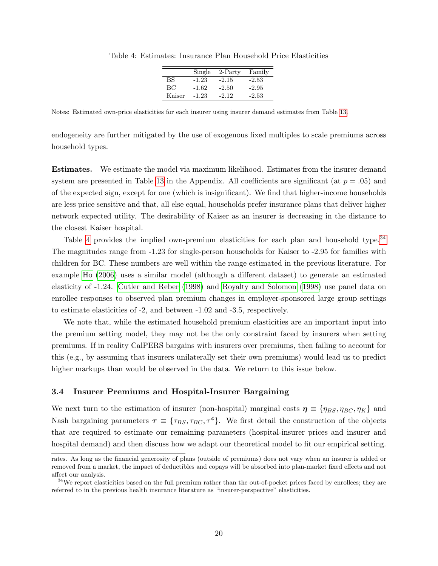|        | Single  | $2-Partv$ | Family  |
|--------|---------|-----------|---------|
| BS     | $-1.23$ | $-2.15$   | $-2.53$ |
| ВC     | $-1.62$ | $-2.50$   | $-2.95$ |
| Kaiser | -1.23   | $-2.12$   | $-2.53$ |
|        |         |           |         |

<span id="page-21-1"></span>Table 4: Estimates: Insurance Plan Household Price Elasticities

Notes: Estimated own-price elasticities for each insurer using insurer demand estimates from Table [13.](#page-45-0)

endogeneity are further mitigated by the use of exogenous fixed multiples to scale premiums across household types.

Estimates. We estimate the model via maximum likelihood. Estimates from the insurer demand system are presented in Table [13](#page-45-0) in the Appendix. All coefficients are significant (at  $p = .05$ ) and of the expected sign, except for one (which is insignificant). We find that higher-income households are less price sensitive and that, all else equal, households prefer insurance plans that deliver higher network expected utility. The desirability of Kaiser as an insurer is decreasing in the distance to the closest Kaiser hospital.

Table [4](#page-21-1) provides the implied own-premium elasticities for each plan and household type.<sup>[34](#page-21-2)</sup> The magnitudes range from -1.23 for single-person households for Kaiser to -2.95 for families with children for BC. These numbers are well within the range estimated in the previous literature. For example [Ho](#page-40-6) [\(2006\)](#page-40-6) uses a similar model (although a different dataset) to generate an estimated elasticity of -1.24. [Cutler and Reber](#page-39-12) [\(1998\)](#page-39-12) and [Royalty and Solomon](#page-41-13) [\(1998\)](#page-41-13) use panel data on enrollee responses to observed plan premium changes in employer-sponsored large group settings to estimate elasticities of -2, and between -1.02 and -3.5, respectively.

We note that, while the estimated household premium elasticities are an important input into the premium setting model, they may not be the only constraint faced by insurers when setting premiums. If in reality CalPERS bargains with insurers over premiums, then failing to account for this (e.g., by assuming that insurers unilaterally set their own premiums) would lead us to predict higher markups than would be observed in the data. We return to this issue below.

## <span id="page-21-0"></span>3.4 Insurer Premiums and Hospital-Insurer Bargaining

We next turn to the estimation of insurer (non-hospital) marginal costs  $\eta \equiv \{\eta_{BS}, \eta_{BC}, \eta_K\}$  and Nash bargaining parameters  $\tau \equiv \{\tau_{BS}, \tau_{BC}, \tau^{\phi}\}.$  We first detail the construction of the objects that are required to estimate our remaining parameters (hospital-insurer prices and insurer and hospital demand) and then discuss how we adapt our theoretical model to fit our empirical setting.

rates. As long as the financial generosity of plans (outside of premiums) does not vary when an insurer is added or removed from a market, the impact of deductibles and copays will be absorbed into plan-market fixed effects and not affect our analysis.

<span id="page-21-2"></span> $34$ We report elasticities based on the full premium rather than the out-of-pocket prices faced by enrollees; they are referred to in the previous health insurance literature as "insurer-perspective" elasticities.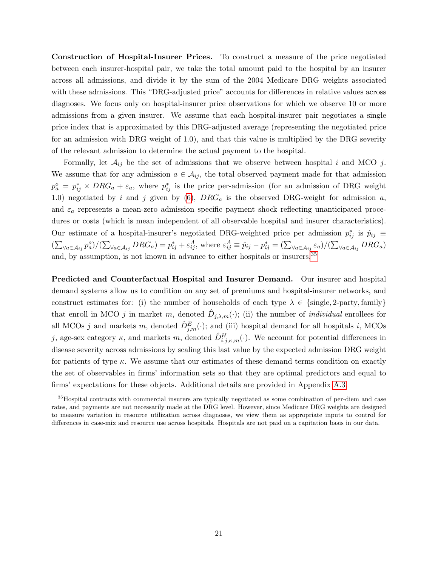Construction of Hospital-Insurer Prices. To construct a measure of the price negotiated between each insurer-hospital pair, we take the total amount paid to the hospital by an insurer across all admissions, and divide it by the sum of the 2004 Medicare DRG weights associated with these admissions. This "DRG-adjusted price" accounts for differences in relative values across diagnoses. We focus only on hospital-insurer price observations for which we observe 10 or more admissions from a given insurer. We assume that each hospital-insurer pair negotiates a single price index that is approximated by this DRG-adjusted average (representing the negotiated price for an admission with DRG weight of 1.0), and that this value is multiplied by the DRG severity of the relevant admission to determine the actual payment to the hospital.

Formally, let  $A_{ij}$  be the set of admissions that we observe between hospital i and MCO j. We assume that for any admission  $a \in \mathcal{A}_{ij}$ , the total observed payment made for that admission  $p_a^o = p_{ij}^* \times DRG_a + \varepsilon_a$ , where  $p_{ij}^*$  is the price per-admission (for an admission of DRG weight 1.0) negotiated by i and j given by  $(6)$ ,  $DRG_a$  is the observed DRG-weight for admission a, and  $\varepsilon_a$  represents a mean-zero admission specific payment shock reflecting unanticipated procedures or costs (which is mean independent of all observable hospital and insurer characteristics). Our estimate of a hospital-insurer's negotiated DRG-weighted price per admission  $p_{ij}^*$  is  $\hat{p}_{ij}$  $(\sum_{\forall a \in A_{ij}} p_a^o)/(\sum_{\forall a \in A_{ij}} DRG_a) = p_{ij}^* + \varepsilon_{ij}^A$ , where  $\varepsilon_{ij}^A \equiv \hat{p}_{ij} - p_{ij}^* = (\sum_{\forall a \in A_{ij}} \varepsilon_a)/(\sum_{\forall a \in A_{ij}} DRG_a)$ and, by assumption, is not known in advance to either hospitals or insurers.<sup>[35](#page-22-0)</sup>

Predicted and Counterfactual Hospital and Insurer Demand. Our insurer and hospital demand systems allow us to condition on any set of premiums and hospital-insurer networks, and construct estimates for: (i) the number of households of each type  $\lambda \in \{\text{single}, 2\text{-party}, \text{family}\}\$ that enroll in MCO j in market m, denoted  $\hat{D}_{j,\lambda,m}(\cdot)$ ; (ii) the number of *individual* enrollees for all MCOs j and markets m, denoted  $\hat{D}_{j,m}^E(\cdot)$ ; and (iii) hospital demand for all hospitals i, MCOs j, age-sex category  $\kappa$ , and markets m, denoted  $\hat{D}_{i,j,\kappa,m}^H(\cdot)$ . We account for potential differences in disease severity across admissions by scaling this last value by the expected admission DRG weight for patients of type  $\kappa$ . We assume that our estimates of these demand terms condition on exactly the set of observables in firms' information sets so that they are optimal predictors and equal to firms' expectations for these objects. Additional details are provided in Appendix [A.3.](#page-43-0)

<span id="page-22-0"></span><sup>35</sup>Hospital contracts with commercial insurers are typically negotiated as some combination of per-diem and case rates, and payments are not necessarily made at the DRG level. However, since Medicare DRG weights are designed to measure variation in resource utilization across diagnoses, we view them as appropriate inputs to control for differences in case-mix and resource use across hospitals. Hospitals are not paid on a capitation basis in our data.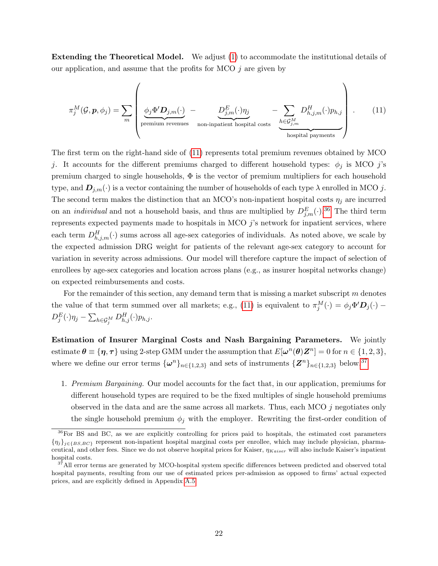Extending the Theoretical Model. We adjust [\(1\)](#page-8-2) to accommodate the institutional details of our application, and assume that the profits for MCO  $j$  are given by

<span id="page-23-0"></span>
$$
\pi_j^M(\mathcal{G}, \mathbf{p}, \phi_j) = \sum_m \left( \underbrace{\phi_j \Phi' \mathbf{D}_{j,m}(\cdot)}_{\text{premium revenues}} - \underbrace{\mathbf{D}_{j,m}^E(\cdot) \eta_j}_{\text{non-inpatient hospital costs}} - \underbrace{\sum_{h \in \mathcal{G}_{j,m}^M} \mathbf{D}_{h,j,m}^H(\cdot) p_{h,j}}_{\text{hospital payments}} \right) \,. \tag{11}
$$

The first term on the right-hand side of [\(11\)](#page-23-0) represents total premium revenues obtained by MCO j. It accounts for the different premiums charged to different household types:  $\phi_j$  is MCO j's premium charged to single households, Φ is the vector of premium multipliers for each household type, and  $\mathbf{D}_{j,m}(\cdot)$  is a vector containing the number of households of each type  $\lambda$  enrolled in MCO j. The second term makes the distinction that an MCO's non-inpatient hospital costs  $\eta_j$  are incurred on an *individual* and not a household basis, and thus are multiplied by  $D_{j,m}^{E}(\cdot)$ .<sup>[36](#page-23-1)</sup> The third term represents expected payments made to hospitals in MCO  $j$ 's network for inpatient services, where each term  $D_{h,j,m}^H(\cdot)$  sums across all age-sex categories of individuals. As noted above, we scale by the expected admission DRG weight for patients of the relevant age-sex category to account for variation in severity across admissions. Our model will therefore capture the impact of selection of enrollees by age-sex categories and location across plans (e.g., as insurer hospital networks change) on expected reimbursements and costs.

For the remainder of this section, any demand term that is missing a market subscript m denotes the value of that term summed over all markets; e.g., [\(11\)](#page-23-0) is equivalent to  $\pi_j^M(\cdot) = \phi_j \Phi' D_j(\cdot)$  $D_j^E(\cdot)\eta_j - \sum_{h\in\mathcal{G}_j^M}D^{H}_{h,j}(\cdot)p_{h,j}.$ 

Estimation of Insurer Marginal Costs and Nash Bargaining Parameters. We jointly estimate  $\theta \equiv {\eta, \tau}$  using 2-step GMM under the assumption that  $E[\omega^n(\theta)Z^n] = 0$  for  $n \in \{1, 2, 3\},\$ where we define our error terms  $\{\omega^n\}_{n\in\{1,2,3\}}$  and sets of instruments  $\{Z^n\}_{n\in\{1,2,3\}}$  below.<sup>[37](#page-23-2)</sup>

1. Premium Bargaining. Our model accounts for the fact that, in our application, premiums for different household types are required to be the fixed multiples of single household premiums observed in the data and are the same across all markets. Thus, each MCO  $j$  negotiates only the single household premium  $\phi_j$  with the employer. Rewriting the first-order condition of

<span id="page-23-1"></span><sup>36</sup>For BS and BC, as we are explicitly controlling for prices paid to hospitals, the estimated cost parameters  ${n_j}_{j \in {BS,BC}}$  represent non-inpatient hospital marginal costs per enrollee, which may include physician, pharmaceutical, and other fees. Since we do not observe hospital prices for Kaiser,  $\eta_{Kaiser}$  will also include Kaiser's inpatient hospital costs.

<span id="page-23-2"></span><sup>&</sup>lt;sup>37</sup>All error terms are generated by MCO-hospital system specific differences between predicted and observed total hospital payments, resulting from our use of estimated prices per-admission as opposed to firms' actual expected prices, and are explicitly defined in Appendix [A.5.](#page-46-0)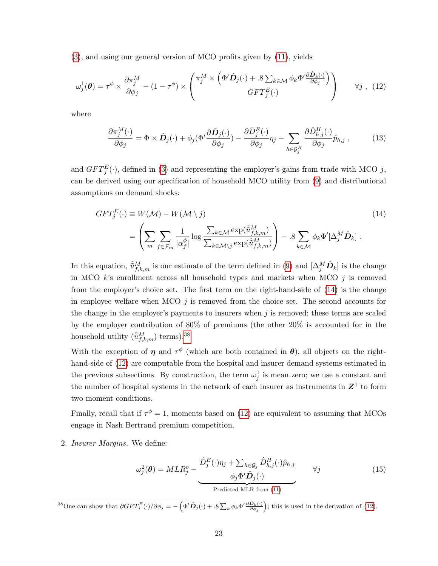[\(3\)](#page-9-1), and using our general version of MCO profits given by [\(11\)](#page-23-0), yields

$$
\omega_j^1(\boldsymbol{\theta}) = \tau^{\phi} \times \frac{\partial \pi_j^M}{\partial \phi_j} - (1 - \tau^{\phi}) \times \left( \frac{\pi_j^M \times \left( \Phi' \hat{\mathbf{D}}_j(\cdot) + .8 \sum_{k \in \mathcal{M}} \phi_k \Phi' \frac{\partial \hat{\mathbf{D}}_k(\cdot)}{\partial \phi_j} \right)}{GFT_j^E(\cdot)} \right) \qquad \forall j \,, \tag{12}
$$

where

<span id="page-24-4"></span><span id="page-24-2"></span><span id="page-24-0"></span>
$$
\frac{\partial \pi_j^M(\cdot)}{\partial \phi_j} = \Phi \times \hat{\mathbf{D}}_j(\cdot) + \phi_j(\Phi' \frac{\partial \hat{\mathbf{D}}_j(\cdot)}{\partial \phi_j}) - \frac{\partial \hat{\mathbf{D}}_j^E(\cdot)}{\partial \phi_j} \eta_j - \sum_{h \in \mathcal{G}_j^H} \frac{\partial \hat{\mathbf{D}}_{h,j}^H(\cdot)}{\partial \phi_j} \hat{p}_{h,j}, \quad (13)
$$

and  $GFT_{j}^{E}(\cdot)$ , defined in [\(3\)](#page-9-1) and representing the employer's gains from trade with MCO j, can be derived using our specification of household MCO utility from [\(9\)](#page-19-2) and distributional assumptions on demand shocks:

$$
GFT_j^E(\cdot) \equiv W(\mathcal{M}) - W(\mathcal{M} \setminus j)
$$
\n
$$
= \left(\sum_m \sum_{f \in \mathcal{F}_m} \frac{1}{|\alpha_f^{\phi}|} \log \frac{\sum_{k \in \mathcal{M}} \exp(\hat{u}_{f,k,m}^M)}{\sum_{k \in \mathcal{M} \setminus j} \exp(\hat{u}_{f,k,m}^M)}\right) - .8 \sum_{k \in \mathcal{M}} \phi_k \Phi'[\Delta_j^M \hat{D}_k].
$$
\n(14)

In this equation,  $\hat{u}_{f,k,m}^M$  is our estimate of the term defined in [\(9\)](#page-19-2) and  $[\Delta_j^M \hat{D}_k]$  is the change in MCO  $k$ 's enrollment across all household types and markets when MCO  $j$  is removed from the employer's choice set. The first term on the right-hand-side of [\(14\)](#page-24-0) is the change in employee welfare when MCO  $j$  is removed from the choice set. The second accounts for the change in the employer's payments to insurers when  $j$  is removed; these terms are scaled by the employer contribution of 80% of premiums (the other 20% is accounted for in the household utility  $(\hat{u}_{f,k,m}^M)$  terms).<sup>[38](#page-24-1)</sup>

With the exception of  $\eta$  and  $\tau^{\phi}$  (which are both contained in  $\theta$ ), all objects on the righthand-side of [\(12\)](#page-24-2) are computable from the hospital and insurer demand systems estimated in the previous subsections. By construction, the term  $\omega_j^1$  is mean zero; we use a constant and the number of hospital systems in the network of each insurer as instruments in  $Z<sup>1</sup>$  to form two moment conditions.

Finally, recall that if  $\tau^{\phi} = 1$ , moments based on [\(12\)](#page-24-2) are equivalent to assuming that MCOs engage in Nash Bertrand premium competition.

2. Insurer Margins. We define:

<span id="page-24-3"></span>
$$
\omega_j^2(\boldsymbol{\theta}) = MLR_j^o - \underbrace{\frac{\hat{D}_j^E(\cdot)\eta_j + \sum_{h \in \mathcal{G}_j} \hat{D}_{h,j}^H(\cdot)\hat{p}_{h,j}}{\phi_j \Phi' \hat{D}_j(\cdot)}}_{\text{Predicted MLR from (11)}} \qquad \forall j
$$
\n(15)

<span id="page-24-1"></span><sup>38</sup>One can show that  $\partial GFT_j^E(\cdot)/\partial \phi_j = -\left(\Phi'\hat{\mathbf{D}}_j(\cdot)+.8\sum_k \phi_k \Phi'\frac{\partial \hat{\mathbf{D}}_k(\cdot)}{\partial \phi_j}\right)$ ; this is used in the derivation of [\(12\)](#page-24-2).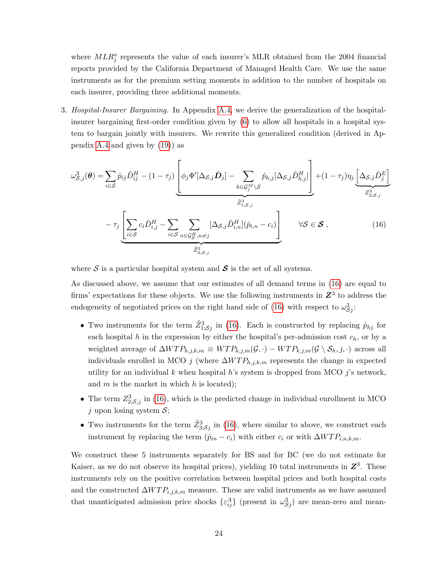where  $MLR_j^o$  represents the value of each insurer's MLR obtained from the 2004 financial reports provided by the California Department of Managed Health Care. We use the same instruments as for the premium setting moments in addition to the number of hospitals on each insurer, providing three additional moments.

3. Hospital-Insurer Bargaining. In Appendix [A.4,](#page-44-0) we derive the generalization of the hospitalinsurer bargaining first-order condition given by [\(6\)](#page-11-2) to allow all hospitals in a hospital system to bargain jointly with insurers. We rewrite this generalized condition (derived in Appendix [A.4](#page-44-0) and given by [\(19\)](#page-46-1)) as

<span id="page-25-0"></span>
$$
\omega_{\mathcal{S},j}^{3}(\boldsymbol{\theta}) = \sum_{i \in \mathcal{S}} \hat{p}_{ij} \hat{D}_{ij}^{H} - (1 - \tau_{j}) \left[ \phi_{j} \Phi'[\Delta_{\mathcal{S},j} \hat{\mathbf{D}}_{j}] - \sum_{h \in \mathcal{G}_{j}^{M} \setminus \mathcal{S}} \hat{p}_{h,j} [\Delta_{\mathcal{S},j} \hat{D}_{h,j}^{H}] \right] + (1 - \tau_{j}) \eta_{j} \underbrace{\left[ \Delta_{\mathcal{S},j} \hat{D}_{j}^{E} \right]}_{\mathcal{Z}_{2; \mathcal{S},j}^{3}} - \tau_{j} \underbrace{\left[ \sum_{i \in \mathcal{S}} c_{i} \hat{D}_{i,j}^{H} - \sum_{i \in \mathcal{S}} \sum_{n \in \mathcal{G}_{\mathcal{S}}^{H}, n \neq j} [\Delta_{\mathcal{S},j} \hat{D}_{i,n}^{H}] (\hat{p}_{i,n} - c_{i}) \right]}_{\mathcal{Z}_{3; \mathcal{S},j}^{3}} \quad \forall \mathcal{S} \in \mathcal{S}, \quad (16)
$$

where  $S$  is a particular hospital system and  $S$  is the set of all systems.

As discussed above, we assume that our estimates of all demand terms in [\(16\)](#page-25-0) are equal to firms' expectations for these objects. We use the following instruments in  $\mathbb{Z}^3$  to address the endogeneity of negotiated prices on the right hand side of [\(16\)](#page-25-0) with respect to  $\omega_{\mathcal{S}_j}^3$ :

- Two instruments for the term  $\tilde{Z}_{1;Sj}^3$  in [\(16\)](#page-25-0). Each is constructed by replacing  $\hat{p}_{hj}$  for each hospital h in the expression by either the hospital's per-admission cost  $c_h$ , or by a weighted average of  $\Delta WTP_{h,j,k,m} \equiv WTP_{k,j,m}(\mathcal{G},\cdot) - WTP_{k,j,m}(\mathcal{G} \setminus \mathcal{S}_h, j, \cdot)$  across all individuals enrolled in MCO j (where  $\Delta WTP_{h,j,k,m}$  represents the change in expected utility for an individual k when hospital h's system is dropped from MCO j's network, and  $m$  is the market in which  $h$  is located);
- The term  $Z_{2;S,j}^3$  in [\(16\)](#page-25-0), which is the predicted change in individual enrollment in MCO j upon losing system  $S$ ;
- Two instruments for the term  $\tilde{Z}_{3;\mathcal{S}j}^{3}$  in [\(16\)](#page-25-0), where similar to above, we construct each instrument by replacing the term  $(\hat{p}_{in} - c_i)$  with either  $c_i$  or with  $\Delta WTP_{i,n,k,m}$ .

We construct these 5 instruments separately for BS and for BC (we do not estimate for Kaiser, as we do not observe its hospital prices), yielding 10 total instruments in  $\mathbb{Z}^3$ . These instruments rely on the positive correlation between hospital prices and both hospital costs and the constructed  $\Delta WTP_{i,j,k,m}$  measure. These are valid instruments as we have assumed that unanticipated admission price shocks  $\{\varepsilon_{ij}^A\}$  (present in  $\omega_{\mathcal{S}j}^3$ ) are mean-zero and mean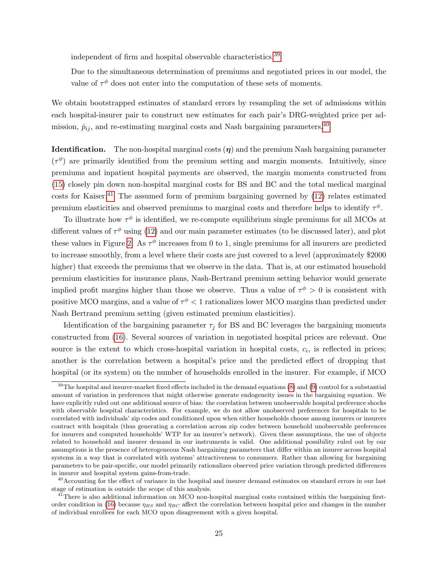independent of firm and hospital observable characteristics.[39](#page-26-0)

Due to the simultaneous determination of premiums and negotiated prices in our model, the value of  $\tau^{\phi}$  does not enter into the computation of these sets of moments.

We obtain bootstrapped estimates of standard errors by resampling the set of admissions within each hospital-insurer pair to construct new estimates for each pair's DRG-weighted price per admission,  $\hat{p}_{ij}$ , and re-estimating marginal costs and Nash bargaining parameters.<sup>[40](#page-26-1)</sup>

**Identification.** The non-hospital marginal costs  $(\eta)$  and the premium Nash bargaining parameter  $(\tau^{\phi})$  are primarily identified from the premium setting and margin moments. Intuitively, since premiums and inpatient hospital payments are observed, the margin moments constructed from [\(15\)](#page-24-3) closely pin down non-hospital marginal costs for BS and BC and the total medical marginal costs for Kaiser.<sup>[41](#page-26-2)</sup> The assumed form of premium bargaining governed by  $(12)$  relates estimated premium elasticities and observed premiums to marginal costs and therefore helps to identify  $\tau^{\phi}$ .

To illustrate how  $\tau^{\phi}$  is identified, we re-compute equilibrium single premiums for all MCOs at different values of  $\tau^{\phi}$  using [\(12\)](#page-24-2) and our main parameter estimates (to be discussed later), and plot these values in Figure [2.](#page-27-0) As  $\tau^{\phi}$  increases from 0 to 1, single premiums for all insurers are predicted to increase smoothly, from a level where their costs are just covered to a level (approximately \$2000 higher) that exceeds the premiums that we observe in the data. That is, at our estimated household premium elasticities for insurance plans, Nash-Bertrand premium setting behavior would generate implied profit margins higher than those we observe. Thus a value of  $\tau^{\phi} > 0$  is consistent with positive MCO margins, and a value of  $\tau^{\phi} < 1$  rationalizes lower MCO margins than predicted under Nash Bertrand premium setting (given estimated premium elasticities).

Identification of the bargaining parameter  $\tau_j$  for BS and BC leverages the bargaining moments constructed from [\(16\)](#page-25-0). Several sources of variation in negotiated hospital prices are relevant. One source is the extent to which cross-hospital variation in hospital costs,  $c_i$ , is reflected in prices; another is the correlation between a hospital's price and the predicted effect of dropping that hospital (or its system) on the number of households enrolled in the insurer. For example, if MCO

<span id="page-26-0"></span> $39$ The hospital and insurer-market fixed effects included in the demand equations [\(8\)](#page-18-1) and [\(9\)](#page-19-2) control for a substantial amount of variation in preferences that might otherwise generate endogeneity issues in the bargaining equation. We have explicitly ruled out one additional source of bias: the correlation between unobservable hospital preference shocks with observable hospital characteristics. For example, we do not allow unobserved preferences for hospitals to be correlated with individuals' zip codes and conditioned upon when either households choose among insurers or insurers contract with hospitals (thus generating a correlation across zip codes between household unobservable preferences for insurers and computed households' WTP for an insurer's network). Given these assumptions, the use of objects related to household and insurer demand in our instruments is valid. One additional possibility ruled out by our assumptions is the presence of heterogeneous Nash bargaining parameters that differ within an insurer across hospital systems in a way that is correlated with systems' attractiveness to consumers. Rather than allowing for bargaining parameters to be pair-specific, our model primarily rationalizes observed price variation through predicted differences in insurer and hospital system gains-from-trade.

<span id="page-26-1"></span> $^{40}$  Accounting for the effect of variance in the hospital and insurer demand estimates on standard errors in our last stage of estimation is outside the scope of this analysis.

<span id="page-26-2"></span><sup>&</sup>lt;sup>41</sup>There is also additional information on MCO non-hospital marginal costs contained within the bargaining first-order condition in [\(16\)](#page-25-0) because  $\eta_{BS}$  and  $\eta_{BC}$  affect the correlation between hospital price and changes in the number of individual enrollees for each MCO upon disagreement with a given hospital.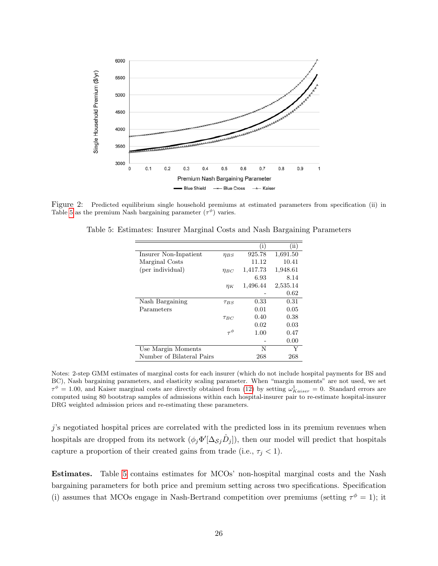<span id="page-27-0"></span>

<span id="page-27-1"></span>Figure 2: Predicted equilibrium single household premiums at estimated parameters from specification (ii) in Table [5](#page-27-1) as the premium Nash bargaining parameter  $(\tau^{\phi})$  varies.

|               | $\rm(i)$ | $\rm (ii)$ |
|---------------|----------|------------|
| $\eta_{BS}$   | 925.78   | 1,691.50   |
|               | 11.12    | 10.41      |
| $\eta_{BC}$   | 1,417.73 | 1,948.61   |
|               | 6.93     | 8.14       |
| $\eta_K$      | 1,496.44 | 2,535.14   |
|               |          | 0.62       |
| $\tau_{BS}$   | 0.33     | 0.31       |
|               | 0.01     | 0.05       |
| $\tau_{BC}$   | 0.40     | 0.38       |
|               | 0.02     | 0.03       |
| $\tau^{\phi}$ | 1.00     | 0.47       |
|               |          | 0.00       |
|               | N        | Y          |
|               | 268      | 268        |
|               |          |            |

Table 5: Estimates: Insurer Marginal Costs and Nash Bargaining Parameters

Notes: 2-step GMM estimates of marginal costs for each insurer (which do not include hospital payments for BS and BC), Nash bargaining parameters, and elasticity scaling parameter. When "margin moments" are not used, we set  $\tau^{\phi} = 1.00$ , and Kaiser marginal costs are directly obtained from [\(12\)](#page-24-2) by setting  $\omega_{Kaiser}^1 = 0$ . Standard errors are computed using 80 bootstrap samples of admissions within each hospital-insurer pair to re-estimate hospital-insurer DRG weighted admission prices and re-estimating these parameters.

j's negotiated hospital prices are correlated with the predicted loss in its premium revenues when hospitals are dropped from its network  $(\phi_j \Phi'[\Delta_{\mathcal{S}j}\hat{D}_j])$ , then our model will predict that hospitals capture a proportion of their created gains from trade (i.e.,  $\tau_j < 1$ ).

Estimates. Table [5](#page-27-1) contains estimates for MCOs' non-hospital marginal costs and the Nash bargaining parameters for both price and premium setting across two specifications. Specification (i) assumes that MCOs engage in Nash-Bertrand competition over premiums (setting  $\tau^{\phi} = 1$ ); it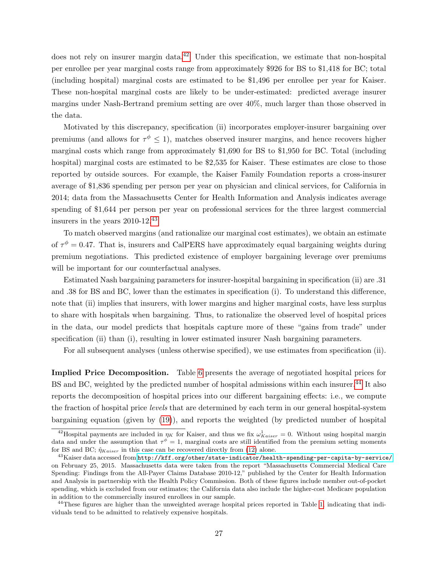does not rely on insurer margin data.<sup>[42](#page-28-0)</sup> Under this specification, we estimate that non-hospital per enrollee per year marginal costs range from approximately \$926 for BS to \$1,418 for BC; total (including hospital) marginal costs are estimated to be \$1,496 per enrollee per year for Kaiser. These non-hospital marginal costs are likely to be under-estimated: predicted average insurer margins under Nash-Bertrand premium setting are over 40%, much larger than those observed in the data.

Motivated by this discrepancy, specification (ii) incorporates employer-insurer bargaining over premiums (and allows for  $\tau^{\phi} \leq 1$ ), matches observed insurer margins, and hence recovers higher marginal costs which range from approximately \$1,690 for BS to \$1,950 for BC. Total (including hospital) marginal costs are estimated to be \$2,535 for Kaiser. These estimates are close to those reported by outside sources. For example, the Kaiser Family Foundation reports a cross-insurer average of \$1,836 spending per person per year on physician and clinical services, for California in 2014; data from the Massachusetts Center for Health Information and Analysis indicates average spending of \$1,644 per person per year on professional services for the three largest commercial insurers in the years 2010-12.[43](#page-28-1)

To match observed margins (and rationalize our marginal cost estimates), we obtain an estimate of  $\tau^{\phi} = 0.47$ . That is, insurers and CalPERS have approximately equal bargaining weights during premium negotiations. This predicted existence of employer bargaining leverage over premiums will be important for our counterfactual analyses.

Estimated Nash bargaining parameters for insurer-hospital bargaining in specification (ii) are .31 and .38 for BS and BC, lower than the estimates in specification (i). To understand this difference, note that (ii) implies that insurers, with lower margins and higher marginal costs, have less surplus to share with hospitals when bargaining. Thus, to rationalize the observed level of hospital prices in the data, our model predicts that hospitals capture more of these "gains from trade" under specification (ii) than (i), resulting in lower estimated insurer Nash bargaining parameters.

For all subsequent analyses (unless otherwise specified), we use estimates from specification (ii).

Implied Price Decomposition. Table [6](#page-29-1) presents the average of negotiated hospital prices for BS and BC, weighted by the predicted number of hospital admissions within each insurer.<sup>[44](#page-28-2)</sup> It also reports the decomposition of hospital prices into our different bargaining effects: i.e., we compute the fraction of hospital price levels that are determined by each term in our general hospital-system bargaining equation (given by [\(19\)](#page-46-1)), and reports the weighted (by predicted number of hospital

<span id="page-28-0"></span><sup>&</sup>lt;sup>42</sup>Hospital payments are included in  $\eta_K$  for Kaiser, and thus we fix  $\omega_{Kaiser}^1 = 0$ . Without using hospital margin data and under the assumption that  $\tau^{\phi} = 1$ , marginal costs are still identified from the premium setting moments for BS and BC;  $\hat{\eta}_{Kaiser}$  in this case can be recovered directly from [\(12\)](#page-24-2) alone.

<span id="page-28-1"></span> $^{43}$ Kaiser data accessed from <http://kff.org/other/state-indicator/health-spending-per-capita-by-service/> on February 25, 2015. Massachusetts data were taken from the report "Massachusetts Commercial Medical Care Spending: Findings from the All-Payer Claims Database 2010-12," published by the Center for Health Information and Analysis in partnership with the Health Policy Commission. Both of these figures include member out-of-pocket spending, which is excluded from our estimates; the California data also include the higher-cost Medicare population in addition to the commercially insured enrollees in our sample.

<span id="page-28-2"></span> $^{44}$ These figures are higher than the unweighted average hospital prices reported in Table [1,](#page-16-2) indicating that individuals tend to be admitted to relatively expensive hospitals.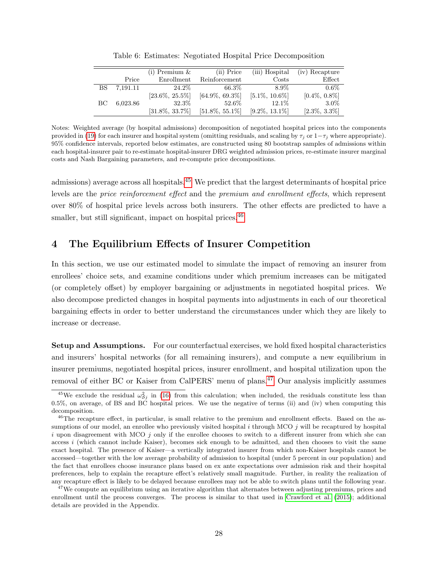<span id="page-29-1"></span>

|    |          | $(i)$ Premium $\&$ | (ii) Price         | (iii) Hospital    | (iv) Recapture   |
|----|----------|--------------------|--------------------|-------------------|------------------|
|    | Price    | Enrollment         | Reinforcement      | Costs             | Effect           |
| BS | 7,191.11 | 24.2\%             | 66.3%              | 8.9%              | $0.6\%$          |
|    |          | $[23.6\%, 25.5\%]$ | $[64.9\%, 69.3\%]$ | $[5.1\%, 10.6\%]$ | $[0.4\%, 0.8\%]$ |
| BС | 6,023.86 | 32.3%              | 52.6\%             | $12.1\%$          | $3.0\%$          |
|    |          | $[31.8\%, 33.7\%]$ | $[51.8\%, 55.1\%]$ | $[9.2\%, 13.1\%]$ | $[2.3\%, 3.3\%]$ |

Table 6: Estimates: Negotiated Hospital Price Decomposition

Notes: Weighted average (by hospital admissions) decomposition of negotiated hospital prices into the components provided in [\(19\)](#page-46-1) for each insurer and hospital system (omitting residuals, and scaling by  $\tau_i$  or  $1-\tau_i$  where appropriate). 95% confidence intervals, reported below estimates, are constructed using 80 bootstrap samples of admissions within each hospital-insurer pair to re-estimate hospital-insurer DRG weighted admission prices, re-estimate insurer marginal costs and Nash Bargaining parameters, and re-compute price decompositions.

admissions) average across all hospitals.[45](#page-29-2) We predict that the largest determinants of hospital price levels are the price reinforcement effect and the premium and enrollment effects, which represent over 80% of hospital price levels across both insurers. The other effects are predicted to have a smaller, but still significant, impact on hospital prices.<sup>[46](#page-29-3)</sup>

## <span id="page-29-0"></span>4 The Equilibrium Effects of Insurer Competition

In this section, we use our estimated model to simulate the impact of removing an insurer from enrollees' choice sets, and examine conditions under which premium increases can be mitigated (or completely offset) by employer bargaining or adjustments in negotiated hospital prices. We also decompose predicted changes in hospital payments into adjustments in each of our theoretical bargaining effects in order to better understand the circumstances under which they are likely to increase or decrease.

Setup and Assumptions. For our counterfactual exercises, we hold fixed hospital characteristics and insurers' hospital networks (for all remaining insurers), and compute a new equilibrium in insurer premiums, negotiated hospital prices, insurer enrollment, and hospital utilization upon the removal of either BC or Kaiser from CalPERS' menu of plans.[47](#page-29-4) Our analysis implicitly assumes

<span id="page-29-2"></span><sup>&</sup>lt;sup>45</sup>We exclude the residual  $\omega_{S_j}^2$  in [\(16\)](#page-25-0) from this calculation; when included, the residuals constitute less than 0.5%, on average, of BS and BC hospital prices. We use the negative of terms (ii) and (iv) when computing this decomposition.

<span id="page-29-3"></span> $^{46}$ The recapture effect, in particular, is small relative to the premium and enrollment effects. Based on the assumptions of our model, an enrollee who previously visited hospital  $i$  through MCO  $j$  will be recaptured by hospital i upon disagreement with MCO  $j$  only if the enrollee chooses to switch to a different insurer from which she can access i (which cannot include Kaiser), becomes sick enough to be admitted, and then chooses to visit the same exact hospital. The presence of Kaiser—a vertically integrated insurer from which non-Kaiser hospitals cannot be accessed—together with the low average probability of admission to hospital (under 5 percent in our population) and the fact that enrollees choose insurance plans based on ex ante expectations over admission risk and their hospital preferences, help to explain the recapture effect's relatively small magnitude. Further, in reality the realization of any recapture effect is likely to be delayed because enrollees may not be able to switch plans until the following year.

<span id="page-29-4"></span><sup>&</sup>lt;sup>47</sup>We compute an equilibrium using an iterative algorithm that alternates between adjusting premiums, prices and enrollment until the process converges. The process is similar to that used in [Crawford et al.](#page-39-5) [\(2015\)](#page-39-5); additional details are provided in the Appendix.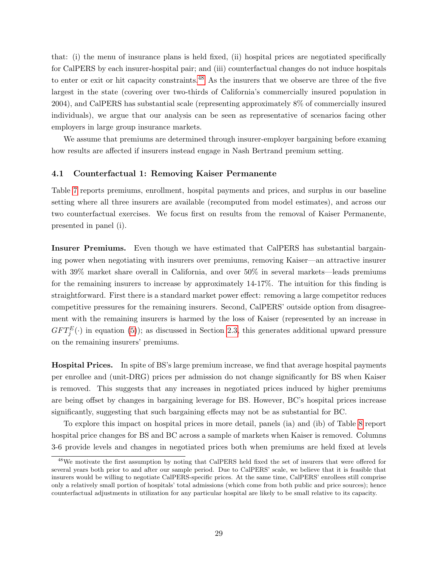that: (i) the menu of insurance plans is held fixed, (ii) hospital prices are negotiated specifically for CalPERS by each insurer-hospital pair; and (iii) counterfactual changes do not induce hospitals to enter or exit or hit capacity constraints.<sup>[48](#page-30-0)</sup> As the insurers that we observe are three of the five largest in the state (covering over two-thirds of California's commercially insured population in 2004), and CalPERS has substantial scale (representing approximately 8% of commercially insured individuals), we argue that our analysis can be seen as representative of scenarios facing other employers in large group insurance markets.

We assume that premiums are determined through insurer-employer bargaining before examing how results are affected if insurers instead engage in Nash Bertrand premium setting.

### 4.1 Counterfactual 1: Removing Kaiser Permanente

Table [7](#page-31-0) reports premiums, enrollment, hospital payments and prices, and surplus in our baseline setting where all three insurers are available (recomputed from model estimates), and across our two counterfactual exercises. We focus first on results from the removal of Kaiser Permanente, presented in panel (i).

Insurer Premiums. Even though we have estimated that CalPERS has substantial bargaining power when negotiating with insurers over premiums, removing Kaiser—an attractive insurer with 39% market share overall in California, and over 50% in several markets—leads premiums for the remaining insurers to increase by approximately 14-17%. The intuition for this finding is straightforward. First there is a standard market power effect: removing a large competitor reduces competitive pressures for the remaining insurers. Second, CalPERS' outside option from disagreement with the remaining insurers is harmed by the loss of Kaiser (represented by an increase in  $GFT_{j}^{E}(\cdot)$  in equation [\(5\)](#page-11-0)); as discussed in Section [2.3,](#page-13-1) this generates additional upward pressure on the remaining insurers' premiums.

Hospital Prices. In spite of BS's large premium increase, we find that average hospital payments per enrollee and (unit-DRG) prices per admission do not change significantly for BS when Kaiser is removed. This suggests that any increases in negotiated prices induced by higher premiums are being offset by changes in bargaining leverage for BS. However, BC's hospital prices increase significantly, suggesting that such bargaining effects may not be as substantial for BC.

To explore this impact on hospital prices in more detail, panels (ia) and (ib) of Table [8](#page-32-0) report hospital price changes for BS and BC across a sample of markets when Kaiser is removed. Columns 3-6 provide levels and changes in negotiated prices both when premiums are held fixed at levels

<span id="page-30-0"></span><sup>48</sup>We motivate the first assumption by noting that CalPERS held fixed the set of insurers that were offered for several years both prior to and after our sample period. Due to CalPERS' scale, we believe that it is feasible that insurers would be willing to negotiate CalPERS-specific prices. At the same time, CalPERS' enrollees still comprise only a relatively small portion of hospitals' total admissions (which come from both public and price sources); hence counterfactual adjustments in utilization for any particular hospital are likely to be small relative to its capacity.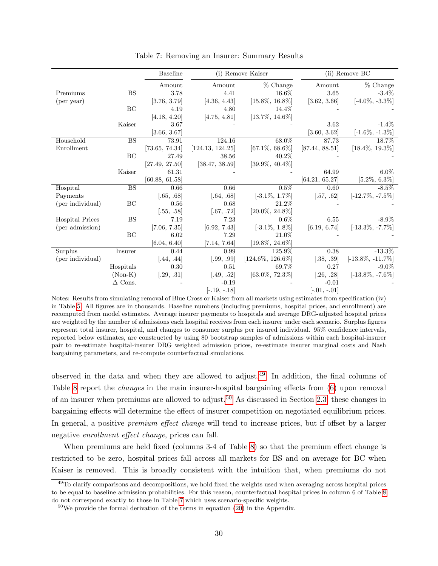<span id="page-31-0"></span>

|                        |                        | <b>Baseline</b> |                  | (i) Remove Kaiser    |                | (ii) Remove BC       |
|------------------------|------------------------|-----------------|------------------|----------------------|----------------|----------------------|
|                        |                        | Amount          | Amount           | $%$ Change           | Amount         | $%$ Change           |
| Premiums               | <b>BS</b>              | 3.78            | 4.41             | 16.6%                | 3.65           | $-3.4\%$             |
| (per year)             |                        | [3.76, 3.79]    | [4.36, 4.43]     | $[15.8\%, 16.8\%]$   | [3.62, 3.66]   | $[-4.0\%, -3.3\%]$   |
|                        | BC                     | 4.19            | 4.80             | 14.4%                |                |                      |
|                        |                        | [4.18, 4.20]    | [4.75, 4.81]     | $[13.7\%, 14.6\%]$   |                |                      |
|                        | Kaiser                 | 3.67            |                  |                      | 3.62           | $-1.4\%$             |
|                        |                        | [3.66, 3.67]    |                  |                      | [3.60, 3.62]   | $[-1.6\%, -1.3\%]$   |
| Household              | <b>BS</b>              | 73.91           | 124.16           | 68.0%                | 87.73          | 18.7%                |
| Enrollment             |                        | [73.65, 74.34]  | [124.13, 124.25] | $[67.1\%, 68.6\%]$   | [87.44, 88.51] | $[18.4\%, 19.3\%]$   |
|                        | BC                     | 27.49           | 38.56            | 40.2%                |                |                      |
|                        |                        | [27.49, 27.50]  | [38.47, 38.59]   | $[39.9\%, 40.4\%]$   |                |                      |
|                        | Kaiser                 | 61.31           |                  |                      | 64.99          | $6.0\%$              |
|                        |                        | [60.88, 61.58]  |                  |                      | [64.21, 65.27] | $[5.2\%, 6.3\%]$     |
| Hospital               | $\overline{\text{BS}}$ | 0.66            | 0.66             | $0.5\%$              | 0.60           | $-8.5\%$             |
| Payments               |                        | [.65, .68]      | [.64, .68]       | $[-3.1\%, 1.7\%]$    | [.57, .62]     | $[-12.7\%, -7.5\%]$  |
| (per individual)       | BC                     | 0.56            | 0.68             | 21.2%                |                |                      |
|                        |                        | [.55, .58]      | [.67, .72]       | $[20.0\%, 24.8\%]$   |                |                      |
| <b>Hospital Prices</b> | $\overline{\text{BS}}$ | 7.19            | 7.23             | $0.6\%$              | 6.55           | $-8.9\%$             |
| (per admission)        |                        | [7.06, 7.35]    | [6.92, 7.43]     | $[-3.1\%, 1.8\%]$    | [6.19, 6.74]   | $[-13.3\%, -7.7\%]$  |
|                        | BC                     | 6.02            | 7.29             | 21.0%                |                |                      |
|                        |                        | [6.04, 6.40]    | [7.14, 7.64]     | $[19.8\%, 24.6\%]$   |                |                      |
| Surplus                | Insurer                | 0.44            | 0.99             | 125.9%               | 0.38           | $-13.3\%$            |
| (per individual)       |                        | [.44, .44]      | [.99, .99]       | $[124.6\%, 126.6\%]$ | [.38, .39]     | $[-13.8\%, -11.7\%]$ |
|                        | Hospitals              | 0.30            | 0.51             | 69.7%                | 0.27           | $-9.0\%$             |
|                        | $(Non-K)$              | [.29, .31]      | [.49, .52]       | $[63.0\%, 72.3\%]$   | [.26, .28]     | $[-13.8\%, -7.6\%]$  |
|                        | $\Delta$ Cons.         |                 | $-0.19$          |                      | $-0.01$        |                      |
|                        |                        |                 | $[-.19, -.18]$   |                      | $[-.01, -.01]$ |                      |

Table 7: Removing an Insurer: Summary Results

Notes: Results from simulating removal of Blue Cross or Kaiser from all markets using estimates from specification (iv) in Table [5.](#page-27-1) All figures are in thousands. Baseline numbers (including premiums, hospital prices, and enrollment) are recomputed from model estimates. Average insurer payments to hospitals and average DRG-adjusted hospital prices are weighted by the number of admissions each hospital receives from each insurer under each scenario. Surplus figures represent total insurer, hospital, and changes to consumer surplus per insured individual. 95% confidence intervals, reported below estimates, are constructed by using 80 bootstrap samples of admissions within each hospital-insurer pair to re-estimate hospital-insurer DRG weighted admission prices, re-estimate insurer marginal costs and Nash bargaining parameters, and re-compute counterfactual simulations.

observed in the data and when they are allowed to adjust.[49](#page-31-1) In addition, the final columns of Table [8](#page-32-0) report the *changes* in the main insurer-hospital bargaining effects from [\(6\)](#page-11-2) upon removal of an insurer when premiums are allowed to adjust.<sup>[50](#page-31-2)</sup> As discussed in Section [2.3,](#page-13-1) these changes in bargaining effects will determine the effect of insurer competition on negotiated equilibrium prices. In general, a positive *premium effect change* will tend to increase prices, but if offset by a larger negative *enrollment* effect change, prices can fall.

When premiums are held fixed (columns 3-4 of Table [8\)](#page-32-0) so that the premium effect change is restricted to be zero, hospital prices fall across all markets for BS and on average for BC when Kaiser is removed. This is broadly consistent with the intuition that, when premiums do not

<span id="page-31-1"></span> $49$ To clarify comparisons and decompositions, we hold fixed the weights used when averaging across hospital prices to be equal to baseline admission probabilities. For this reason, counterfactual hospital prices in column 6 of Table [8](#page-32-0) do not correspond exactly to those in Table [7](#page-31-0) which uses scenario-specific weights.

<span id="page-31-2"></span> $50\,\text{We provide the formal derivation of the terms in equation (20) in the Appendix.}$  $50\,\text{We provide the formal derivation of the terms in equation (20) in the Appendix.}$  $50\,\text{We provide the formal derivation of the terms in equation (20) in the Appendix.}$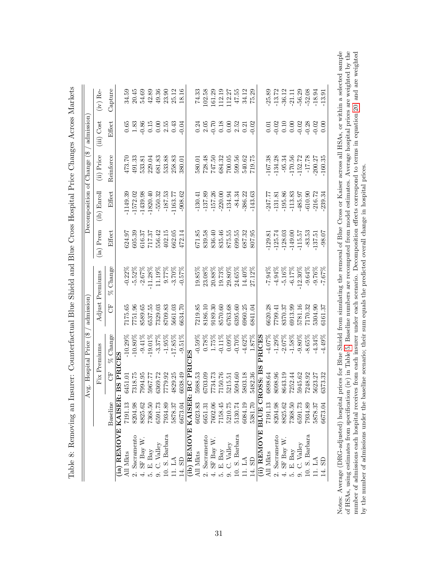<span id="page-32-0"></span>

|                                             |          |           | Avg. Hospital Price (\$ | admission |                 |           | Decomposition of Change (\$ |            | / admission      |            |
|---------------------------------------------|----------|-----------|-------------------------|-----------|-----------------|-----------|-----------------------------|------------|------------------|------------|
|                                             |          |           | Fix Premiums            |           | Adjust Premiums | (ia) Prem | $(ib)$ Enroll               | (ii) Price | (iii) Cost       | $(iv)$ Re- |
|                                             | Baseline | Ë         | % Change                | 5         | Change<br>×     | Effect    | Effect                      | Reinforce  | Effect           | Capture    |
| (ia) REMOVE KAISER.                         |          | BS PRICES |                         |           |                 |           |                             |            |                  |            |
| All Mkts                                    | 7191.13  | 6451.01   | $-10.29\%$              | 7175.65   | $-0.22\%$       | 624.97    | -1149.39                    | 473.70     | 0.65             | 34.59      |
| 2. Sacramento                               | 8204.98  | 7318.75   | $-10.80\%$              | 7751.96   | $-5.52%$        | 605.39    | $-1572.02$                  | 491.33     | $1.83\,$         | 20.45      |
| 4. SF Bay W.                                | 8825.62  | 7994.95   | $-9.41\%$               | 8589.65   | $-2.67%$        | 616.37    | $-1439.98$                  | 533.81     | $-0.86$          | 54.69      |
|                                             | 7368.50  | 5967.77   | $-19.01\%$              | 6537.55   | $-11.28%$       | 717.37    | $-1820.40$                  | 229.04     | 0.15             | 42.89      |
| 5. E. Bay<br>9. C. Valley<br>10. S. Barbara | 6591.73  | 6369.72   | $-3.37\%$               | 7329.03   | 11.19%          | 556.42    | $-550.32$                   | 681.83     | 0.00             | 49.36      |
|                                             | 7934.89  | 7779.92   | $-1.95%$                | 8709.83   | 9.77%           | 402.15    | $-187.53$                   | 533.88     | $2.55\,$         | 23.90      |
| 11. LA                                      | 5878.37  | 4829.25   | $-17.85%$               | 5661.03   | $-3.70%$        | 662.05    | $-1163.77$                  | 258.83     | 0.43             | 25.12      |
| $14.$ SD                                    | 6673.04  | 6038.49   | $-9.51%$                | 6634.70   | $-0.57%$        | 472.14    | $-908.62$                   | 380.01     | $-0.04$          | 18.16      |
| (ib) REMOVE KAISER: BC PRI                  |          |           |                         |           |                 |           |                             |            |                  |            |
| All Mkts                                    | 6023.83  | 5988.53   | $-0.59%$                | 7219.85   | $19.85\%$       | 671.85    | $-130.41$                   | 580.01     | 0.24             | 74.33      |
| 2. Sacramento                               | 6651.31  | 6703.09   |                         | 8186.10   | 23.08%          | 839.58    | $-137.89$                   | 728.48     | 2.05             | 102.58     |
| 4. SF Bay W.                                | 7602.06  | 7734.73   | $\frac{0.78\%}{1.75\%}$ | 9189.30   | 20.88%          | 836.40    | $-157.26$                   | 747.50     | $-0.70$          | 161.29     |
| 5. E. Bay                                   | 7158.45  | 7150.76   | $-0.11%$                | 8570.60   | 19.73%          | 835.46    | $-220.00$                   | 684.32     | 0.18             | 112.19     |
| 9. C. Valley 10. S. Barbara                 | 5210.75  | 5215.51   | 0.09%                   | 6763.68   | $29.80\%$       | 875.55    | $-134.94$                   | 700.05     |                  | 112.27     |
|                                             | 5130.74  | 5094.60   | $-0.70\%$               | 6395.60   | 24.65%          | 699.55    | $-84.34$                    | 599.56     | $0.00$<br>$2.52$ | 47.55      |
| 11. LA                                      | 6084.19  | 5803.18   | $-4.62%$                | 6960.25   | 14.40%          | 687.32    | $-386.22$                   | 540.62     | 0.21             | 34.12      |
| 14. SD                                      | 5381.70  | 5482.36   | 1.87%                   | 3841.04   | 27.12%          | 807.95    | $-143.63$                   | 719.75     | 0.02             | 75.29      |
| (ii) REMOVE BLUE CROSS: B                   |          |           | PRICES                  |           |                 |           |                             |            |                  |            |
| All Mkts                                    | 7191.13  | 6898.64   | $-4.07\%$               | 3620.28   | $-7.94%$        | $-129.81$ | $-247.77$                   | $-167.38$  | 0.01             | .25.89     |
| Sacramento                                  | 8204.98  | 8098.96   | $-1.29%$                | 7799.41   | $-4.94\%$       | $-125.74$ | $-131.81$                   | $-134.28$  | 0.02             | $-13.72$   |
| 4. SF Bay W.                                | 8825.62  | 8643.19   | $-2.07%$                | 8370.37   | $-5.16%$        | $-128.03$ | $-195.86$                   | $-95.34$   |                  | -36.12     |
| 5. E. Bay                                   | 7368.50  | 7252.44   | $-1.58%$                | 6913.99   | $-6.17%$        | 149.00    | $-113.83$                   | $-170.56$  | $0.10$<br>$0.00$ | $-21.11$   |
| 9. C. Valley                                | 6591.73  | 5945.62   | $-9.80\%$               | 5781.16   | $-12.30\%$      | $-115.57$ | $-485.97$                   | $-152.72$  | $-0.02$          | $-56.29$   |
| 10. S. Barbara                              | 7934.89  | 7248.92   | $-8.65%$                | 7170.32   | $-9.64%$        | $-83.53$  | $-610.90$                   | $-17.78$   | $-0.28$          | $-52.08$   |
| 11. LA                                      | 5878.37  | 5623.27   | $-4.34%$                | 5304.90   | $-9.76%$        | 137.51    | $-216.72$                   | 200.27     | $-0.02$          | $-18.94$   |
| 14. SD                                      | 6673.04  | 6373.32   | $-4.49%$                | 6161.37   | $-7.67\%$       | $-98.07$  | 239.34                      | $-160.35$  | 0.00             | $-13.91$   |

res Across Markets Table 8: Removing an Insurer: Counterfactual Blue Shield and Blue Cross Hospital Price Changes Across Markets Counterfactual Blue Shield and Blue Cross Hospital Price Chan  $\ddot{\cdot}$ an Ingur  $\alpha$ in $\alpha$ Table 8: Bam

Notes: Average (DRG-adjusted) hospital prices for Blue Shield from simulating the removal of Blue Cross or Kaiser across all HSAs, or within a selected sample of HSAs, using estimates from specification (iv) in Table 5. B Notes: Average (DRG-adjusted) hospital prices for Blue Shield from simulating the removal of Blue Cross or Kaiser across all HSAs, or within a selected sample of HSAs, using estimates from specification (iv) in Table [5.](#page-27-1) Baseline numbers are recomputed from model estimates. Average hospital prices are weighted by the number of admissions each hospital receives from each insurer under each scenario. Decomposition effects correspond to terms in equation [20,](#page-48-1) and are weighted by the number of admissions under the baseline scenario; their sum equals the predicted overall change in hospital prices.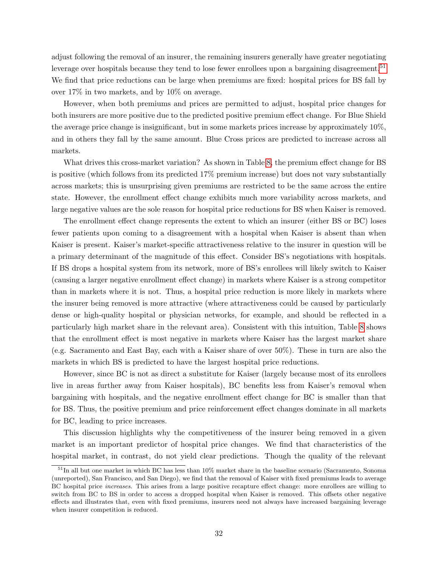adjust following the removal of an insurer, the remaining insurers generally have greater negotiating leverage over hospitals because they tend to lose fewer enrollees upon a bargaining disagreement.<sup>[51](#page-33-0)</sup> We find that price reductions can be large when premiums are fixed: hospital prices for BS fall by over 17% in two markets, and by 10% on average.

However, when both premiums and prices are permitted to adjust, hospital price changes for both insurers are more positive due to the predicted positive premium effect change. For Blue Shield the average price change is insignificant, but in some markets prices increase by approximately 10%, and in others they fall by the same amount. Blue Cross prices are predicted to increase across all markets.

What drives this cross-market variation? As shown in Table [8,](#page-32-0) the premium effect change for BS is positive (which follows from its predicted 17% premium increase) but does not vary substantially across markets; this is unsurprising given premiums are restricted to be the same across the entire state. However, the enrollment effect change exhibits much more variability across markets, and large negative values are the sole reason for hospital price reductions for BS when Kaiser is removed.

The enrollment effect change represents the extent to which an insurer (either BS or BC) loses fewer patients upon coming to a disagreement with a hospital when Kaiser is absent than when Kaiser is present. Kaiser's market-specific attractiveness relative to the insurer in question will be a primary determinant of the magnitude of this effect. Consider BS's negotiations with hospitals. If BS drops a hospital system from its network, more of BS's enrollees will likely switch to Kaiser (causing a larger negative enrollment effect change) in markets where Kaiser is a strong competitor than in markets where it is not. Thus, a hospital price reduction is more likely in markets where the insurer being removed is more attractive (where attractiveness could be caused by particularly dense or high-quality hospital or physician networks, for example, and should be reflected in a particularly high market share in the relevant area). Consistent with this intuition, Table [8](#page-32-0) shows that the enrollment effect is most negative in markets where Kaiser has the largest market share (e.g. Sacramento and East Bay, each with a Kaiser share of over 50%). These in turn are also the markets in which BS is predicted to have the largest hospital price reductions.

However, since BC is not as direct a substitute for Kaiser (largely because most of its enrollees live in areas further away from Kaiser hospitals), BC benefits less from Kaiser's removal when bargaining with hospitals, and the negative enrollment effect change for BC is smaller than that for BS. Thus, the positive premium and price reinforcement effect changes dominate in all markets for BC, leading to price increases.

This discussion highlights why the competitiveness of the insurer being removed in a given market is an important predictor of hospital price changes. We find that characteristics of the hospital market, in contrast, do not yield clear predictions. Though the quality of the relevant

<span id="page-33-0"></span><sup>51</sup>In all but one market in which BC has less than 10% market share in the baseline scenario (Sacramento, Sonoma (unreported), San Francisco, and San Diego), we find that the removal of Kaiser with fixed premiums leads to average BC hospital price increases. This arises from a large positive recapture effect change: more enrollees are willing to switch from BC to BS in order to access a dropped hospital when Kaiser is removed. This offsets other negative effects and illustrates that, even with fixed premiums, insurers need not always have increased bargaining leverage when insurer competition is reduced.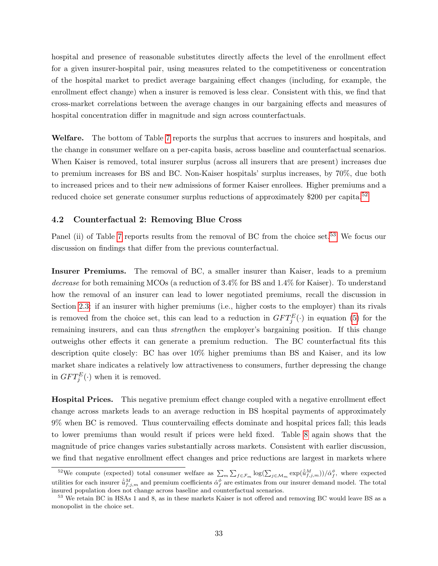hospital and presence of reasonable substitutes directly affects the level of the enrollment effect for a given insurer-hospital pair, using measures related to the competitiveness or concentration of the hospital market to predict average bargaining effect changes (including, for example, the enrollment effect change) when a insurer is removed is less clear. Consistent with this, we find that cross-market correlations between the average changes in our bargaining effects and measures of hospital concentration differ in magnitude and sign across counterfactuals.

Welfare. The bottom of Table [7](#page-31-0) reports the surplus that accrues to insurers and hospitals, and the change in consumer welfare on a per-capita basis, across baseline and counterfactual scenarios. When Kaiser is removed, total insurer surplus (across all insurers that are present) increases due to premium increases for BS and BC. Non-Kaiser hospitals' surplus increases, by 70%, due both to increased prices and to their new admissions of former Kaiser enrollees. Higher premiums and a reduced choice set generate consumer surplus reductions of approximately  $$200$  per capita.<sup>[52](#page-34-0)</sup>

## 4.2 Counterfactual 2: Removing Blue Cross

Panel (ii) of Table [7](#page-31-0) reports results from the removal of BC from the choice set.<sup>[53](#page-34-1)</sup> We focus our discussion on findings that differ from the previous counterfactual.

Insurer Premiums. The removal of BC, a smaller insurer than Kaiser, leads to a premium decrease for both remaining MCOs (a reduction of 3.4% for BS and 1.4% for Kaiser). To understand how the removal of an insurer can lead to lower negotiated premiums, recall the discussion in Section [2.3:](#page-13-1) if an insurer with higher premiums (i.e., higher costs to the employer) than its rivals is removed from the choice set, this can lead to a reduction in  $GFT_{j}^{E}(\cdot)$  in equation [\(5\)](#page-11-0) for the remaining insurers, and can thus *strengthen* the employer's bargaining position. If this change outweighs other effects it can generate a premium reduction. The BC counterfactual fits this description quite closely: BC has over 10% higher premiums than BS and Kaiser, and its low market share indicates a relatively low attractiveness to consumers, further depressing the change in  $GFT_j^E(\cdot)$  when it is removed.

Hospital Prices. This negative premium effect change coupled with a negative enrollment effect change across markets leads to an average reduction in BS hospital payments of approximately 9% when BC is removed. Thus countervailing effects dominate and hospital prices fall; this leads to lower premiums than would result if prices were held fixed. Table [8](#page-32-0) again shows that the magnitude of price changes varies substantially across markets. Consistent with earlier discussion, we find that negative enrollment effect changes and price reductions are largest in markets where

<span id="page-34-0"></span><sup>&</sup>lt;sup>52</sup>We compute (expected) total consumer welfare as  $\sum_m \sum_{f \in \mathcal{F}_m} \log(\sum_{j \in \mathcal{M}_m} \exp(\hat{u}_{f,j,m}^M))/\hat{\alpha}_f^{\phi}$ , where expected utilities for each insurer  $\hat{u}_{f,j,m}^M$  and premium coefficients  $\hat{\alpha}_f^{\phi}$  are estimates from our insurer demand model. The total insured population does not change across baseline and counterfactual scenarios.

<span id="page-34-1"></span><sup>53</sup> We retain BC in HSAs 1 and 8, as in these markets Kaiser is not offered and removing BC would leave BS as a monopolist in the choice set.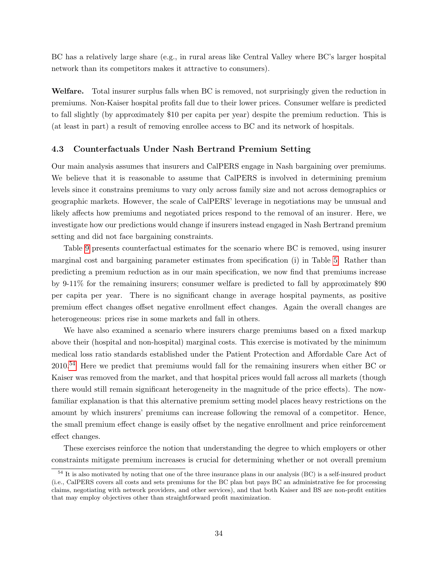BC has a relatively large share (e.g., in rural areas like Central Valley where BC's larger hospital network than its competitors makes it attractive to consumers).

Welfare. Total insurer surplus falls when BC is removed, not surprisingly given the reduction in premiums. Non-Kaiser hospital profits fall due to their lower prices. Consumer welfare is predicted to fall slightly (by approximately \$10 per capita per year) despite the premium reduction. This is (at least in part) a result of removing enrollee access to BC and its network of hospitals.

### 4.3 Counterfactuals Under Nash Bertrand Premium Setting

Our main analysis assumes that insurers and CalPERS engage in Nash bargaining over premiums. We believe that it is reasonable to assume that CalPERS is involved in determining premium levels since it constrains premiums to vary only across family size and not across demographics or geographic markets. However, the scale of CalPERS' leverage in negotiations may be unusual and likely affects how premiums and negotiated prices respond to the removal of an insurer. Here, we investigate how our predictions would change if insurers instead engaged in Nash Bertrand premium setting and did not face bargaining constraints.

Table [9](#page-36-0) presents counterfactual estimates for the scenario where BC is removed, using insurer marginal cost and bargaining parameter estimates from specification (i) in Table [5.](#page-27-1) Rather than predicting a premium reduction as in our main specification, we now find that premiums increase by 9-11% for the remaining insurers; consumer welfare is predicted to fall by approximately \$90 per capita per year. There is no significant change in average hospital payments, as positive premium effect changes offset negative enrollment effect changes. Again the overall changes are heterogeneous: prices rise in some markets and fall in others.

We have also examined a scenario where insurers charge premiums based on a fixed markup above their (hospital and non-hospital) marginal costs. This exercise is motivated by the minimum medical loss ratio standards established under the Patient Protection and Affordable Care Act of 2010.[54](#page-35-0) Here we predict that premiums would fall for the remaining insurers when either BC or Kaiser was removed from the market, and that hospital prices would fall across all markets (though there would still remain significant heterogeneity in the magnitude of the price effects). The nowfamiliar explanation is that this alternative premium setting model places heavy restrictions on the amount by which insurers' premiums can increase following the removal of a competitor. Hence, the small premium effect change is easily offset by the negative enrollment and price reinforcement effect changes.

These exercises reinforce the notion that understanding the degree to which employers or other constraints mitigate premium increases is crucial for determining whether or not overall premium

<span id="page-35-0"></span><sup>54</sup> It is also motivated by noting that one of the three insurance plans in our analysis (BC) is a self-insured product (i.e., CalPERS covers all costs and sets premiums for the BC plan but pays BC an administrative fee for processing claims, negotiating with network providers, and other services), and that both Kaiser and BS are non-profit entities that may employ objectives other than straightforward profit maximization.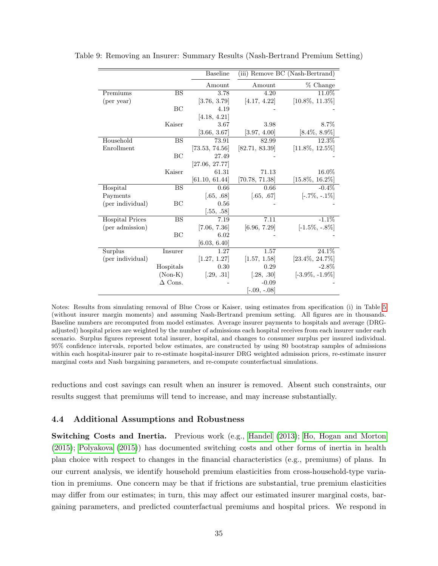|                        |                | <b>Baseline</b> |                | (iii) Remove BC (Nash-Bertrand) |
|------------------------|----------------|-----------------|----------------|---------------------------------|
|                        |                | Amount          | Amount         | % Change                        |
| Premiums               | <b>BS</b>      | 3.78            | 4.20           | 11.0%                           |
| (per year)             |                | [3.76, 3.79]    | [4.17, 4.22]   | $[10.8\%, 11.3\%]$              |
|                        | BC             | 4.19            |                |                                 |
|                        |                | [4.18, 4.21]    |                |                                 |
|                        | Kaiser         | 3.67            | 3.98           | 8.7%                            |
|                        |                | [3.66, 3.67]    | [3.97, 4.00]   | $[8.4\%, 8.9\%]$                |
| Household              | <b>BS</b>      | 73.91           | 82.99          | 12.3%                           |
| Enrollment             |                | [73.53, 74.56]  | [82.71, 83.39] | $[11.8\%, 12.5\%]$              |
|                        | BC             | 27.49           |                |                                 |
|                        |                | [27.06, 27.77]  |                |                                 |
|                        | Kaiser         | 61.31           | 71.13          | 16.0%                           |
|                        |                | [61.10, 61.44]  | [70.78, 71.38] | $[15.8\%, 16.2\%]$              |
| Hospital               | <b>BS</b>      | 0.66            | 0.66           | $-0.4\%$                        |
| Payments               |                | [.65, .68]      | [.65, .67]     | $[-.7\%, -.1\%]$                |
| (per individual)       | BC             | 0.56            |                |                                 |
|                        |                | [.55, .58]      |                |                                 |
| <b>Hospital Prices</b> | <b>BS</b>      | 7.19            | 7.11           | $-1.1\%$                        |
| (per admission)        |                | [7.06, 7.36]    | [6.96, 7.29]   | $[-1.5\%, -.8\%]$               |
|                        | BC             | 6.02            |                |                                 |
|                        |                | [6.03, 6.40]    |                |                                 |
| Surplus                | Insurer        | 1.27            | 1.57           | 24.1%                           |
| (per individual)       |                | [1.27, 1.27]    | [1.57, 1.58]   | $[23.4\%, 24.7\%]$              |
|                        | Hospitals      | 0.30            | 0.29           | $-2.8\%$                        |
|                        | $(Non-K)$      | [.29, .31]      | [.28, .30]     | $[-3.9\%, -1.9\%]$              |
|                        | $\Delta$ Cons. |                 | $-0.09$        |                                 |
|                        |                |                 | $[-.09, -.08]$ |                                 |

<span id="page-36-0"></span>Table 9: Removing an Insurer: Summary Results (Nash-Bertrand Premium Setting)

Notes: Results from simulating removal of Blue Cross or Kaiser, using estimates from specification (i) in Table [5](#page-27-1) (without insurer margin moments) and assuming Nash-Bertrand premium setting. All figures are in thousands. Baseline numbers are recomputed from model estimates. Average insurer payments to hospitals and average (DRGadjusted) hospital prices are weighted by the number of admissions each hospital receives from each insurer under each scenario. Surplus figures represent total insurer, hospital, and changes to consumer surplus per insured individual. 95% confidence intervals, reported below estimates, are constructed by using 80 bootstrap samples of admissions within each hospital-insurer pair to re-estimate hospital-insurer DRG weighted admission prices, re-estimate insurer marginal costs and Nash bargaining parameters, and re-compute counterfactual simulations.

reductions and cost savings can result when an insurer is removed. Absent such constraints, our results suggest that premiums will tend to increase, and may increase substantially.

## 4.4 Additional Assumptions and Robustness

Switching Costs and Inertia. Previous work (e.g., [Handel](#page-40-9) [\(2013\)](#page-40-9); [Ho, Hogan and Morton](#page-40-14) [\(2015\)](#page-40-14); [Polyakova](#page-41-14) [\(2015\)](#page-41-14)) has documented switching costs and other forms of inertia in health plan choice with respect to changes in the financial characteristics (e.g., premiums) of plans. In our current analysis, we identify household premium elasticities from cross-household-type variation in premiums. One concern may be that if frictions are substantial, true premium elasticities may differ from our estimates; in turn, this may affect our estimated insurer marginal costs, bargaining parameters, and predicted counterfactual premiums and hospital prices. We respond in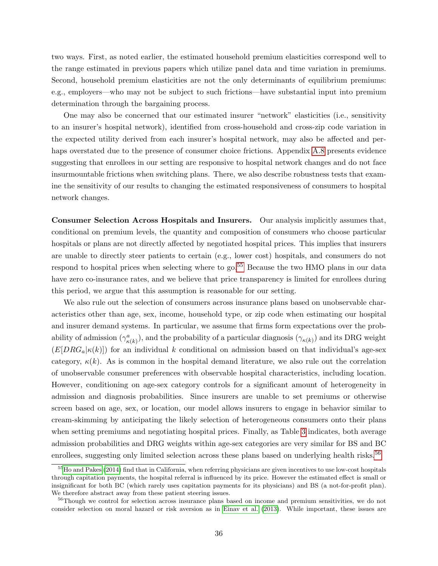two ways. First, as noted earlier, the estimated household premium elasticities correspond well to the range estimated in previous papers which utilize panel data and time variation in premiums. Second, household premium elasticities are not the only determinants of equilibrium premiums: e.g., employers—who may not be subject to such frictions—have substantial input into premium determination through the bargaining process.

One may also be concerned that our estimated insurer "network" elasticities (i.e., sensitivity to an insurer's hospital network), identified from cross-household and cross-zip code variation in the expected utility derived from each insurer's hospital network, may also be affected and per-haps overstated due to the presence of consumer choice frictions. Appendix [A.8](#page-49-0) presents evidence suggesting that enrollees in our setting are responsive to hospital network changes and do not face insurmountable frictions when switching plans. There, we also describe robustness tests that examine the sensitivity of our results to changing the estimated responsiveness of consumers to hospital network changes.

Consumer Selection Across Hospitals and Insurers. Our analysis implicitly assumes that, conditional on premium levels, the quantity and composition of consumers who choose particular hospitals or plans are not directly affected by negotiated hospital prices. This implies that insurers are unable to directly steer patients to certain (e.g., lower cost) hospitals, and consumers do not respond to hospital prices when selecting where to go.<sup>[55](#page-37-0)</sup> Because the two HMO plans in our data have zero co-insurance rates, and we believe that price transparency is limited for enrollees during this period, we argue that this assumption is reasonable for our setting.

We also rule out the selection of consumers across insurance plans based on unobservable characteristics other than age, sex, income, household type, or zip code when estimating our hospital and insurer demand systems. In particular, we assume that firms form expectations over the probability of admission  $(\gamma^a_{\kappa(k)})$ , and the probability of a particular diagnosis  $(\gamma_{\kappa(k)})$  and its DRG weight  $(E[DRG_a|\kappa(k)])$  for an individual k conditional on admission based on that individual's age-sex category,  $\kappa(k)$ . As is common in the hospital demand literature, we also rule out the correlation of unobservable consumer preferences with observable hospital characteristics, including location. However, conditioning on age-sex category controls for a significant amount of heterogeneity in admission and diagnosis probabilities. Since insurers are unable to set premiums or otherwise screen based on age, sex, or location, our model allows insurers to engage in behavior similar to cream-skimming by anticipating the likely selection of heterogeneous consumers onto their plans when setting premiums and negotiating hospital prices. Finally, as Table [3](#page-17-1) indicates, both average admission probabilities and DRG weights within age-sex categories are very similar for BS and BC enrollees, suggesting only limited selection across these plans based on underlying health risks.<sup>[56](#page-37-1)</sup>

<span id="page-37-0"></span><sup>&</sup>lt;sup>55</sup>[Ho and Pakes](#page-40-12) [\(2014\)](#page-40-12) find that in California, when referring physicians are given incentives to use low-cost hospitals through capitation payments, the hospital referral is influenced by its price. However the estimated effect is small or insignificant for both BC (which rarely uses capitation payments for its physicians) and BS (a not-for-profit plan). We therefore abstract away from these patient steering issues.

<span id="page-37-1"></span><sup>&</sup>lt;sup>56</sup>Though we control for selection across insurance plans based on income and premium sensitivities, we do not consider selection on moral hazard or risk aversion as in [Einav et al.](#page-40-15) [\(2013\)](#page-40-15). While important, these issues are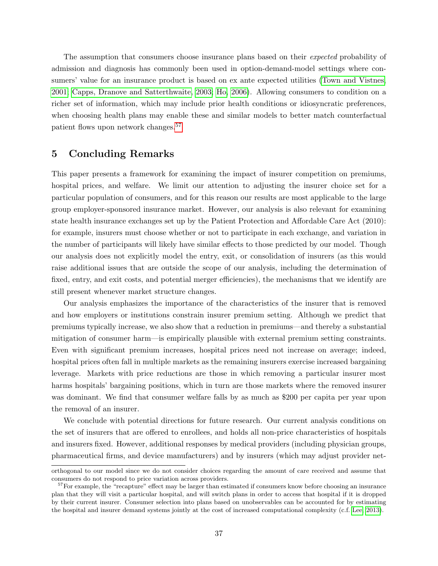The assumption that consumers choose insurance plans based on their *expected* probability of admission and diagnosis has commonly been used in option-demand-model settings where consumers' value for an insurance product is based on ex ante expected utilities [\(Town and Vistnes,](#page-41-4) [2001;](#page-41-4) [Capps, Dranove and Satterthwaite, 2003;](#page-39-1) [Ho, 2006\)](#page-40-6). Allowing consumers to condition on a richer set of information, which may include prior health conditions or idiosyncratic preferences, when choosing health plans may enable these and similar models to better match counterfactual patient flows upon network changes.[57](#page-38-1)

## <span id="page-38-0"></span>5 Concluding Remarks

This paper presents a framework for examining the impact of insurer competition on premiums, hospital prices, and welfare. We limit our attention to adjusting the insurer choice set for a particular population of consumers, and for this reason our results are most applicable to the large group employer-sponsored insurance market. However, our analysis is also relevant for examining state health insurance exchanges set up by the Patient Protection and Affordable Care Act (2010): for example, insurers must choose whether or not to participate in each exchange, and variation in the number of participants will likely have similar effects to those predicted by our model. Though our analysis does not explicitly model the entry, exit, or consolidation of insurers (as this would raise additional issues that are outside the scope of our analysis, including the determination of fixed, entry, and exit costs, and potential merger efficiencies), the mechanisms that we identify are still present whenever market structure changes.

Our analysis emphasizes the importance of the characteristics of the insurer that is removed and how employers or institutions constrain insurer premium setting. Although we predict that premiums typically increase, we also show that a reduction in premiums—and thereby a substantial mitigation of consumer harm—is empirically plausible with external premium setting constraints. Even with significant premium increases, hospital prices need not increase on average; indeed, hospital prices often fall in multiple markets as the remaining insurers exercise increased bargaining leverage. Markets with price reductions are those in which removing a particular insurer most harms hospitals' bargaining positions, which in turn are those markets where the removed insurer was dominant. We find that consumer welfare falls by as much as \$200 per capita per year upon the removal of an insurer.

We conclude with potential directions for future research. Our current analysis conditions on the set of insurers that are offered to enrollees, and holds all non-price characteristics of hospitals and insurers fixed. However, additional responses by medical providers (including physician groups, pharmaceutical firms, and device manufacturers) and by insurers (which may adjust provider net-

orthogonal to our model since we do not consider choices regarding the amount of care received and assume that consumers do not respond to price variation across providers.

<span id="page-38-1"></span> $57$  For example, the "recapture" effect may be larger than estimated if consumers know before choosing an insurance plan that they will visit a particular hospital, and will switch plans in order to access that hospital if it is dropped by their current insurer. Consumer selection into plans based on unobservables can be accounted for by estimating the hospital and insurer demand systems jointly at the cost of increased computational complexity (c.f. [Lee, 2013\)](#page-41-8).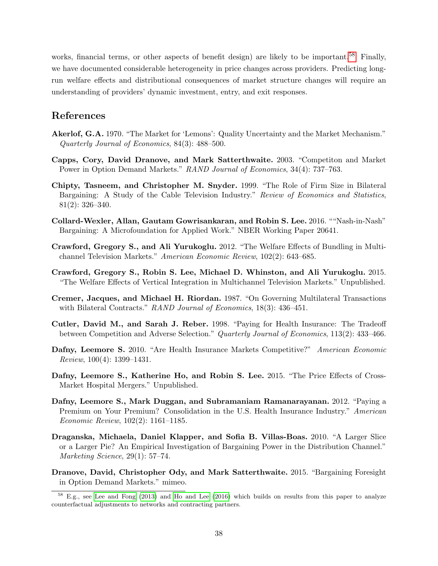works, financial terms, or other aspects of benefit design) are likely to be important.<sup>[58](#page-39-13)</sup> Finally, we have documented considerable heterogeneity in price changes across providers. Predicting longrun welfare effects and distributional consequences of market structure changes will require an understanding of providers' dynamic investment, entry, and exit responses.

# References

- <span id="page-39-6"></span>Akerlof, G.A. 1970. "The Market for 'Lemons': Quality Uncertainty and the Market Mechanism." Quarterly Journal of Economics, 84(3): 488–500.
- <span id="page-39-1"></span>Capps, Cory, David Dranove, and Mark Satterthwaite. 2003. "Competiton and Market Power in Option Demand Markets." RAND Journal of Economics, 34(4): 737–763.
- <span id="page-39-8"></span>Chipty, Tasneem, and Christopher M. Snyder. 1999. "The Role of Firm Size in Bilateral Bargaining: A Study of the Cable Television Industry." Review of Economics and Statistics, 81(2): 326–340.
- <span id="page-39-10"></span>Collard-Wexler, Allan, Gautam Gowrisankaran, and Robin S. Lee. 2016. ""Nash-in-Nash" Bargaining: A Microfoundation for Applied Work." NBER Working Paper 20641.
- <span id="page-39-2"></span>Crawford, Gregory S., and Ali Yurukoglu. 2012. "The Welfare Effects of Bundling in Multichannel Television Markets." American Economic Review, 102(2): 643–685.
- <span id="page-39-5"></span>Crawford, Gregory S., Robin S. Lee, Michael D. Whinston, and Ali Yurukoglu. 2015. "The Welfare Effects of Vertical Integration in Multichannel Television Markets." Unpublished.
- <span id="page-39-9"></span>Cremer, Jacques, and Michael H. Riordan. 1987. "On Governing Multilateral Transactions with Bilateral Contracts." RAND Journal of Economics, 18(3): 436–451.
- <span id="page-39-12"></span>Cutler, David M., and Sarah J. Reber. 1998. "Paying for Health Insurance: The Tradeoff between Competition and Adverse Selection." Quarterly Journal of Economics, 113(2): 433–466.
- <span id="page-39-3"></span>Dafny, Leemore S. 2010. "Are Health Insurance Markets Competitive?" American Economic Review, 100(4): 1399–1431.
- <span id="page-39-7"></span>Dafny, Leemore S., Katherine Ho, and Robin S. Lee. 2015. "The Price Effects of Cross-Market Hospital Mergers." Unpublished.
- <span id="page-39-4"></span>Dafny, Leemore S., Mark Duggan, and Subramaniam Ramanarayanan. 2012. "Paying a Premium on Your Premium? Consolidation in the U.S. Health Insurance Industry." American Economic Review, 102(2): 1161–1185.
- <span id="page-39-11"></span>Draganska, Michaela, Daniel Klapper, and Sofia B. Villas-Boas. 2010. "A Larger Slice or a Larger Pie? An Empirical Investigation of Bargaining Power in the Distribution Channel." Marketing Science, 29(1): 57–74.
- <span id="page-39-0"></span>Dranove, David, Christopher Ody, and Mark Satterthwaite. 2015. "Bargaining Foresight in Option Demand Markets." mimeo.

<span id="page-39-13"></span><sup>&</sup>lt;sup>58</sup> E.g., see [Lee and Fong](#page-41-3) [\(2013\)](#page-41-3) and [Ho and Lee](#page-40-16) [\(2016\)](#page-40-16) which builds on results from this paper to analyze counterfactual adjustments to networks and contracting partners.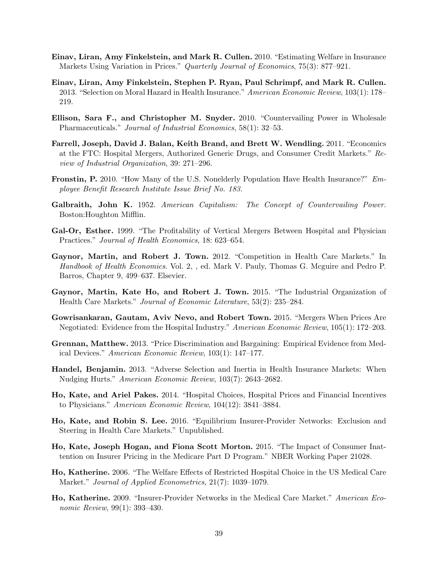- <span id="page-40-8"></span>Einav, Liran, Amy Finkelstein, and Mark R. Cullen. 2010. "Estimating Welfare in Insurance Markets Using Variation in Prices." Quarterly Journal of Economics, 75(3): 877–921.
- <span id="page-40-15"></span>Einav, Liran, Amy Finkelstein, Stephen P. Ryan, Paul Schrimpf, and Mark R. Cullen. 2013. "Selection on Moral Hazard in Health Insurance." American Economic Review, 103(1): 178– 219.
- <span id="page-40-10"></span>Ellison, Sara F., and Christopher M. Snyder. 2010. "Countervailing Power in Wholesale Pharmaceuticals." Journal of Industrial Economics, 58(1): 32–53.
- <span id="page-40-13"></span>Farrell, Joseph, David J. Balan, Keith Brand, and Brett W. Wendling. 2011. "Economics at the FTC: Hospital Mergers, Authorized Generic Drugs, and Consumer Credit Markets." Review of Industrial Organization, 39: 271–296.
- <span id="page-40-0"></span>Fronstin, P. 2010. "How Many of the U.S. Nonelderly Population Have Health Insurance?" Employee Benefit Research Institute Issue Brief No. 183.
- <span id="page-40-2"></span>Galbraith, John K. 1952. American Capitalism: The Concept of Countervailing Power. Boston:Houghton Mifflin.
- <span id="page-40-11"></span>Gal-Or, Esther. 1999. "The Profitability of Vertical Mergers Between Hospital and Physician Practices." Journal of Health Economics, 18: 623–654.
- <span id="page-40-3"></span>Gaynor, Martin, and Robert J. Town. 2012. "Competition in Health Care Markets." In Handbook of Health Economics. Vol. 2, , ed. Mark V. Pauly, Thomas G. Mcguire and Pedro P. Barros, Chapter 9, 499–637. Elsevier.
- <span id="page-40-1"></span>Gaynor, Martin, Kate Ho, and Robert J. Town. 2015. "The Industrial Organization of Health Care Markets." Journal of Economic Literature, 53(2): 235–284.
- <span id="page-40-4"></span>Gowrisankaran, Gautam, Aviv Nevo, and Robert Town. 2015. "Mergers When Prices Are Negotiated: Evidence from the Hospital Industry." American Economic Review, 105(1): 172–203.
- <span id="page-40-5"></span>Grennan, Matthew. 2013. "Price Discrimination and Bargaining: Empirical Evidence from Medical Devices." American Economic Review, 103(1): 147–177.
- <span id="page-40-9"></span>Handel, Benjamin. 2013. "Adverse Selection and Inertia in Health Insurance Markets: When Nudging Hurts." American Economic Review, 103(7): 2643–2682.
- <span id="page-40-12"></span>Ho, Kate, and Ariel Pakes. 2014. "Hospital Choices, Hospital Prices and Financial Incentives to Physicians." American Economic Review, 104(12): 3841–3884.
- <span id="page-40-16"></span>Ho, Kate, and Robin S. Lee. 2016. "Equilibrium Insurer-Provider Networks: Exclusion and Steering in Health Care Markets." Unpublished.
- <span id="page-40-14"></span>Ho, Kate, Joseph Hogan, and Fiona Scott Morton. 2015. "The Impact of Consumer Inattention on Insurer Pricing in the Medicare Part D Program." NBER Working Paper 21028.
- <span id="page-40-6"></span>Ho, Katherine. 2006. "The Welfare Effects of Restricted Hospital Choice in the US Medical Care Market." Journal of Applied Econometrics, 21(7): 1039–1079.
- <span id="page-40-7"></span>Ho, Katherine. 2009. "Insurer-Provider Networks in the Medical Care Market." American Economic Review, 99(1): 393–430.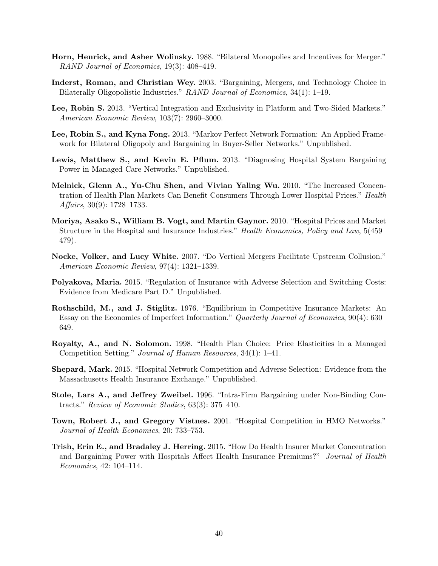- <span id="page-41-5"></span>Horn, Henrick, and Asher Wolinsky. 1988. "Bilateral Monopolies and Incentives for Merger." RAND Journal of Economics, 19(3): 408–419.
- <span id="page-41-11"></span>Inderst, Roman, and Christian Wey. 2003. "Bargaining, Mergers, and Technology Choice in Bilaterally Oligopolistic Industries." RAND Journal of Economics, 34(1): 1–19.
- <span id="page-41-8"></span>Lee, Robin S. 2013. "Vertical Integration and Exclusivity in Platform and Two-Sided Markets." American Economic Review, 103(7): 2960–3000.
- <span id="page-41-3"></span>Lee, Robin S., and Kyna Fong. 2013. "Markov Perfect Network Formation: An Applied Framework for Bilateral Oligopoly and Bargaining in Buyer-Seller Networks." Unpublished.
- <span id="page-41-2"></span>Lewis, Matthew S., and Kevin E. Pflum. 2013. "Diagnosing Hospital System Bargaining Power in Managed Care Networks." Unpublished.
- <span id="page-41-1"></span>Melnick, Glenn A., Yu-Chu Shen, and Vivian Yaling Wu. 2010. "The Increased Concentration of Health Plan Markets Can Benefit Consumers Through Lower Hospital Prices." Health Affairs,  $30(9)$ : 1728–1733.
- <span id="page-41-0"></span>Moriya, Asako S., William B. Vogt, and Martin Gaynor. 2010. "Hospital Prices and Market Structure in the Hospital and Insurance Industries." Health Economics, Policy and Law, 5(459– 479).
- <span id="page-41-12"></span>Nocke, Volker, and Lucy White. 2007. "Do Vertical Mergers Facilitate Upstream Collusion." American Economic Review, 97(4): 1321–1339.
- <span id="page-41-14"></span>Polyakova, Maria. 2015. "Regulation of Insurance with Adverse Selection and Switching Costs: Evidence from Medicare Part D." Unpublished.
- <span id="page-41-9"></span>Rothschild, M., and J. Stiglitz. 1976. "Equilibrium in Competitive Insurance Markets: An Essay on the Economics of Imperfect Information." Quarterly Journal of Economics, 90(4): 630– 649.
- <span id="page-41-13"></span>Royalty, A., and N. Solomon. 1998. "Health Plan Choice: Price Elasticities in a Managed Competition Setting." Journal of Human Resources, 34(1): 1–41.
- <span id="page-41-6"></span>Shepard, Mark. 2015. "Hospital Network Competition and Adverse Selection: Evidence from the Massachusetts Health Insurance Exchange." Unpublished.
- <span id="page-41-10"></span>Stole, Lars A., and Jeffrey Zweibel. 1996. "Intra-Firm Bargaining under Non-Binding Contracts." Review of Economic Studies, 63(3): 375–410.
- <span id="page-41-4"></span>Town, Robert J., and Gregory Vistnes. 2001. "Hospital Competition in HMO Networks." Journal of Health Economics, 20: 733–753.
- <span id="page-41-7"></span>Trish, Erin E., and Bradaley J. Herring. 2015. "How Do Health Insurer Market Concentration and Bargaining Power with Hospitals Affect Health Insurance Premiums?" Journal of Health Economics, 42: 104–114.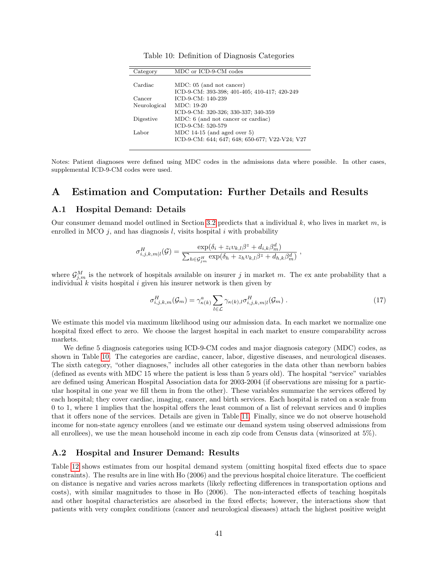<span id="page-42-1"></span>

| Category     | MDC or ICD-9-CM codes                          |
|--------------|------------------------------------------------|
|              |                                                |
| Cardiac      | MDC: 05 (and not cancer)                       |
|              | ICD-9-CM: 393-398; 401-405; 410-417; 420-249   |
| Cancer       | ICD-9-CM: 140-239                              |
| Neurological | $MDC: 19-20$                                   |
|              | ICD-9-CM: 320-326; 330-337; 340-359            |
| Digestive    | MDC: 6 (and not cancer or cardiac)             |
|              | ICD-9-CM: 520-579                              |
| Labor        | MDC 14-15 (and aged over $5$ )                 |
|              | ICD-9-CM: 644; 647; 648; 650-677; V22-V24; V27 |

Table 10: Definition of Diagnosis Categories

Notes: Patient diagnoses were defined using MDC codes in the admissions data where possible. In other cases, supplemental ICD-9-CM codes were used.

# A Estimation and Computation: Further Details and Results

#### <span id="page-42-0"></span>A.1 Hospital Demand: Details

Our consumer demand model outlined in Section [3.2](#page-18-2) predicts that a individual  $k$ , who lives in market  $m$ , is enrolled in MCO  $j$ , and has diagnosis  $l$ , visits hospital  $i$  with probability

$$
\sigma_{i,j,k,m|l}^H(\mathcal{G}) = \frac{\exp(\delta_i + z_i v_{k,l} \beta^z + d_{i,k} \beta_m^d)}{\sum_{h \in \mathcal{G}_{j,m}^H} \exp(\delta_h + z_h v_{k,l} \beta^z + d_{h,k} \beta_m^d)},
$$

where  $\mathcal{G}_{j,m}^M$  is the network of hospitals available on insurer j in market m. The ex ante probability that a individual  $k$  visits hospital  $i$  given his insurer network is then given by

<span id="page-42-2"></span>
$$
\sigma_{i,j,k,m}^H(\mathcal{G}_m) = \gamma_{\kappa(k)}^a \sum_{l \in \mathcal{L}} \gamma_{\kappa(k),l} \sigma_{i,j,k,m|l}^H(\mathcal{G}_m) \ . \tag{17}
$$

We estimate this model via maximum likelihood using our admission data. In each market we normalize one hospital fixed effect to zero. We choose the largest hospital in each market to ensure comparability across markets.

We define 5 diagnosis categories using ICD-9-CM codes and major diagnosis category (MDC) codes, as shown in Table [10.](#page-42-1) The categories are cardiac, cancer, labor, digestive diseases, and neurological diseases. The sixth category, "other diagnoses," includes all other categories in the data other than newborn babies (defined as events with MDC 15 where the patient is less than 5 years old). The hospital "service" variables are defined using American Hospital Association data for 2003-2004 (if observations are missing for a particular hospital in one year we fill them in from the other). These variables summarize the services offered by each hospital; they cover cardiac, imaging, cancer, and birth services. Each hospital is rated on a scale from 0 to 1, where 1 implies that the hospital offers the least common of a list of relevant services and 0 implies that it offers none of the services. Details are given in Table [11.](#page-43-1) Finally, since we do not observe household income for non-state agency enrollees (and we estimate our demand system using observed admissions from all enrollees), we use the mean household income in each zip code from Census data (winsorized at 5%).

### A.2 Hospital and Insurer Demand: Results

Table [12](#page-44-1) shows estimates from our hospital demand system (omitting hospital fixed effects due to space constraints). The results are in line with Ho (2006) and the previous hospital choice literature. The coefficient on distance is negative and varies across markets (likely reflecting differences in transportation options and costs), with similar magnitudes to those in Ho (2006). The non-interacted effects of teaching hospitals and other hospital characteristics are absorbed in the fixed effects; however, the interactions show that patients with very complex conditions (cancer and neurological diseases) attach the highest positive weight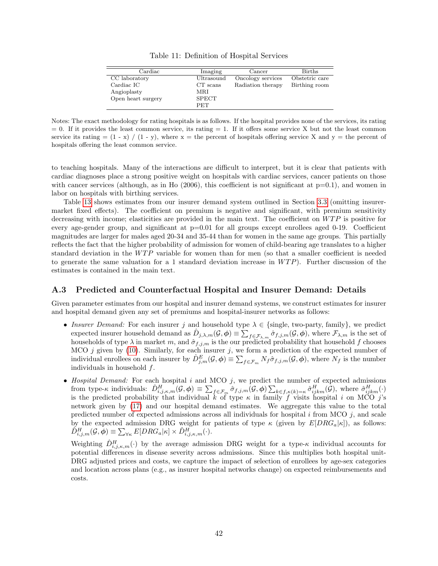|  |  | Table 11: Definition of Hospital Services |  |  |  |  |
|--|--|-------------------------------------------|--|--|--|--|
|--|--|-------------------------------------------|--|--|--|--|

<span id="page-43-1"></span>

| Cardiac            | Imaging      | Cancer            | <b>Births</b>  |
|--------------------|--------------|-------------------|----------------|
| CC laboratory      | Ultrasound   | Oncology services | Obstetric care |
| Cardiac IC         | $CT$ scans   | Radiation therapy | Birthing room  |
| Angioplasty        | MRI          |                   |                |
| Open heart surgery | <b>SPECT</b> |                   |                |
|                    | <b>PET</b>   |                   |                |

Notes: The exact methodology for rating hospitals is as follows. If the hospital provides none of the services, its rating  $= 0$ . If it provides the least common service, its rating  $= 1$ . If it offers some service X but not the least common service its rating  $= (1 - x) / (1 - y)$ , where  $x =$  the percent of hospitals offering service X and  $y =$  the percent of hospitals offering the least common service.

to teaching hospitals. Many of the interactions are difficult to interpret, but it is clear that patients with cardiac diagnoses place a strong positive weight on hospitals with cardiac services, cancer patients on those with cancer services (although, as in Ho  $(2006)$ , this coefficient is not significant at  $p=0.1$ ), and women in labor on hospitals with birthing services.

Table [13](#page-45-0) shows estimates from our insurer demand system outlined in Section [3.3](#page-19-3) (omitting insurermarket fixed effects). The coefficient on premium is negative and significant, with premium sensitivity decreasing with income; elasticities are provided in the main text. The coefficient on  $WTP$  is positive for every age-gender group, and significant at p=0.01 for all groups except enrollees aged 0-19. Coefficient magnitudes are larger for males aged 20-34 and 35-44 than for women in the same age groups. This partially reflects the fact that the higher probability of admission for women of child-bearing age translates to a higher standard deviation in the  $WTP$  variable for women than for men (so that a smaller coefficient is needed to generate the same valuation for a 1 standard deviation increase in  $WTP$ ). Further discussion of the estimates is contained in the main text.

#### <span id="page-43-0"></span>A.3 Predicted and Counterfactual Hospital and Insurer Demand: Details

Given parameter estimates from our hospital and insurer demand systems, we construct estimates for insurer and hospital demand given any set of premiums and hospital-insurer networks as follows:

- Insurer Demand: For each insurer j and household type  $\lambda \in \{\text{single, two-party, family}\},$  we predict expected insurer household demand as  $\hat{D}_{j,\lambda,m}(\mathcal{G},\boldsymbol{\phi}) = \sum_{f \in \mathcal{F}_{\lambda,m}} \hat{\sigma}_{f,j,m}(\mathcal{G},\boldsymbol{\phi})$ , where  $\mathcal{F}_{\lambda,m}$  is the set of households of type  $\lambda$  in market m, and  $\hat{\sigma}_{f,j,m}$  is the our predicted probability that household f chooses MCO  $j$  given by [\(10\)](#page-20-3). Similarly, for each insurer  $j$ , we form a prediction of the expected number of individual enrollees on each insurer by  $\hat{D}_{j,m}^E(\mathcal{G},\boldsymbol{\phi}) \equiv \sum_{f \in \mathcal{F}_m} N_f \hat{\sigma}_{f,j,m}(\mathcal{G},\boldsymbol{\phi})$ , where  $N_f$  is the number individuals in household f.
- Hospital Demand: For each hospital  $i$  and MCO  $j$ , we predict the number of expected admissions from type- $\kappa$  individuals:  $\hat{D}_{i,j,\kappa,m}^H(\mathcal{G},\boldsymbol{\phi}) \equiv \sum_{f \in \mathcal{F}_m} \hat{\sigma}_{f,j,m}(\mathcal{G},\boldsymbol{\phi}) \sum_{k \in f,\kappa(k)=\kappa} \hat{\sigma}_{ijkm}^H(\hat{\mathcal{G}})$ , where  $\hat{\sigma}_{ijkm}^H(\cdot)$ is the predicted probability that individual k of type  $\kappa$  in family f visits hospital i on MCO j's network given by [\(17\)](#page-42-2) and our hospital demand estimates. We aggregate this value to the total predicted number of expected admissions across all individuals for hospital  $i$  from MCO  $j$ , and scale by the expected admission DRG weight for patients of type  $\kappa$  (given by  $E[DRG_a|\kappa]$ ), as follows:  $\hat{D}^H_{i,j,m}(\mathcal{G}, \tilde{\bm{\phi}}) \equiv \sum_{\forall \kappa} E[DRG_a|\kappa] \times \hat{D}^H_{i,j,\kappa,m}(\cdot).$

Weighting  $\hat{D}_{i,j,\kappa,m}^H(\cdot)$  by the average admission DRG weight for a type- $\kappa$  individual accounts for potential differences in disease severity across admissions. Since this multiplies both hospital unit-DRG adjusted prices and costs, we capture the impact of selection of enrollees by age-sex categories and location across plans (e.g., as insurer hospital networks change) on expected reimbursements and costs.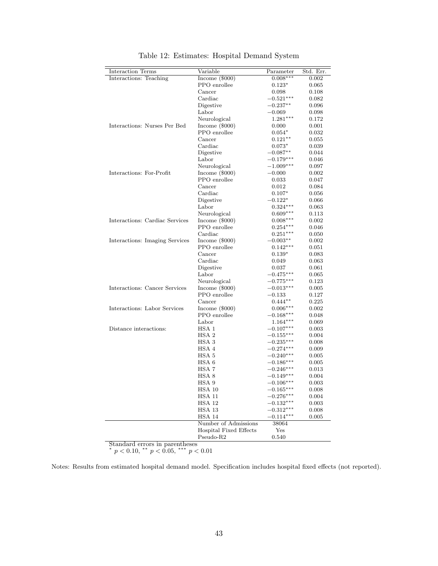<span id="page-44-1"></span>

| Interactions: Teaching<br>$0.008***$<br>Income $(\$000)$<br>0.002<br>PPO enrollee<br>$0.123*$<br>0.065<br>Cancer<br>0.098<br>0.108<br>Cardiac<br>$-0.521***$<br>$_{0.082}$<br>Digestive<br>$-0.237**$<br>0.096<br>Labor<br>$-0.069$<br>0.098<br>Neurological<br>$1.281***$<br>0.172<br>Interactions: Nurses Per Bed<br>Income $(\$000)$<br>0.000<br>0.001<br>PPO enrollee<br>$0.054*$<br>0.032 |
|------------------------------------------------------------------------------------------------------------------------------------------------------------------------------------------------------------------------------------------------------------------------------------------------------------------------------------------------------------------------------------------------|
|                                                                                                                                                                                                                                                                                                                                                                                                |
|                                                                                                                                                                                                                                                                                                                                                                                                |
|                                                                                                                                                                                                                                                                                                                                                                                                |
|                                                                                                                                                                                                                                                                                                                                                                                                |
|                                                                                                                                                                                                                                                                                                                                                                                                |
|                                                                                                                                                                                                                                                                                                                                                                                                |
|                                                                                                                                                                                                                                                                                                                                                                                                |
|                                                                                                                                                                                                                                                                                                                                                                                                |
|                                                                                                                                                                                                                                                                                                                                                                                                |
| Cancer<br>$0.121**$<br>0.055                                                                                                                                                                                                                                                                                                                                                                   |
| Cardiac<br>$0.073*$<br>0.039                                                                                                                                                                                                                                                                                                                                                                   |
| Digestive<br>$-0.087**$<br>0.044                                                                                                                                                                                                                                                                                                                                                               |
| Labor<br>$-0.179***$<br>0.046                                                                                                                                                                                                                                                                                                                                                                  |
| Neurological<br>$-1.009***$<br>$0.097\,$                                                                                                                                                                                                                                                                                                                                                       |
| Interactions: For-Profit<br>Income $(\$000)$<br>$-0.000$<br>0.002                                                                                                                                                                                                                                                                                                                              |
| PPO enrollee<br>0.033<br>0.047                                                                                                                                                                                                                                                                                                                                                                 |
| Cancer<br>0.012<br>0.084                                                                                                                                                                                                                                                                                                                                                                       |
| Cardiac<br>$0.107*$<br>0.056                                                                                                                                                                                                                                                                                                                                                                   |
| Digestive<br>$-0.122*$<br>0.066                                                                                                                                                                                                                                                                                                                                                                |
| Labor<br>$0.324***$<br>$\,0.063\,$                                                                                                                                                                                                                                                                                                                                                             |
| Neurological<br>$0.609***$<br>0.113                                                                                                                                                                                                                                                                                                                                                            |
| Interactions: Cardiac Services<br>Income $(\$000)$<br>$0.008***$<br>0.002                                                                                                                                                                                                                                                                                                                      |
| PPO enrollee<br>$0.254***$<br>0.046                                                                                                                                                                                                                                                                                                                                                            |
| Cardiac<br>$0.251***$<br>0.050                                                                                                                                                                                                                                                                                                                                                                 |
| Interactions: Imaging Services<br>Income $(\$000)$<br>0.002<br>$-0.003**$                                                                                                                                                                                                                                                                                                                      |
| PPO enrollee<br>$0.142***$<br>$_{0.051}$                                                                                                                                                                                                                                                                                                                                                       |
| Cancer<br>$0.139*$<br>$\,0.083\,$                                                                                                                                                                                                                                                                                                                                                              |
| Cardiac<br>0.049<br>0.063                                                                                                                                                                                                                                                                                                                                                                      |
| Digestive<br>0.037<br>0.061                                                                                                                                                                                                                                                                                                                                                                    |
| Labor<br>0.065<br>$-0.475***$                                                                                                                                                                                                                                                                                                                                                                  |
| Neurological<br>$-0.775***$<br>$0.123\,$                                                                                                                                                                                                                                                                                                                                                       |
| Interactions: Cancer Services<br>Income $(\$000)$<br>$-0.013***$<br>0.005                                                                                                                                                                                                                                                                                                                      |
| PPO enrollee<br>0.127<br>$-0.133$                                                                                                                                                                                                                                                                                                                                                              |
| Cancer<br>$0.444**$<br>$_{0.225}$                                                                                                                                                                                                                                                                                                                                                              |
| Interactions: Labor Services<br>Income $(\$000)$<br>0.002<br>$0.006***$                                                                                                                                                                                                                                                                                                                        |
| PPO enrollee<br>$-0.168***$<br>0.048                                                                                                                                                                                                                                                                                                                                                           |
| Labor<br>$1.164***$<br>0.069                                                                                                                                                                                                                                                                                                                                                                   |
| Distance interactions:<br>HSA 1<br>$-0.107***$<br>0.003                                                                                                                                                                                                                                                                                                                                        |
| HSA <sub>2</sub><br>$-0.155***$<br>0.004                                                                                                                                                                                                                                                                                                                                                       |
| HSA <sub>3</sub><br>$-0.235***$<br>0.008                                                                                                                                                                                                                                                                                                                                                       |
| HSA 4<br>$-0.274***$<br>0.009                                                                                                                                                                                                                                                                                                                                                                  |
| HSA 5<br>$-0.240***$<br>0.005                                                                                                                                                                                                                                                                                                                                                                  |
| HSA 6<br>$-0.186***$<br>0.005                                                                                                                                                                                                                                                                                                                                                                  |
| HSA 7<br>$-0.246***$<br>$_{0.013}$                                                                                                                                                                                                                                                                                                                                                             |
| HSA 8<br>$-0.149***$<br>0.004                                                                                                                                                                                                                                                                                                                                                                  |
| HSA 9<br>$-0.106***$<br>$\rm 0.003$                                                                                                                                                                                                                                                                                                                                                            |
| HSA 10<br>$-0.165***$<br>0.008                                                                                                                                                                                                                                                                                                                                                                 |
| $HSA11$<br>$-0.276***$<br>0.004                                                                                                                                                                                                                                                                                                                                                                |
| HSA 12<br>$-0.132***$<br>0.003                                                                                                                                                                                                                                                                                                                                                                 |
| 0.008<br>HSA 13<br>$-0.312***$                                                                                                                                                                                                                                                                                                                                                                 |
| HSA 14<br>0.005<br>$-0.114***$                                                                                                                                                                                                                                                                                                                                                                 |
| Number of Admissions<br>38064                                                                                                                                                                                                                                                                                                                                                                  |
| <b>Hospital Fixed Effects</b><br>Yes                                                                                                                                                                                                                                                                                                                                                           |
| $Pseudo-R2$<br>0.540                                                                                                                                                                                                                                                                                                                                                                           |

Table 12: Estimates: Hospital Demand System

Standard errors in parentheses<br>\*  $p < 0.10$ , \*\*  $p < 0.05$ , \*\*\*  $p < 0.01$ 

<span id="page-44-0"></span>Notes: Results from estimated hospital demand model. Specification includes hospital fixed effects (not reported).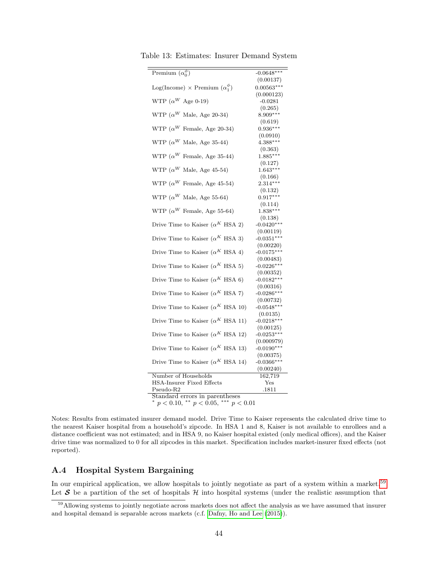| Premium $(\alpha_0^{\phi})$                      | $-0.0648***$               |  |  |
|--------------------------------------------------|----------------------------|--|--|
|                                                  | (0.00137)                  |  |  |
| Log(Income) $\times$ Premium $(\alpha_1^{\phi})$ | $0.00563***$               |  |  |
|                                                  | (0.000123)                 |  |  |
| WTP $(\alpha^W$ Age 0-19)                        | $-0.0281$                  |  |  |
|                                                  | (0.265)                    |  |  |
| WTP ( $\alpha^{W}$ Male, Age 20-34)              | 8.909***                   |  |  |
|                                                  | (0.619)                    |  |  |
| WTP ( $\alpha^W$ Female, Age 20-34)              | $0.936***$                 |  |  |
|                                                  | (0.0910)                   |  |  |
| WTP ( $\alpha^{W}$ Male, Age 35-44)              | $4.388***$                 |  |  |
|                                                  | (0.363)                    |  |  |
| WTP ( $\alpha^{W}$ Female, Age 35-44)            | $1.885***$                 |  |  |
|                                                  | (0.127)                    |  |  |
| WTP ( $\alpha^{W}$ Male, Age 45-54)              | $1.643***$                 |  |  |
|                                                  | (0.166)                    |  |  |
| WTP ( $\alpha^W$ Female, Age 45-54)              | $2.314***$                 |  |  |
|                                                  | (0.132)                    |  |  |
| WTP ( $\alpha^{W}$ Male, Age 55-64)              | $0.917***$                 |  |  |
|                                                  | (0.114)                    |  |  |
| WTP ( $\alpha^W$ Female, Age 55-64)              | $1.838***$                 |  |  |
|                                                  | (0.138)                    |  |  |
| Drive Time to Kaiser ( $\alpha^{K}$ HSA 2)       | $-0.0420***$               |  |  |
|                                                  | (0.00119)                  |  |  |
| Drive Time to Kaiser ( $\alpha^{K}$ HSA 3)       | $-0.0351***$               |  |  |
|                                                  | (0.00220)                  |  |  |
| Drive Time to Kaiser ( $\alpha^{K}$ HSA 4)       | $-0.0175***$               |  |  |
|                                                  | (0.00483)                  |  |  |
| Drive Time to Kaiser ( $\alpha^K$ HSA 5)         | $-0.0226***$               |  |  |
|                                                  | (0.00352)                  |  |  |
| Drive Time to Kaiser ( $\alpha^{K}$ HSA 6)       | $-0.0182***$               |  |  |
|                                                  | (0.00316)                  |  |  |
| Drive Time to Kaiser ( $\alpha^{K}$ HSA 7)       | $-0.0286***$               |  |  |
| Drive Time to Kaiser ( $\alpha^{K}$ HSA 10)      | (0.00732)                  |  |  |
|                                                  | $-0.0548***$               |  |  |
| Drive Time to Kaiser ( $\alpha^{K}$ HSA 11)      | (0.0135)                   |  |  |
|                                                  | $-0.0218***$               |  |  |
| Drive Time to Kaiser ( $\alpha^{K}$ HSA 12)      | (0.00125)<br>$-0.0253***$  |  |  |
|                                                  |                            |  |  |
| Drive Time to Kaiser ( $\alpha^{K}$ HSA 13)      | (0.000979)<br>$-0.0190***$ |  |  |
|                                                  | (0.00375)                  |  |  |
| Drive Time to Kaiser ( $\alpha^{K}$ HSA 14)      | $-0.0366***$               |  |  |
|                                                  | (0.00240)                  |  |  |
| Number of Households                             | 162,719                    |  |  |
| <b>HSA-Insurer Fixed Effects</b>                 | Yes                        |  |  |
| $Pseudo-R2$                                      | .1811                      |  |  |
| Standard errors in parentheses                   |                            |  |  |
| $p < 0.10,$ ** $p < 0.05,$ *** $p < 0.01$        |                            |  |  |

<span id="page-45-0"></span>Table 13: Estimates: Insurer Demand System

Notes: Results from estimated insurer demand model. Drive Time to Kaiser represents the calculated drive time to the nearest Kaiser hospital from a household's zipcode. In HSA 1 and 8, Kaiser is not available to enrollees and a distance coefficient was not estimated; and in HSA 9, no Kaiser hospital existed (only medical offices), and the Kaiser drive time was normalized to 0 for all zipcodes in this market. Specification includes market-insurer fixed effects (not reported).

## A.4 Hospital System Bargaining

In our empirical application, we allow hospitals to jointly negotiate as part of a system within a market.<sup>[59](#page-45-1)</sup> Let  $S$  be a partition of the set of hospitals H into hospital systems (under the realistic assumption that

<span id="page-45-1"></span><sup>&</sup>lt;sup>59</sup>Allowing systems to jointly negotiate across markets does not affect the analysis as we have assumed that insurer and hospital demand is separable across markets (c.f. [Dafny, Ho and Lee](#page-39-7) [\(2015\)](#page-39-7)).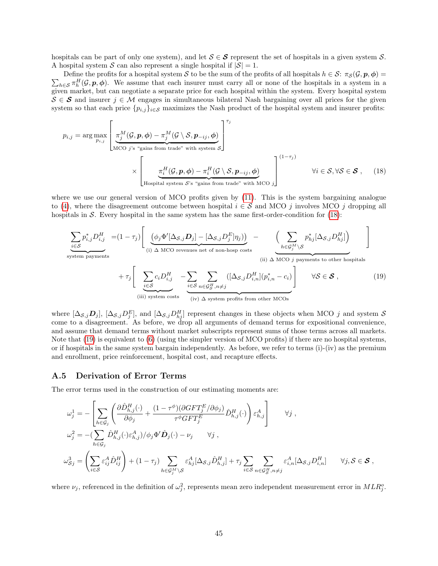hospitals can be part of only one system), and let  $S \in \mathcal{S}$  represent the set of hospitals in a given system S. A hospital system S can also represent a single hospital if  $|S| = 1$ .

 $\sum_{h\in\mathcal{S}} \pi_h^H(\mathcal{G},\mathbf{p},\phi)$ . We assume that each insurer must carry all or none of the hospitals in a system in a Define the profits for a hospital system S to be the sum of the profits of all hospitals  $h \in S: \pi_S(\mathcal{G}, p, \phi) =$ given market, but can negotiate a separate price for each hospital within the system. Every hospital system  $S \in \mathcal{S}$  and insurer  $j \in \mathcal{M}$  engages in simultaneous bilateral Nash bargaining over all prices for the given system so that each price  $\{p_{i,j}\}_{i\in\mathcal{S}}$  maximizes the Nash product of the hospital system and insurer profits:

$$
p_{i,j} = \arg \max_{p_{i,j}} \left[ \frac{\pi_j^M(\mathcal{G}, \mathbf{p}, \phi) - \pi_j^M(\mathcal{G} \setminus \mathcal{S}, \mathbf{p}_{-ij}, \phi)}{\text{MCO } j^{\prime s} \text{ "gains from trade" with system } \mathcal{S}} \right]^{\tau_j}
$$
  
\$\times \left[ \frac{\pi\_i^H(\mathcal{G}, \mathbf{p}, \phi) - \pi\_i^H(\mathcal{G} \setminus \mathcal{S}, \mathbf{p}\_{-ij}, \phi)}{\text{Hospital system } \mathcal{S}^{\prime s} \text{ "gains from trade" with MCO } j} \right]^{(1-\tau\_j)}\$ \forall i \in \mathcal{S}, \forall \mathcal{S} \in \mathcal{S} \,, \quad (18)

where we use our general version of MCO profits given by  $(11)$ . This is the system bargaining analogue to [\(4\)](#page-9-2), where the disagreement outcome between hospital  $i \in S$  and MCO j involves MCO j dropping all hospitals in  $S$ . Every hospital in the same system has the same first-order-condition for  $(18)$ :

<span id="page-46-2"></span><span id="page-46-1"></span>
$$
\sum_{i \in S} p_{i,j}^{*} D_{i,j}^{H} = (1 - \tau_j) \left[ \underbrace{(\phi_j \Phi'[\Delta_{S,j} D_j] - [\Delta_{S,j} D_j^{E}] \eta_j))}_{(i) \Delta MCO \text{ revenues net of non-hosp costs}} - \underbrace{\left(\sum_{h \in \mathcal{G}_j^M \backslash \mathcal{S}} p_{hj}^{*} [\Delta_{S,j} D_{hj}^{H}] \right)}_{(ii) \Delta MCO \text{ j payments to other hospitals}} \right]
$$
\n
$$
+ \tau_j \left[ \underbrace{\sum_{i \in S} c_i D_{i,j}^{H}}_{(iii) \text{ system costs}} - \underbrace{\sum_{i \in S} \sum_{n \in \mathcal{G}_S^H, n \neq j} ([\Delta_{S,j} D_{i,n}^{H}][p_{i,n}^{*} - c_i)}_{(iv) \Delta \text{ system profits from other MCOs}} \right] \forall S \in S ,
$$
\n(19)

where  $[\Delta_{\mathcal{S},j} \mathcal{D}_j]$ ,  $[\Delta_{\mathcal{S},j} D_j^E]$ , and  $[\Delta_{\mathcal{S},j} D_{hj}^H]$  represent changes in these objects when MCO j and system  $\mathcal{S}$ come to a disagreement. As before, we drop all arguments of demand terms for expositional convenience, and assume that demand terms without market subscripts represent sums of those terms across all markets. Note that [\(19\)](#page-46-1) is equivalent to [\(6\)](#page-11-2) (using the simpler version of MCO profits) if there are no hospital systems, or if hospitals in the same system bargain independently. As before, we refer to terms (i)-(iv) as the premium and enrollment, price reinforcement, hospital cost, and recapture effects.

#### <span id="page-46-0"></span>A.5 Derivation of Error Terms

The error terms used in the construction of our estimating moments are:

$$
\omega_j^1 = -\left[ \sum_{h \in \mathcal{G}_j} \left( \frac{\partial \hat{D}_{h,j}^H(\cdot)}{\partial \phi_j} + \frac{(1 - \tau^{\phi})(\partial GFT_j^E/\partial \phi_j)}{\tau^{\phi} GFT_j^E} \hat{D}_{h,j}^H(\cdot) \right) \varepsilon_{h,j}^A \right] \qquad \forall j ,
$$
  

$$
\omega_j^2 = -\left( \sum_{h \in \mathcal{G}_j} \hat{D}_{h,j}^H(\cdot) \varepsilon_{h,j}^A \right) / \phi_j \Phi' \hat{D}_j(\cdot) - \nu_j \qquad \forall j ,
$$
  

$$
\omega_{\mathcal{S}_j}^3 = \left( \sum_{i \in \mathcal{S}} \varepsilon_{ij}^A \hat{D}_{ij}^H \right) + (1 - \tau_j) \sum_{h \in \mathcal{G}_j^M \backslash \mathcal{S}} \varepsilon_{hj}^A [\Delta_{\mathcal{S},j} \hat{D}_{h,j}^H] + \tau_j \sum_{i \in \mathcal{S}} \sum_{n \in \mathcal{G}_{\mathcal{S}}^H, n \neq j} \varepsilon_{i,n}^A [\Delta_{\mathcal{S},j} D_{i,n}^H] \qquad \forall j, \mathcal{S} \in \mathcal{S} ,
$$

where  $\nu_j$ , referenced in the definition of  $\omega_j^2$ , represents mean zero independent measurement error in  $MLR_j^o$ .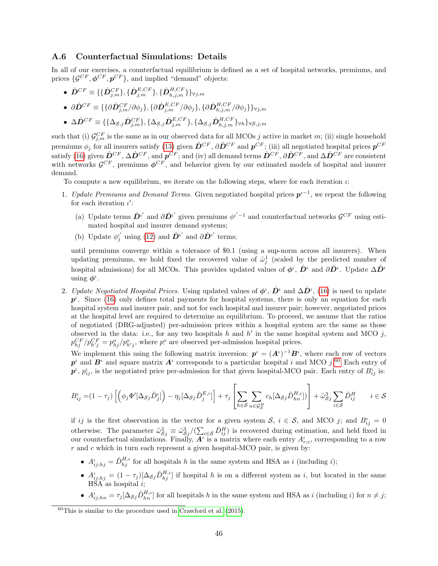### A.6 Counterfactual Simulations: Details

In all of our exercises, a counterfactual equilibrium is defined as a set of hospital networks, premiums, and prices  $\{\mathcal{G}^{CF}, \boldsymbol{\phi}^{CF}, \boldsymbol{p}^{CF}\}\$ , and implied "demand" objects:

- $\hat{\bm{D}}^{CF} \equiv \{ \{ \hat{\bm{D}}_{j,m}^{CF} \}, \{ \hat{\bm{D}}_{j,m}^{E,CF} \}, \{ \hat{\bm{D}}_{h,j,m}^{H,CF} \} \}_{\forall j,m}$
- $\bullet \;\; \partial\hat{D}^{CF} \equiv \{ \{ \partial\hat{D}^{CF}_{j,m} / \partial \phi_j \}, \{ \partial\hat{D}^{E,CF}_{j,m} / \partial \phi_j \}, \{ \partial\hat{D}^{H,CF}_{h,j,m} / \partial \phi_j \} \}_{\forall j,m}$
- $\bullet \;\; \Delta \hat{D}^{CF} \equiv \{ \{\Delta_{\mathcal{S},j} \hat{D}^{CF}_{j,m} \}, \{\Delta_{\mathcal{S},j} \hat{D}^{E,CF}_{j,m} \}, \{\Delta_{\mathcal{S},j} \hat{D}^{H,CF}_{h,j,m} \} \forall h \}$ v $s_{j,m}$

such that (i)  $\mathcal{G}_{j,m}^{CF}$  is the same as in our observed data for all MCOs j active in market m; (ii) single household premiums  $\phi_j$  for all insurers satisfy [\(13\)](#page-24-4) given  $\hat{D}^{CF}$ ,  $\partial \hat{D}^{CF}$  and  $p^{CF}$ ; (iii) all negotiated hospital prices  $p^{CF}$ satisfy [\(16\)](#page-25-0) given  $\hat{\mathbf{D}}^{CF}$ ,  $\Delta \hat{\mathbf{D}}^{CF}$ , and  $\mathbf{p}^{CF}$ ; and (iv) all demand terms  $\hat{\mathbf{D}}^{CF}$ ,  $\partial \hat{\mathbf{D}}^{CF}$ , and  $\Delta \hat{\mathbf{D}}^{CF}$  are consistent with networks  $\mathcal{G}^{CF}$ , premiums  $\phi^{CF}$ , and behavior given by our estimated models of hospital and insurer demand.

To compute a new equilibrium, we iterate on the following steps, where for each iteration  $\iota$ :

- 1. Update Premiums and Demand Terms. Given negotiated hospital prices  $p^{i-1}$ , we repeat the following for each iteration  $\iota'$ :
	- (a) Update terms  $\hat{\mathbf{D}}^{i'}$  and  $\partial \hat{\mathbf{D}}^{i'}$  given premiums  $\phi^{i'-1}$  and counterfactual networks  $\mathcal{G}^{CF}$  using estimated hospital and insurer demand systems;
	- (b) Update  $\phi_j^{i'}$  using [\(12\)](#page-24-2) and  $\hat{\mathbf{D}}^{i'}$  and  $\partial \hat{\mathbf{D}}^{i'}$  terms;

until premiums converge within a tolerance of \$0.1 (using a sup-norm across all insurers). When updating premiums, we hold fixed the recovered value of  $\hat{\omega}_j^1$  (scaled by the predicted number of hospital admissions) for all MCOs. This provides updated values of  $\phi^{\iota}$ ,  $\hat{D}^{\iota}$  and  $\partial \hat{D}^{\iota}$ . Update  $\Delta \hat{D}^{\iota}$ using  $\phi^{\iota}$ .

2. Update Negotiated Hospital Prices. Using updated values of  $\phi^{\iota}$ ,  $\hat{D}^{\iota}$  and  $\Delta \hat{D}^{\iota}$ , [\(16\)](#page-25-0) is used to update  $p^{\iota}$ . Since [\(16\)](#page-25-0) only defines total payments for hospital systems, there is only an equation for each hospital system and insurer pair, and not for each hospital and insurer pair; however, negotiated prices at the hospital level are required to determine an equilibrium. To proceed, we assume that the ratios of negotiated (DRG-adjusted) per-admission prices within a hospital system are the same as those observed in the data: i.e., for any two hospitals h and h' in the same hospital system and MCO j,  $p_{hj}^{CF}/p_{h'j}^{CF} = p_{hj}^o/p_{h'j}^o$ , where  $p_{\cdot}^o$  are observed per-admission hospital prices.

We implement this using the following matrix inversion:  $p^{\iota} = (A^{\iota})^{-1}B^{\iota}$ , where each row of vectors  $p^{\iota}$  and  $B^{\iota}$  and square matrix  $A^{\iota}$  corresponds to a particular hospital i and MCO j.<sup>[60](#page-47-0)</sup> Each entry of  $p^i$ ,  $p^i_{ij}$ , is the negotiated price per-admission for that given hospital-MCO pair. Each entry of  $B^i_{ij}$  is:

$$
B_{ij}^{\iota} = (1 - \tau_j) \left[ \left( \phi_j \Phi'[\Delta_{\mathcal{S}j} \hat{D}_{j}^{\iota}] \right) - \eta_j [\Delta_{\mathcal{S}j} \hat{D}_{j}^{E,\iota}] \right] + \tau_j \left[ \sum_{h \in \mathcal{S}} \sum_{n \in \mathcal{G}_{\mathcal{S}}^H} c_h [\Delta_{\mathcal{S}j} \hat{D}_{hn}^{H,\iota}] \right] + \tilde{\omega}_{\mathcal{S}j}^3 \sum_{i \in \mathcal{S}} \hat{D}_{ij}^H \qquad i \in \mathcal{S}
$$

if ij is the first observation in the vector for a given system S,  $i \in S$ , and MCO j; and  $B_{ij}^i = 0$ otherwise. The parameter  $\tilde{\omega}_{S_j}^3 \equiv \hat{\omega}_{S_j}^3/(\sum_{i \in S} \hat{D}_{ij}^H)$  is recovered during estimation, and held fixed in our counterfactual simulations. Finally,  $A^{\iota}$  is a matrix where each entry  $A_{r;c}^{\iota}$ , corresponding to a row  $r$  and  $c$  which in turn each represent a given hospital-MCO pair, is given by:

- $A_{ij;hj}^{\iota} = \hat{D}_{hj}^{H,\iota}$  for all hospitals h in the same system and HSA as i (including i);
- $A_{ij;hj}^{\iota} = (1 \tau_j)[\Delta_{\mathcal{S}j}\hat{D}_{hj}^{H,\iota}]$  if hospital h is on a different system as i, but located in the same  $HSA$  as hospital *i*;
- $A^i_{ij;hn} = \tau_j[\Delta_{\mathcal{S}j}\hat{D}_{hn}^{H,\iota}]$  for all hospitals h in the same system and HSA as i (including i) for  $n \neq j$ ;

<span id="page-47-0"></span> $60$ This is similar to the procedure used in [Crawford et al.](#page-39-5) [\(2015\)](#page-39-5).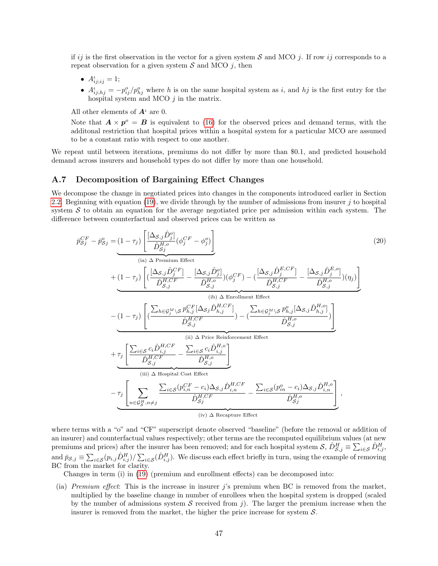if ij is the first observation in the vector for a given system S and MCO j. If row ij corresponds to a repeat observation for a given system  $S$  and MCO j, then

- $A^{\iota}_{ij;ij} = 1;$
- $A_{ij;hj}^{\iota} = -p_{ij}^o/p_{hj}^o$  where h is on the same hospital system as i, and hj is the first entry for the hospital system and MCO  $j$  in the matrix.

All other elements of  $A^{\iota}$  are 0.

Note that  $\mathbf{A} \times \mathbf{p}^{\circ} = \mathbf{B}$  is equivalent to [\(16\)](#page-25-0) for the observed prices and demand terms, with the additonal restriction that hospital prices within a hospital system for a particular MCO are assumed to be a constant ratio with respect to one another.

We repeat until between iterations, premiums do not differ by more than \$0.1, and predicted household demand across insurers and household types do not differ by more than one household.

## <span id="page-48-0"></span>A.7 Decomposition of Bargaining Effect Changes

We decompose the change in negotiated prices into changes in the components introduced earlier in Section [2.2.](#page-10-3) Beginning with equation [\(19\)](#page-46-1), we divide through by the number of admissions from insurer j to hospital system  $S$  to obtain an equation for the average negotiated price per admission within each system. The difference between counterfactual and observed prices can be written as

<span id="page-48-1"></span>
$$
\bar{p}_{Sj}^{CF} - \bar{p}_{Sj}^{o} = \underbrace{(1-\tau_{j}) \left[ \frac{[\Delta_{S,j}\hat{D}_{j}^{o}]}{\hat{D}_{Sj}^{H,o}} (\phi_{j}^{CF} - \phi_{j}^{o}) \right]}_{(ia) \Delta \text{ Premium Effect}} + \underbrace{(1-\tau_{j}) \left[ (\frac{[\Delta_{S,j}\hat{D}_{j}^{CF}]}{\hat{D}_{S,j}^{H,CF}} - \frac{[\Delta_{S,j}\hat{D}_{j}^{o}]}{\hat{D}_{S,j}^{H,o}}) (\phi_{j}^{CF}) - (\frac{[\Delta_{S,j}\hat{D}_{j}^{E,CF}]}{\hat{D}_{S,j}^{H,CF}} - \frac{[\Delta_{S,j}\hat{D}_{j}^{E,o}]}{\hat{D}_{S,j}^{H,OF}}) (\eta_{j}) \right]}_{(ib) \Delta \text{ Enrollment Effect}} + \underbrace{(1-\tau_{j}) \left[ (\frac{\sum_{h \in \mathcal{G}_{j}^{M}} \sum_{s} p_{h,j}^{CF} [\Delta_{Sj} \hat{D}_{h,j}^{H,CF}]}{\hat{D}_{S,j}^{H,CF}}) - (\frac{\sum_{h \in \mathcal{G}_{j}^{M}} \sum_{s} p_{h,j}^{o} [\Delta_{S,j} \hat{D}_{h,j}^{H,o}]}{\hat{D}_{S,j}^{H,o}}) \right]}_{(ii) \Delta \text{ Price Reinforcement Effect}} + \underbrace{\tau_{j} \left[ \frac{\sum_{i \in S} c_{i} \hat{D}_{i,j}^{H,CF}}{\hat{D}_{S,j}^{H,CF}} - \frac{\sum_{i \in S} c_{i} \hat{D}_{i,j}^{H,o}}{\hat{D}_{S,j}^{H,o}} \right]}_{(iii) \Delta \text{ Hospital Cost Effect}} + \underbrace{\tau_{j} \left[ \sum_{n \in \mathcal{G}_{S}^{H}, n \neq j} \frac{\sum_{i \in S} (p_{i,n}^{CF} - c_{i}) \Delta_{S,j} \hat{D}_{i,n}^{H,CF}}{\hat{D}_{Sj}^{H,CF}} - \frac{\sum_{i \in S} (p_{i,n}^{o} - c_{i}) \Delta_{S,j} \hat{D}_{i,n}^{H,o}}{\hat{D}_{Sj}^{H,o}} \right]}_{(iv) \Delta \text{ Recapture Effect}}
$$
\n
$$
(iv) \Delta \text{Recapture Effect}
$$

where terms with a "o" and "CF" superscript denote observed "baseline" (before the removal or addition of an insurer) and counterfactual values respectively; other terms are the recomputed equilibrium values (at new premiums and prices) after the insurer has been removed; and for each hospital system  $S$ ,  $\hat{D}_{S,j}^H \equiv \sum_{i \in S} \hat{D}_{i,j}^H$ , and  $\bar{p}_{\mathcal{S},j} \equiv \sum_{i \in \mathcal{S}} (p_{i,j} \hat{D}_{i,j}^H) / \sum_{i \in \mathcal{S}} (\hat{D}_{i,j}^H)$ . We discuss each effect briefly in turn, using the example of removing BC from the market for clarity.

Changes in term (i) in [\(19\)](#page-46-1) (premium and enrollment effects) can be decomposed into:

(ia) Premium effect: This is the increase in insurer j's premium when BC is removed from the market, multiplied by the baseline change in number of enrollees when the hospital system is dropped (scaled by the number of admissions system  $S$  received from j). The larger the premium increase when the insurer is removed from the market, the higher the price increase for system S.